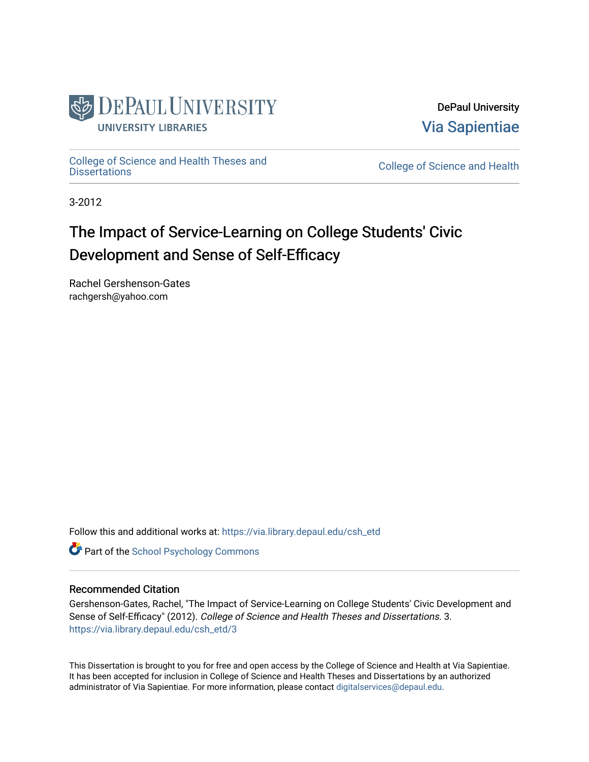

DePaul University [Via Sapientiae](https://via.library.depaul.edu/) 

[College of Science and Health Theses and](https://via.library.depaul.edu/csh_etd) 

College of Science and Health

3-2012

# The Impact of Service-Learning on College Students' Civic Development and Sense of Self-Efficacy

Rachel Gershenson-Gates rachgersh@yahoo.com

Follow this and additional works at: [https://via.library.depaul.edu/csh\\_etd](https://via.library.depaul.edu/csh_etd?utm_source=via.library.depaul.edu%2Fcsh_etd%2F3&utm_medium=PDF&utm_campaign=PDFCoverPages) 

**Part of the School Psychology Commons** 

# Recommended Citation

Gershenson-Gates, Rachel, "The Impact of Service-Learning on College Students' Civic Development and Sense of Self-Efficacy" (2012). College of Science and Health Theses and Dissertations. 3. [https://via.library.depaul.edu/csh\\_etd/3](https://via.library.depaul.edu/csh_etd/3?utm_source=via.library.depaul.edu%2Fcsh_etd%2F3&utm_medium=PDF&utm_campaign=PDFCoverPages) 

This Dissertation is brought to you for free and open access by the College of Science and Health at Via Sapientiae. It has been accepted for inclusion in College of Science and Health Theses and Dissertations by an authorized administrator of Via Sapientiae. For more information, please contact [digitalservices@depaul.edu.](mailto:digitalservices@depaul.edu)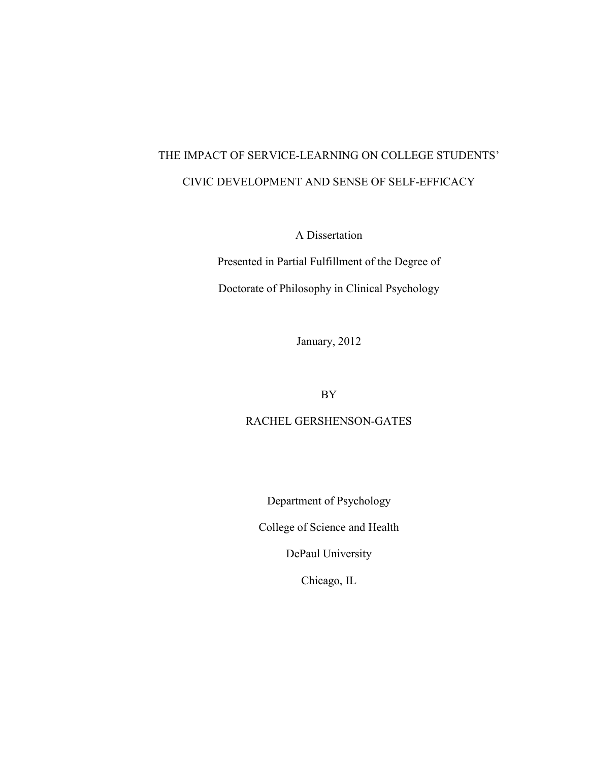# THE IMPACT OF SERVICE-LEARNING ON COLLEGE STUDENTS' CIVIC DEVELOPMENT AND SENSE OF SELF-EFFICACY

A Dissertation

Presented in Partial Fulfillment of the Degree of Doctorate of Philosophy in Clinical Psychology

January, 2012

BY

RACHEL GERSHENSON-GATES

Department of Psychology

College of Science and Health

DePaul University

Chicago, IL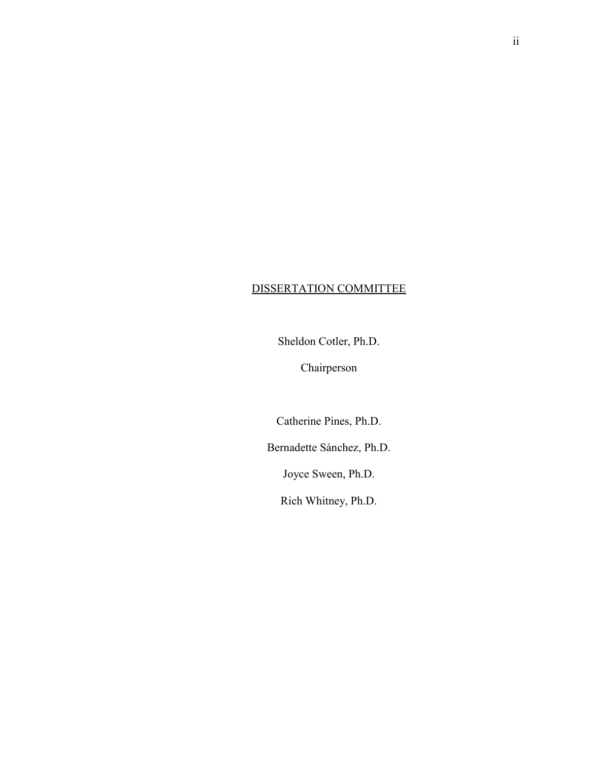# DISSERTATION COMMITTEE

Sheldon Cotler, Ph.D.

Chairperson

Catherine Pines, Ph.D.

Bernadette Sánchez, Ph.D.

Joyce Sween, Ph.D.

Rich Whitney, Ph.D.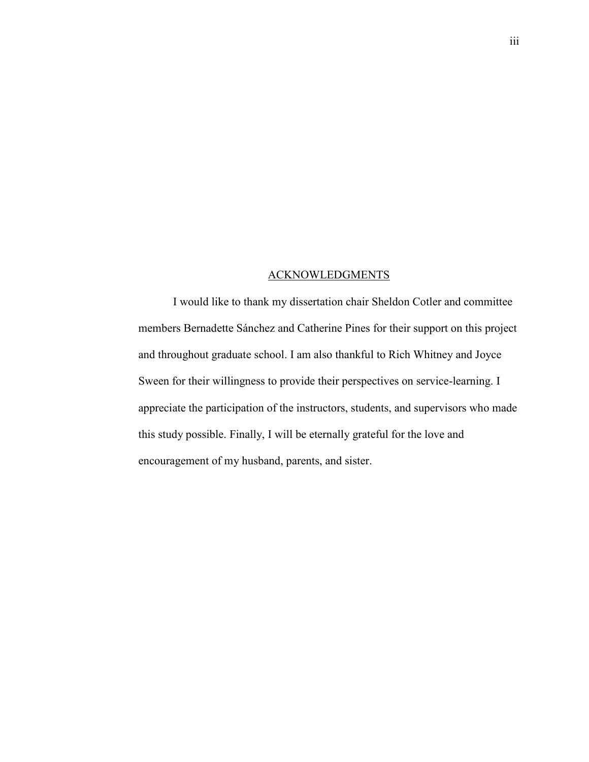### ACKNOWLEDGMENTS

I would like to thank my dissertation chair Sheldon Cotler and committee members Bernadette Sánchez and Catherine Pines for their support on this project and throughout graduate school. I am also thankful to Rich Whitney and Joyce Sween for their willingness to provide their perspectives on service-learning. I appreciate the participation of the instructors, students, and supervisors who made this study possible. Finally, I will be eternally grateful for the love and encouragement of my husband, parents, and sister.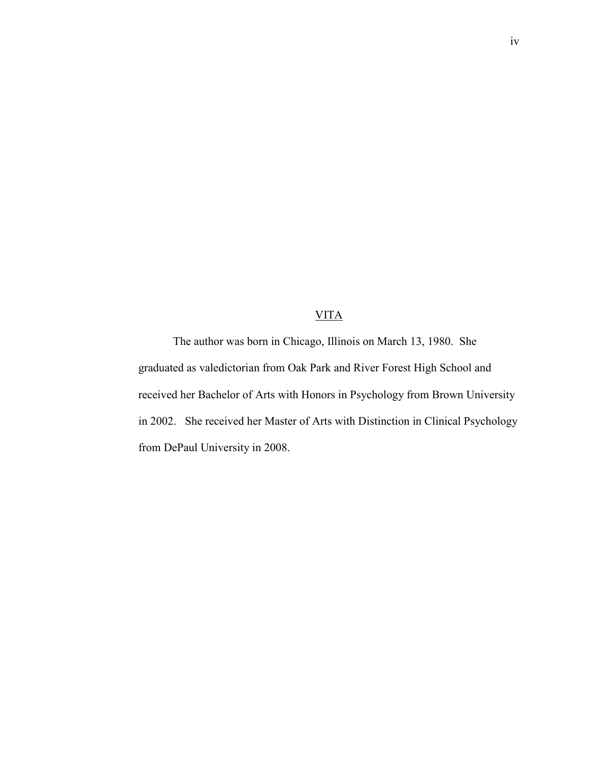# VITA

The author was born in Chicago, Illinois on March 13, 1980. She graduated as valedictorian from Oak Park and River Forest High School and received her Bachelor of Arts with Honors in Psychology from Brown University in 2002. She received her Master of Arts with Distinction in Clinical Psychology from DePaul University in 2008.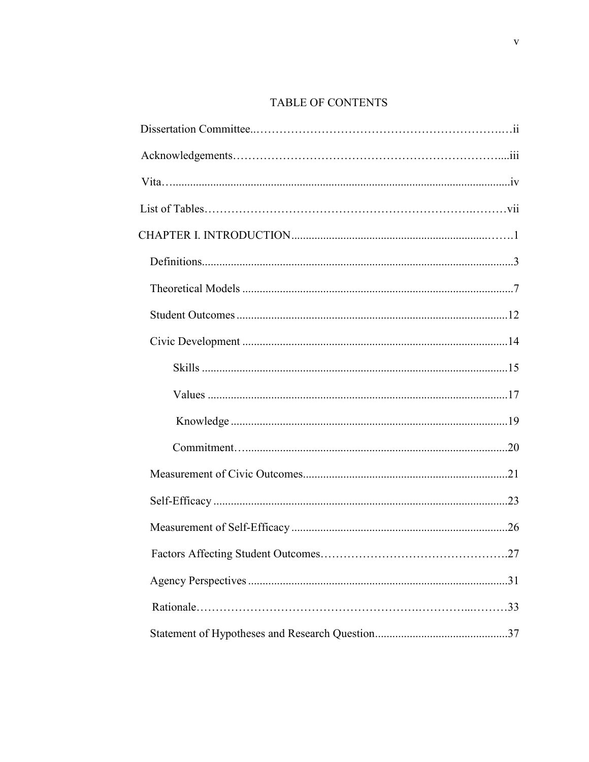# TABLE OF CONTENTS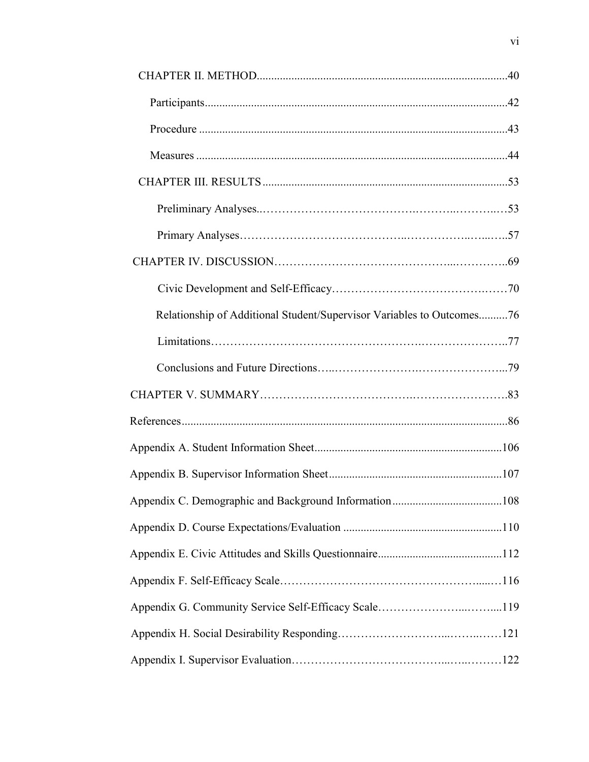| Relationship of Additional Student/Supervisor Variables to Outcomes76 |  |
|-----------------------------------------------------------------------|--|
|                                                                       |  |
|                                                                       |  |
|                                                                       |  |
|                                                                       |  |
|                                                                       |  |
|                                                                       |  |
|                                                                       |  |
|                                                                       |  |
|                                                                       |  |
|                                                                       |  |
|                                                                       |  |
|                                                                       |  |
|                                                                       |  |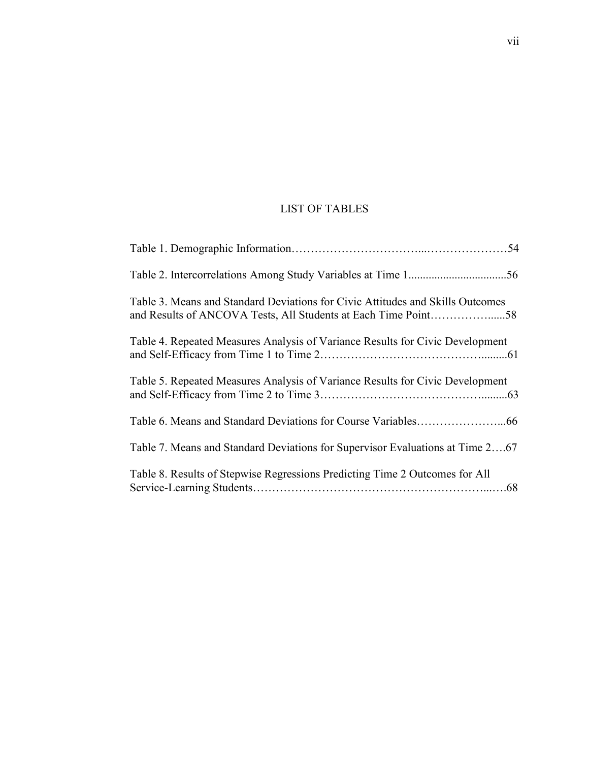# LIST OF TABLES

| Table 3. Means and Standard Deviations for Civic Attitudes and Skills Outcomes<br>and Results of ANCOVA Tests, All Students at Each Time Point58 |
|--------------------------------------------------------------------------------------------------------------------------------------------------|
| Table 4. Repeated Measures Analysis of Variance Results for Civic Development                                                                    |
| Table 5. Repeated Measures Analysis of Variance Results for Civic Development                                                                    |
|                                                                                                                                                  |
| Table 7. Means and Standard Deviations for Supervisor Evaluations at Time 267                                                                    |
| Table 8. Results of Stepwise Regressions Predicting Time 2 Outcomes for All                                                                      |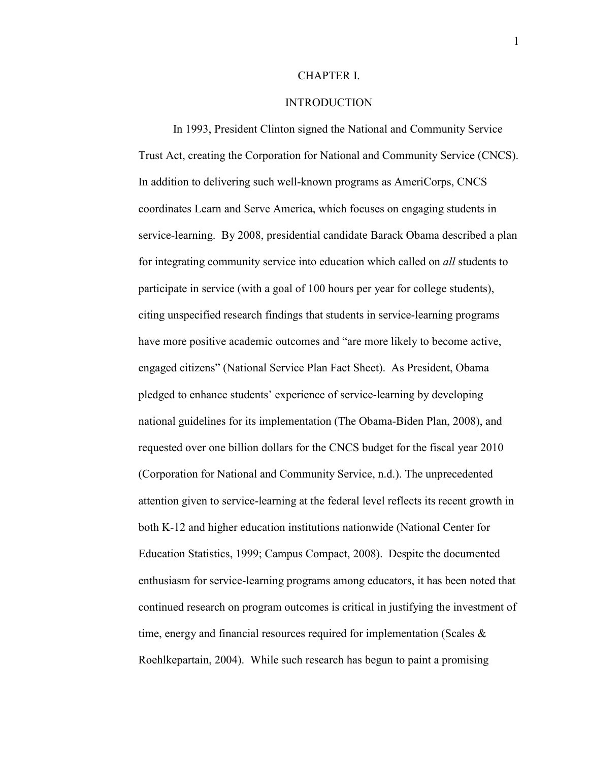#### CHAPTER I.

## INTRODUCTION

 In 1993, President Clinton signed the National and Community Service Trust Act, creating the Corporation for National and Community Service (CNCS). In addition to delivering such well-known programs as AmeriCorps, CNCS coordinates Learn and Serve America, which focuses on engaging students in service-learning. By 2008, presidential candidate Barack Obama described a plan for integrating community service into education which called on *all* students to participate in service (with a goal of 100 hours per year for college students), citing unspecified research findings that students in service-learning programs have more positive academic outcomes and "are more likely to become active, engaged citizens" (National Service Plan Fact Sheet). As President, Obama pledged to enhance students' experience of service-learning by developing national guidelines for its implementation (The Obama-Biden Plan, 2008), and requested over one billion dollars for the CNCS budget for the fiscal year 2010 (Corporation for National and Community Service, n.d.). The unprecedented attention given to service-learning at the federal level reflects its recent growth in both K-12 and higher education institutions nationwide (National Center for Education Statistics, 1999; Campus Compact, 2008). Despite the documented enthusiasm for service-learning programs among educators, it has been noted that continued research on program outcomes is critical in justifying the investment of time, energy and financial resources required for implementation (Scales & Roehlkepartain, 2004). While such research has begun to paint a promising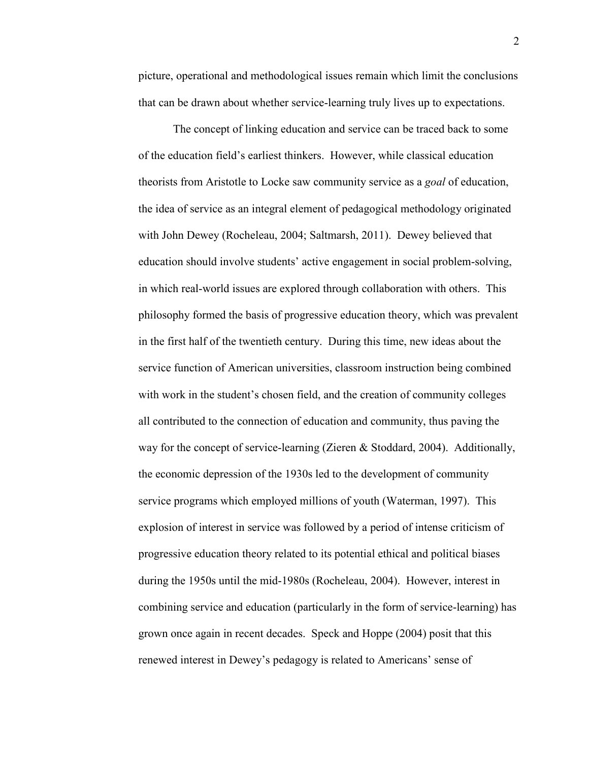picture, operational and methodological issues remain which limit the conclusions that can be drawn about whether service-learning truly lives up to expectations.

The concept of linking education and service can be traced back to some of the education field's earliest thinkers. However, while classical education theorists from Aristotle to Locke saw community service as a *goal* of education, the idea of service as an integral element of pedagogical methodology originated with John Dewey (Rocheleau, 2004; Saltmarsh, 2011). Dewey believed that education should involve students' active engagement in social problem-solving, in which real-world issues are explored through collaboration with others. This philosophy formed the basis of progressive education theory, which was prevalent in the first half of the twentieth century. During this time, new ideas about the service function of American universities, classroom instruction being combined with work in the student's chosen field, and the creation of community colleges all contributed to the connection of education and community, thus paving the way for the concept of service-learning (Zieren & Stoddard, 2004). Additionally, the economic depression of the 1930s led to the development of community service programs which employed millions of youth (Waterman, 1997). This explosion of interest in service was followed by a period of intense criticism of progressive education theory related to its potential ethical and political biases during the 1950s until the mid-1980s (Rocheleau, 2004). However, interest in combining service and education (particularly in the form of service-learning) has grown once again in recent decades. Speck and Hoppe (2004) posit that this renewed interest in Dewey's pedagogy is related to Americans' sense of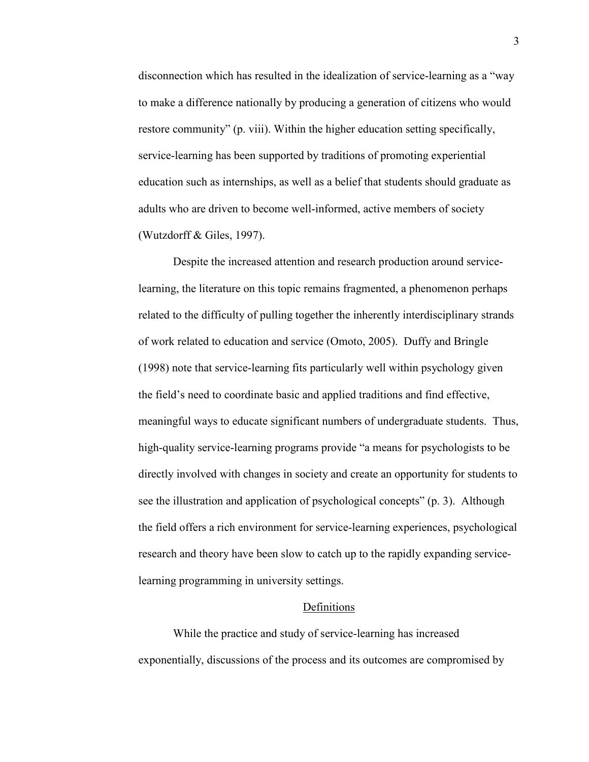disconnection which has resulted in the idealization of service-learning as a "way to make a difference nationally by producing a generation of citizens who would restore community" (p. viii). Within the higher education setting specifically, service-learning has been supported by traditions of promoting experiential education such as internships, as well as a belief that students should graduate as adults who are driven to become well-informed, active members of society (Wutzdorff & Giles, 1997).

Despite the increased attention and research production around servicelearning, the literature on this topic remains fragmented, a phenomenon perhaps related to the difficulty of pulling together the inherently interdisciplinary strands of work related to education and service (Omoto, 2005). Duffy and Bringle (1998) note that service-learning fits particularly well within psychology given the field's need to coordinate basic and applied traditions and find effective, meaningful ways to educate significant numbers of undergraduate students. Thus, high-quality service-learning programs provide "a means for psychologists to be directly involved with changes in society and create an opportunity for students to see the illustration and application of psychological concepts" (p. 3). Although the field offers a rich environment for service-learning experiences, psychological research and theory have been slow to catch up to the rapidly expanding servicelearning programming in university settings.

#### **Definitions**

While the practice and study of service-learning has increased exponentially, discussions of the process and its outcomes are compromised by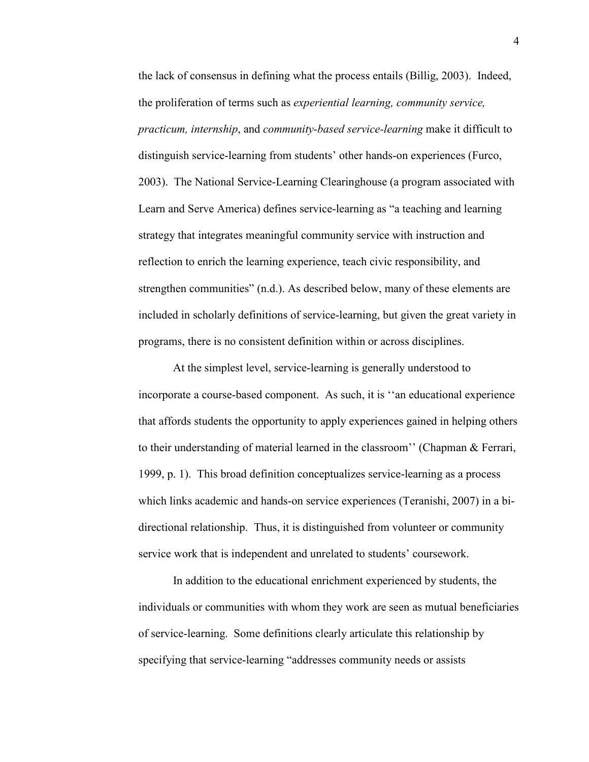the lack of consensus in defining what the process entails (Billig, 2003). Indeed, the proliferation of terms such as *experiential learning, community service, practicum, internship*, and *community-based service-learning* make it difficult to distinguish service-learning from students' other hands-on experiences (Furco, 2003). The National Service-Learning Clearinghouse (a program associated with Learn and Serve America) defines service-learning as "a teaching and learning strategy that integrates meaningful community service with instruction and reflection to enrich the learning experience, teach civic responsibility, and strengthen communities" (n.d.). As described below, many of these elements are included in scholarly definitions of service-learning, but given the great variety in programs, there is no consistent definition within or across disciplines.

 At the simplest level, service-learning is generally understood to incorporate a course-based component. As such, it is ''an educational experience that affords students the opportunity to apply experiences gained in helping others to their understanding of material learned in the classroom'' (Chapman & Ferrari, 1999, p. 1). This broad definition conceptualizes service-learning as a process which links academic and hands-on service experiences (Teranishi, 2007) in a bidirectional relationship. Thus, it is distinguished from volunteer or community service work that is independent and unrelated to students' coursework.

 In addition to the educational enrichment experienced by students, the individuals or communities with whom they work are seen as mutual beneficiaries of service-learning. Some definitions clearly articulate this relationship by specifying that service-learning "addresses community needs or assists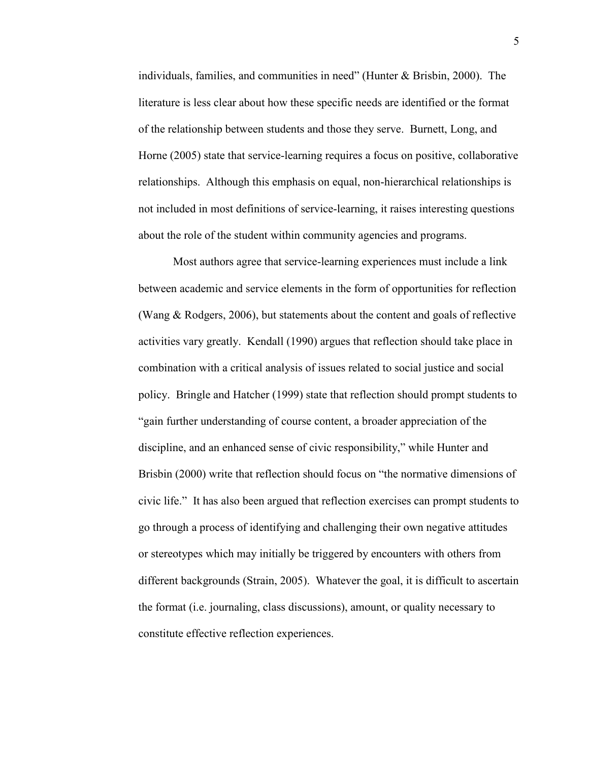individuals, families, and communities in need" (Hunter & Brisbin, 2000). The literature is less clear about how these specific needs are identified or the format of the relationship between students and those they serve. Burnett, Long, and Horne (2005) state that service-learning requires a focus on positive, collaborative relationships. Although this emphasis on equal, non-hierarchical relationships is not included in most definitions of service-learning, it raises interesting questions about the role of the student within community agencies and programs.

 Most authors agree that service-learning experiences must include a link between academic and service elements in the form of opportunities for reflection (Wang & Rodgers, 2006), but statements about the content and goals of reflective activities vary greatly. Kendall (1990) argues that reflection should take place in combination with a critical analysis of issues related to social justice and social policy. Bringle and Hatcher (1999) state that reflection should prompt students to "gain further understanding of course content, a broader appreciation of the discipline, and an enhanced sense of civic responsibility," while Hunter and Brisbin (2000) write that reflection should focus on "the normative dimensions of civic life." It has also been argued that reflection exercises can prompt students to go through a process of identifying and challenging their own negative attitudes or stereotypes which may initially be triggered by encounters with others from different backgrounds (Strain, 2005). Whatever the goal, it is difficult to ascertain the format (i.e. journaling, class discussions), amount, or quality necessary to constitute effective reflection experiences.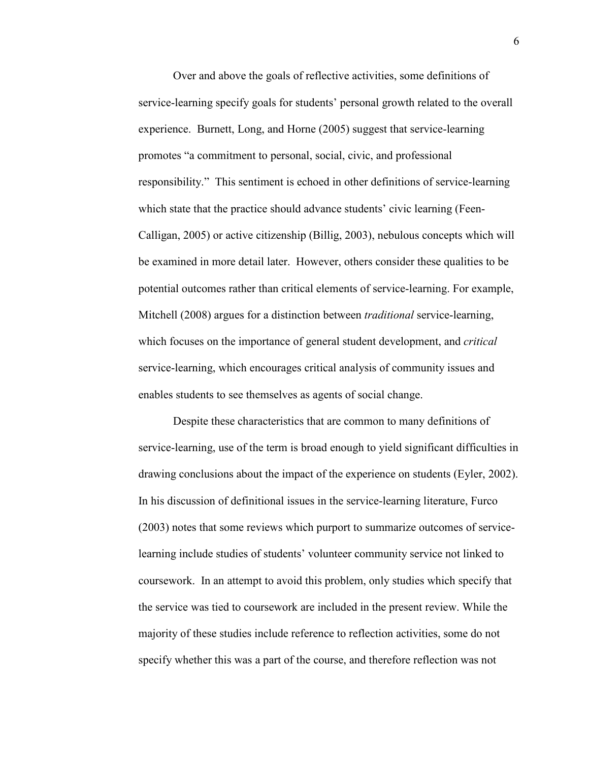Over and above the goals of reflective activities, some definitions of service-learning specify goals for students' personal growth related to the overall experience. Burnett, Long, and Horne (2005) suggest that service-learning promotes "a commitment to personal, social, civic, and professional responsibility." This sentiment is echoed in other definitions of service-learning which state that the practice should advance students' civic learning (Feen-Calligan, 2005) or active citizenship (Billig, 2003), nebulous concepts which will be examined in more detail later. However, others consider these qualities to be potential outcomes rather than critical elements of service-learning. For example, Mitchell (2008) argues for a distinction between *traditional* service-learning, which focuses on the importance of general student development, and *critical* service-learning, which encourages critical analysis of community issues and enables students to see themselves as agents of social change.

 Despite these characteristics that are common to many definitions of service-learning, use of the term is broad enough to yield significant difficulties in drawing conclusions about the impact of the experience on students (Eyler, 2002). In his discussion of definitional issues in the service-learning literature, Furco (2003) notes that some reviews which purport to summarize outcomes of servicelearning include studies of students' volunteer community service not linked to coursework. In an attempt to avoid this problem, only studies which specify that the service was tied to coursework are included in the present review. While the majority of these studies include reference to reflection activities, some do not specify whether this was a part of the course, and therefore reflection was not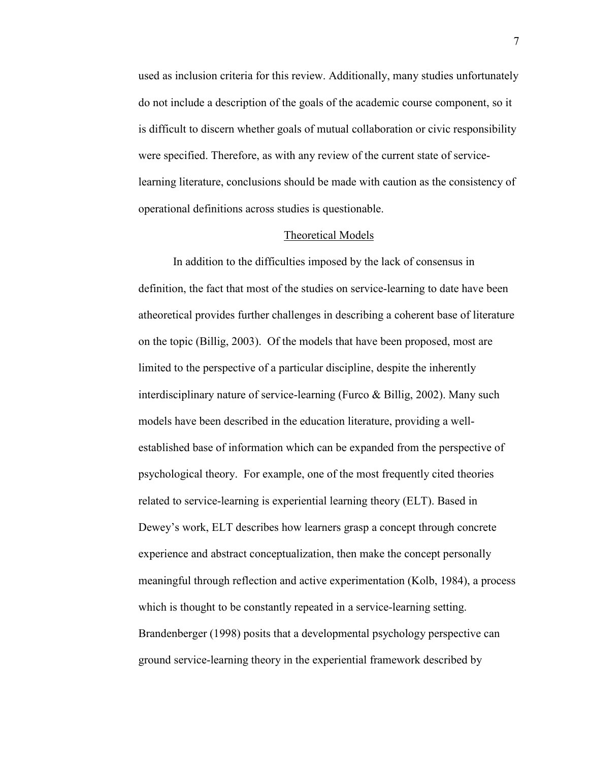used as inclusion criteria for this review. Additionally, many studies unfortunately do not include a description of the goals of the academic course component, so it is difficult to discern whether goals of mutual collaboration or civic responsibility were specified. Therefore, as with any review of the current state of servicelearning literature, conclusions should be made with caution as the consistency of operational definitions across studies is questionable.

#### Theoretical Models

 In addition to the difficulties imposed by the lack of consensus in definition, the fact that most of the studies on service-learning to date have been atheoretical provides further challenges in describing a coherent base of literature on the topic (Billig, 2003). Of the models that have been proposed, most are limited to the perspective of a particular discipline, despite the inherently interdisciplinary nature of service-learning (Furco & Billig, 2002). Many such models have been described in the education literature, providing a wellestablished base of information which can be expanded from the perspective of psychological theory. For example, one of the most frequently cited theories related to service-learning is experiential learning theory (ELT). Based in Dewey's work, ELT describes how learners grasp a concept through concrete experience and abstract conceptualization, then make the concept personally meaningful through reflection and active experimentation (Kolb, 1984), a process which is thought to be constantly repeated in a service-learning setting. Brandenberger (1998) posits that a developmental psychology perspective can ground service-learning theory in the experiential framework described by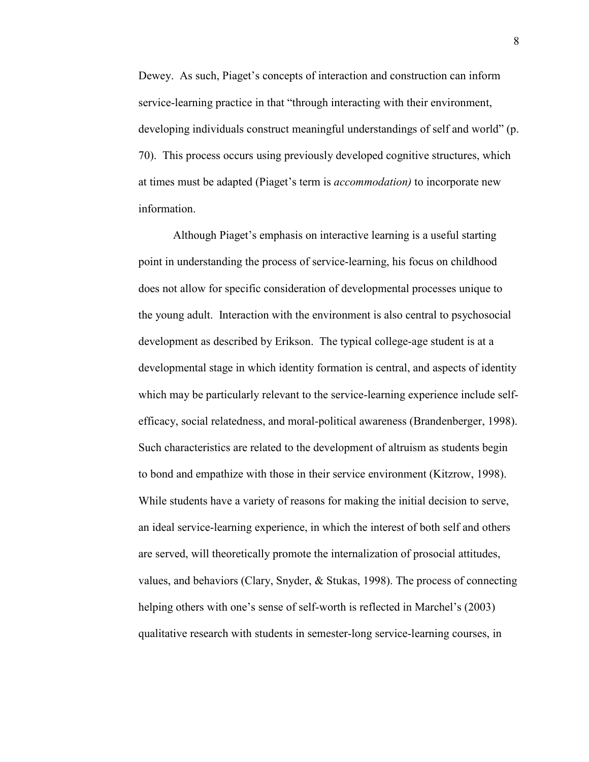Dewey. As such, Piaget's concepts of interaction and construction can inform service-learning practice in that "through interacting with their environment, developing individuals construct meaningful understandings of self and world" (p. 70). This process occurs using previously developed cognitive structures, which at times must be adapted (Piaget's term is *accommodation)* to incorporate new information.

Although Piaget's emphasis on interactive learning is a useful starting point in understanding the process of service-learning, his focus on childhood does not allow for specific consideration of developmental processes unique to the young adult. Interaction with the environment is also central to psychosocial development as described by Erikson. The typical college-age student is at a developmental stage in which identity formation is central, and aspects of identity which may be particularly relevant to the service-learning experience include selfefficacy, social relatedness, and moral-political awareness (Brandenberger, 1998). Such characteristics are related to the development of altruism as students begin to bond and empathize with those in their service environment (Kitzrow, 1998). While students have a variety of reasons for making the initial decision to serve, an ideal service-learning experience, in which the interest of both self and others are served, will theoretically promote the internalization of prosocial attitudes, values, and behaviors (Clary, Snyder, & Stukas, 1998). The process of connecting helping others with one's sense of self-worth is reflected in Marchel's (2003) qualitative research with students in semester-long service-learning courses, in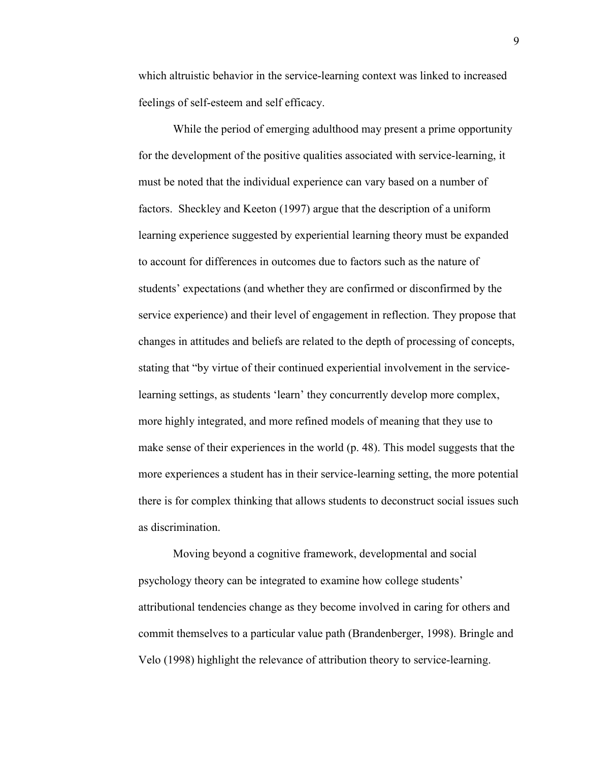which altruistic behavior in the service-learning context was linked to increased feelings of self-esteem and self efficacy.

While the period of emerging adulthood may present a prime opportunity for the development of the positive qualities associated with service-learning, it must be noted that the individual experience can vary based on a number of factors. Sheckley and Keeton (1997) argue that the description of a uniform learning experience suggested by experiential learning theory must be expanded to account for differences in outcomes due to factors such as the nature of students' expectations (and whether they are confirmed or disconfirmed by the service experience) and their level of engagement in reflection. They propose that changes in attitudes and beliefs are related to the depth of processing of concepts, stating that "by virtue of their continued experiential involvement in the servicelearning settings, as students 'learn' they concurrently develop more complex, more highly integrated, and more refined models of meaning that they use to make sense of their experiences in the world (p. 48). This model suggests that the more experiences a student has in their service-learning setting, the more potential there is for complex thinking that allows students to deconstruct social issues such as discrimination.

Moving beyond a cognitive framework, developmental and social psychology theory can be integrated to examine how college students' attributional tendencies change as they become involved in caring for others and commit themselves to a particular value path (Brandenberger, 1998). Bringle and Velo (1998) highlight the relevance of attribution theory to service-learning.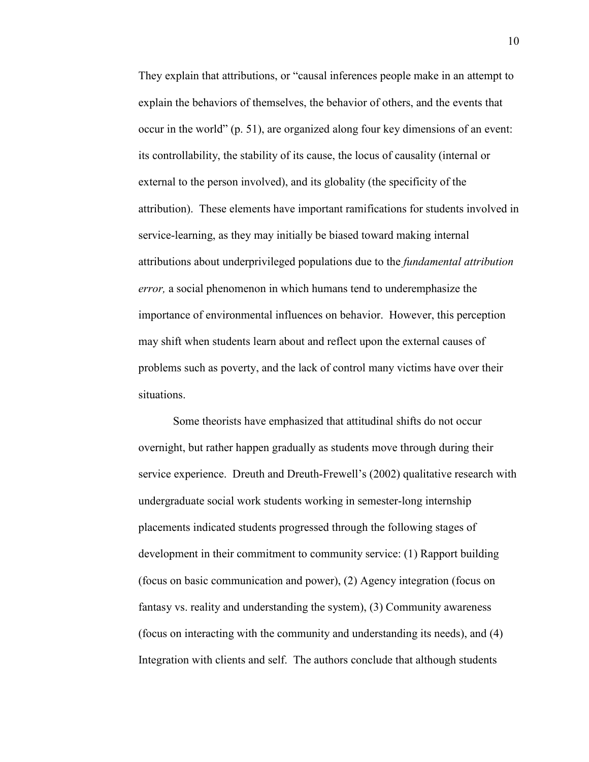They explain that attributions, or "causal inferences people make in an attempt to explain the behaviors of themselves, the behavior of others, and the events that occur in the world" (p. 51), are organized along four key dimensions of an event: its controllability, the stability of its cause, the locus of causality (internal or external to the person involved), and its globality (the specificity of the attribution). These elements have important ramifications for students involved in service-learning, as they may initially be biased toward making internal attributions about underprivileged populations due to the *fundamental attribution error,* a social phenomenon in which humans tend to underemphasize the importance of environmental influences on behavior. However, this perception may shift when students learn about and reflect upon the external causes of problems such as poverty, and the lack of control many victims have over their situations.

Some theorists have emphasized that attitudinal shifts do not occur overnight, but rather happen gradually as students move through during their service experience. Dreuth and Dreuth-Frewell's (2002) qualitative research with undergraduate social work students working in semester-long internship placements indicated students progressed through the following stages of development in their commitment to community service: (1) Rapport building (focus on basic communication and power), (2) Agency integration (focus on fantasy vs. reality and understanding the system), (3) Community awareness (focus on interacting with the community and understanding its needs), and (4) Integration with clients and self. The authors conclude that although students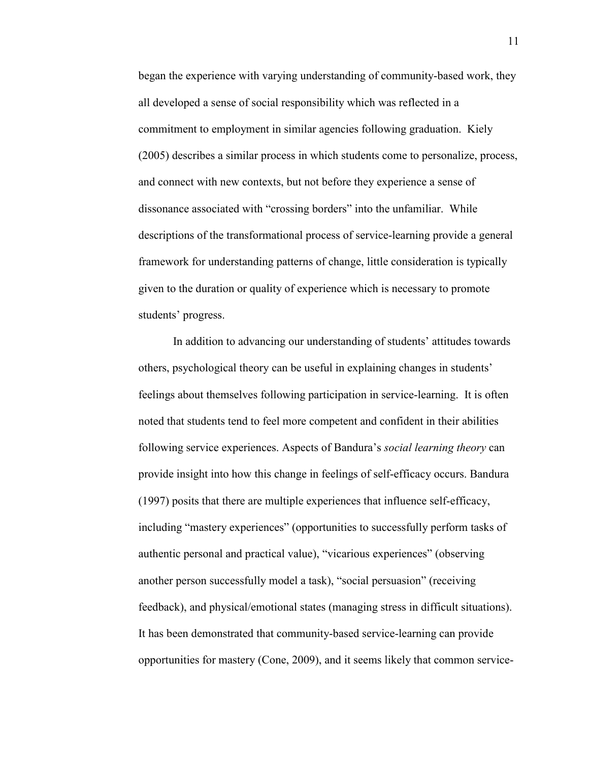began the experience with varying understanding of community-based work, they all developed a sense of social responsibility which was reflected in a commitment to employment in similar agencies following graduation. Kiely (2005) describes a similar process in which students come to personalize, process, and connect with new contexts, but not before they experience a sense of dissonance associated with "crossing borders" into the unfamiliar. While descriptions of the transformational process of service-learning provide a general framework for understanding patterns of change, little consideration is typically given to the duration or quality of experience which is necessary to promote students' progress.

 In addition to advancing our understanding of students' attitudes towards others, psychological theory can be useful in explaining changes in students' feelings about themselves following participation in service-learning. It is often noted that students tend to feel more competent and confident in their abilities following service experiences. Aspects of Bandura's *social learning theory* can provide insight into how this change in feelings of self-efficacy occurs. Bandura (1997) posits that there are multiple experiences that influence self-efficacy, including "mastery experiences" (opportunities to successfully perform tasks of authentic personal and practical value), "vicarious experiences" (observing another person successfully model a task), "social persuasion" (receiving feedback), and physical/emotional states (managing stress in difficult situations). It has been demonstrated that community-based service-learning can provide opportunities for mastery (Cone, 2009), and it seems likely that common service-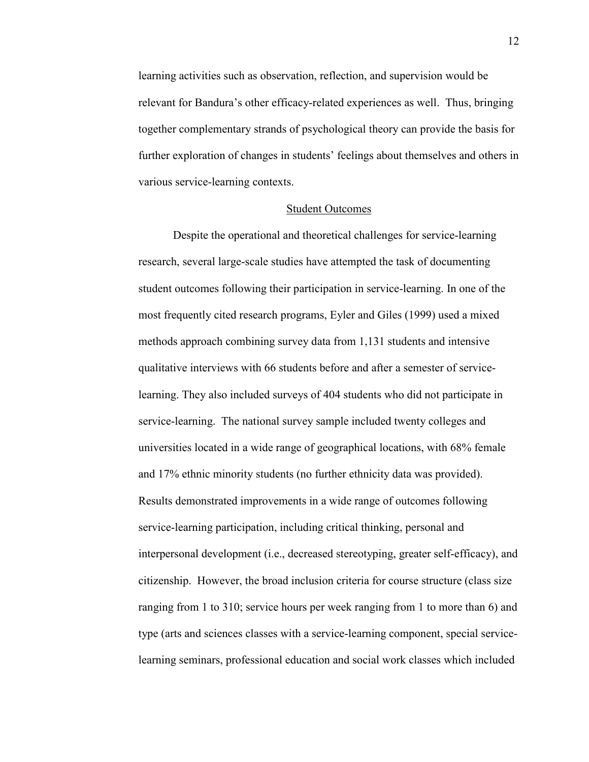learning activities such as observation, reflection, and supervision would be relevant for Bandura's other efficacy-related experiences as well. Thus, bringing together complementary strands of psychological theory can provide the basis for further exploration of changes in students' feelings about themselves and others in various service-learning contexts.

#### Student Outcomes

Despite the operational and theoretical challenges for service-learning research, several large-scale studies have attempted the task of documenting student outcomes following their participation in service-learning. In one of the most frequently cited research programs, Eyler and Giles (1999) used a mixed methods approach combining survey data from 1,131 students and intensive qualitative interviews with 66 students before and after a semester of servicelearning. They also included surveys of 404 students who did not participate in service-learning. The national survey sample included twenty colleges and universities located in a wide range of geographical locations, with 68% female and 17% ethnic minority students (no further ethnicity data was provided). Results demonstrated improvements in a wide range of outcomes following service-learning participation, including critical thinking, personal and interpersonal development (i.e., decreased stereotyping, greater self-efficacy), and citizenship. However, the broad inclusion criteria for course structure (class size ranging from 1 to 310; service hours per week ranging from 1 to more than 6) and type (arts and sciences classes with a service-learning component, special servicelearning seminars, professional education and social work classes which included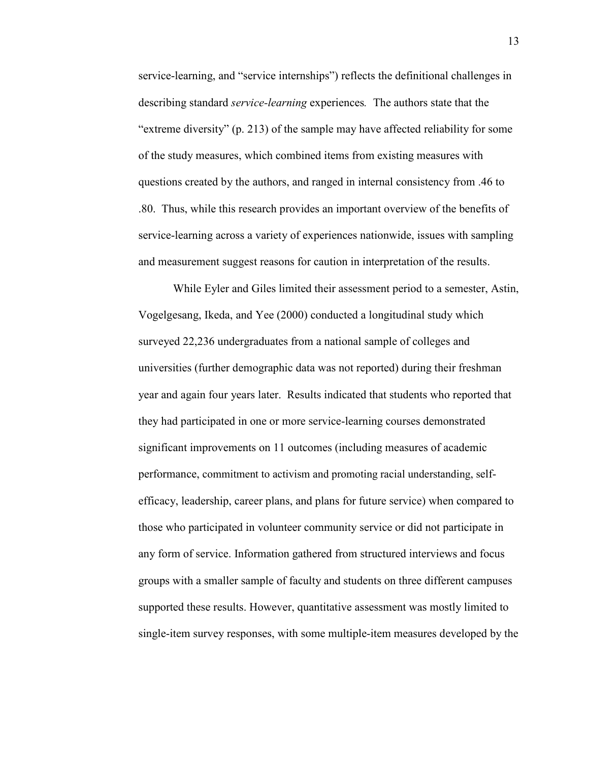service-learning, and "service internships") reflects the definitional challenges in describing standard *service-learning* experiences*.* The authors state that the "extreme diversity" (p. 213) of the sample may have affected reliability for some of the study measures, which combined items from existing measures with questions created by the authors, and ranged in internal consistency from .46 to .80. Thus, while this research provides an important overview of the benefits of service-learning across a variety of experiences nationwide, issues with sampling and measurement suggest reasons for caution in interpretation of the results.

While Eyler and Giles limited their assessment period to a semester, Astin, Vogelgesang, Ikeda, and Yee (2000) conducted a longitudinal study which surveyed 22,236 undergraduates from a national sample of colleges and universities (further demographic data was not reported) during their freshman year and again four years later. Results indicated that students who reported that they had participated in one or more service-learning courses demonstrated significant improvements on 11 outcomes (including measures of academic performance, commitment to activism and promoting racial understanding, selfefficacy, leadership, career plans, and plans for future service) when compared to those who participated in volunteer community service or did not participate in any form of service. Information gathered from structured interviews and focus groups with a smaller sample of faculty and students on three different campuses supported these results. However, quantitative assessment was mostly limited to single-item survey responses, with some multiple-item measures developed by the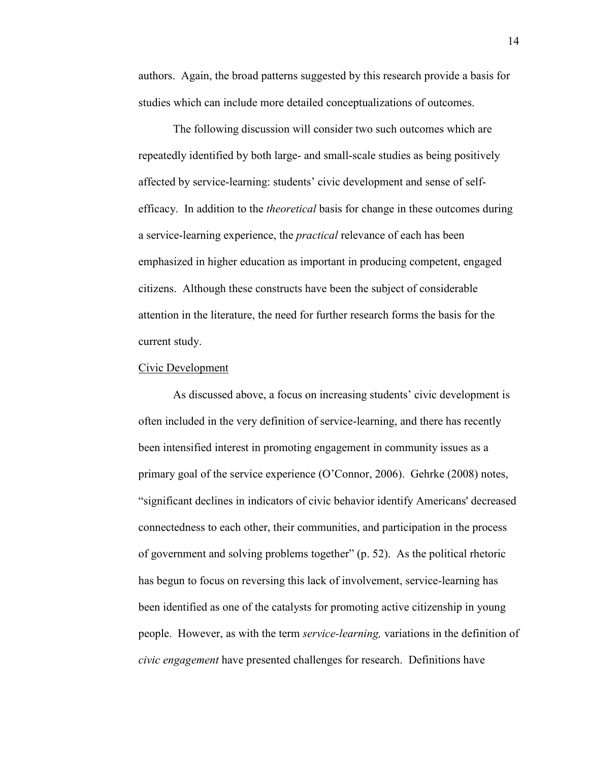authors. Again, the broad patterns suggested by this research provide a basis for studies which can include more detailed conceptualizations of outcomes.

The following discussion will consider two such outcomes which are repeatedly identified by both large- and small-scale studies as being positively affected by service-learning: students' civic development and sense of selfefficacy. In addition to the *theoretical* basis for change in these outcomes during a service-learning experience, the *practical* relevance of each has been emphasized in higher education as important in producing competent, engaged citizens. Although these constructs have been the subject of considerable attention in the literature, the need for further research forms the basis for the current study.

#### Civic Development

 As discussed above, a focus on increasing students' civic development is often included in the very definition of service-learning, and there has recently been intensified interest in promoting engagement in community issues as a primary goal of the service experience (O'Connor, 2006). Gehrke (2008) notes, "significant declines in indicators of civic behavior identify Americans' decreased connectedness to each other, their communities, and participation in the process of government and solving problems together" (p. 52). As the political rhetoric has begun to focus on reversing this lack of involvement, service-learning has been identified as one of the catalysts for promoting active citizenship in young people. However, as with the term *service-learning,* variations in the definition of *civic engagement* have presented challenges for research. Definitions have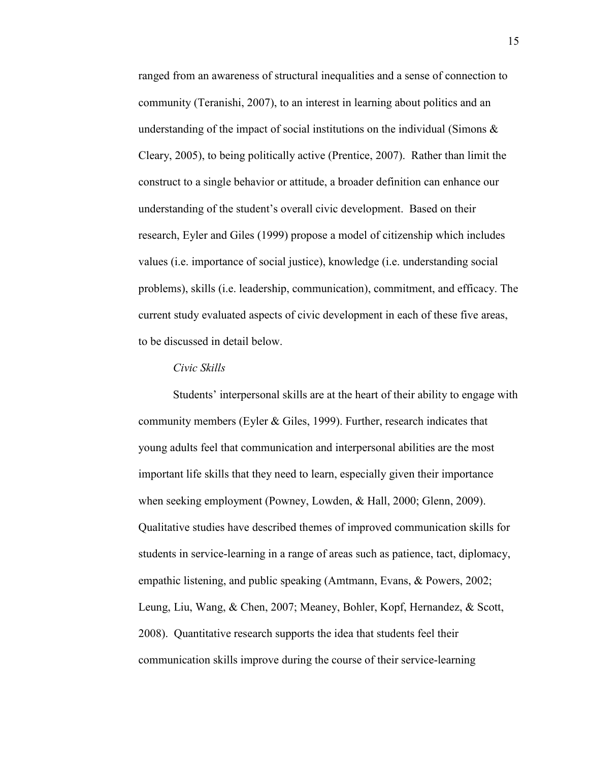ranged from an awareness of structural inequalities and a sense of connection to community (Teranishi, 2007), to an interest in learning about politics and an understanding of the impact of social institutions on the individual (Simons  $\&$ Cleary, 2005), to being politically active (Prentice, 2007). Rather than limit the construct to a single behavior or attitude, a broader definition can enhance our understanding of the student's overall civic development. Based on their research, Eyler and Giles (1999) propose a model of citizenship which includes values (i.e. importance of social justice), knowledge (i.e. understanding social problems), skills (i.e. leadership, communication), commitment, and efficacy. The current study evaluated aspects of civic development in each of these five areas, to be discussed in detail below.

# *Civic Skills*

Students' interpersonal skills are at the heart of their ability to engage with community members (Eyler & Giles, 1999). Further, research indicates that young adults feel that communication and interpersonal abilities are the most important life skills that they need to learn, especially given their importance when seeking employment (Powney, Lowden, & Hall, 2000; Glenn, 2009). Qualitative studies have described themes of improved communication skills for students in service-learning in a range of areas such as patience, tact, diplomacy, empathic listening, and public speaking (Amtmann, Evans, & Powers, 2002; Leung, Liu, Wang, & Chen, 2007; Meaney, Bohler, Kopf, Hernandez, & Scott, 2008). Quantitative research supports the idea that students feel their communication skills improve during the course of their service-learning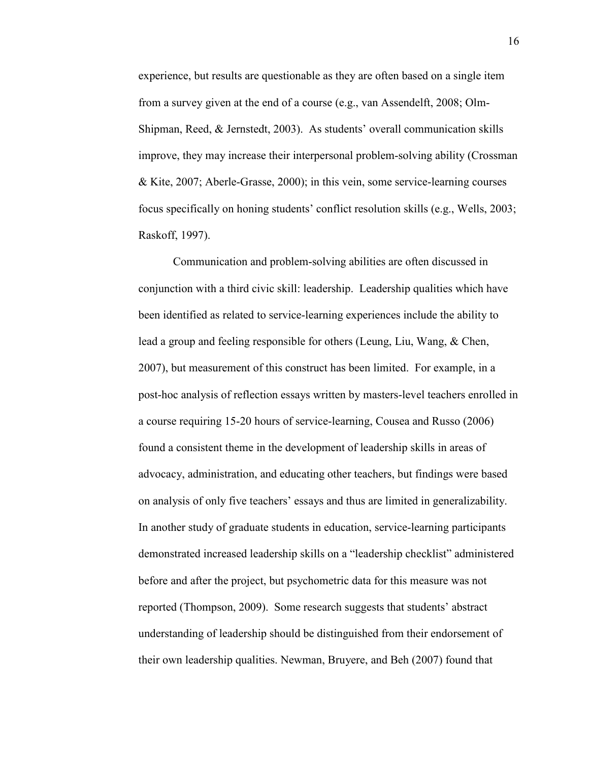experience, but results are questionable as they are often based on a single item from a survey given at the end of a course (e.g., van Assendelft, 2008; Olm-Shipman, Reed, & Jernstedt, 2003). As students' overall communication skills improve, they may increase their interpersonal problem-solving ability (Crossman & Kite, 2007; Aberle-Grasse, 2000); in this vein, some service-learning courses focus specifically on honing students' conflict resolution skills (e.g., Wells, 2003; Raskoff, 1997).

Communication and problem-solving abilities are often discussed in conjunction with a third civic skill: leadership. Leadership qualities which have been identified as related to service-learning experiences include the ability to lead a group and feeling responsible for others (Leung, Liu, Wang, & Chen, 2007), but measurement of this construct has been limited. For example, in a post-hoc analysis of reflection essays written by masters-level teachers enrolled in a course requiring 15-20 hours of service-learning, Cousea and Russo (2006) found a consistent theme in the development of leadership skills in areas of advocacy, administration, and educating other teachers, but findings were based on analysis of only five teachers' essays and thus are limited in generalizability. In another study of graduate students in education, service-learning participants demonstrated increased leadership skills on a "leadership checklist" administered before and after the project, but psychometric data for this measure was not reported (Thompson, 2009). Some research suggests that students' abstract understanding of leadership should be distinguished from their endorsement of their own leadership qualities. Newman, Bruyere, and Beh (2007) found that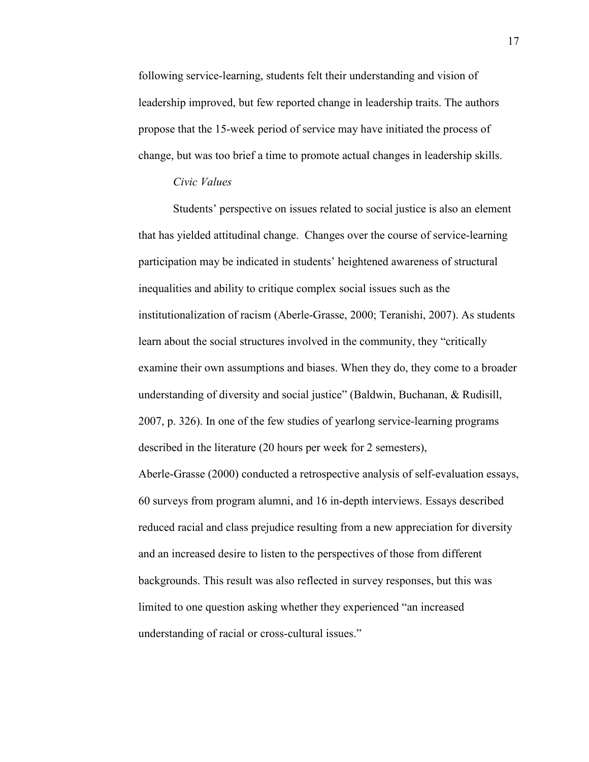following service-learning, students felt their understanding and vision of leadership improved, but few reported change in leadership traits. The authors propose that the 15-week period of service may have initiated the process of change, but was too brief a time to promote actual changes in leadership skills.

## *Civic Values*

Students' perspective on issues related to social justice is also an element that has yielded attitudinal change. Changes over the course of service-learning participation may be indicated in students' heightened awareness of structural inequalities and ability to critique complex social issues such as the institutionalization of racism (Aberle-Grasse, 2000; Teranishi, 2007). As students learn about the social structures involved in the community, they "critically examine their own assumptions and biases. When they do, they come to a broader understanding of diversity and social justice" (Baldwin, Buchanan, & Rudisill, 2007, p. 326). In one of the few studies of yearlong service-learning programs described in the literature (20 hours per week for 2 semesters),

Aberle-Grasse (2000) conducted a retrospective analysis of self-evaluation essays, 60 surveys from program alumni, and 16 in-depth interviews. Essays described reduced racial and class prejudice resulting from a new appreciation for diversity and an increased desire to listen to the perspectives of those from different backgrounds. This result was also reflected in survey responses, but this was limited to one question asking whether they experienced "an increased understanding of racial or cross-cultural issues."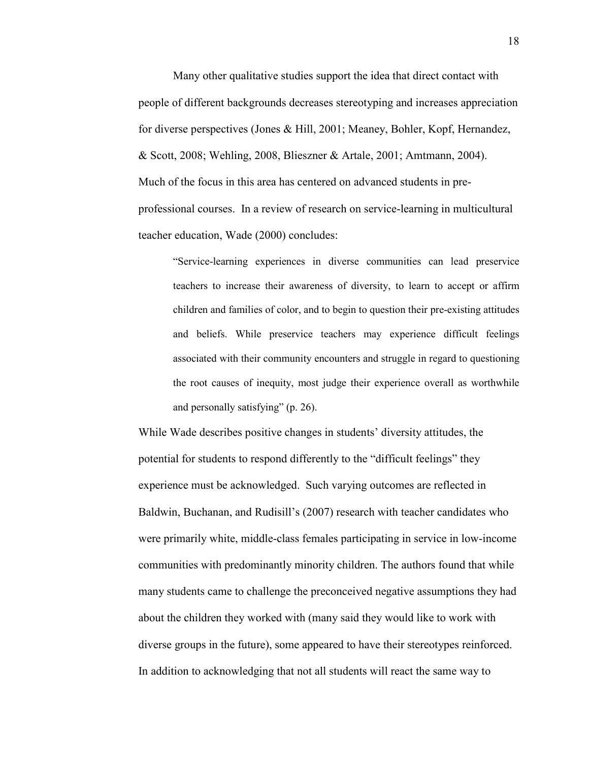Many other qualitative studies support the idea that direct contact with people of different backgrounds decreases stereotyping and increases appreciation for diverse perspectives (Jones & Hill, 2001; Meaney, Bohler, Kopf, Hernandez, & Scott, 2008; Wehling, 2008, Blieszner & Artale, 2001; Amtmann, 2004). Much of the focus in this area has centered on advanced students in preprofessional courses. In a review of research on service-learning in multicultural teacher education, Wade (2000) concludes:

"Service-learning experiences in diverse communities can lead preservice teachers to increase their awareness of diversity, to learn to accept or affirm children and families of color, and to begin to question their pre-existing attitudes and beliefs. While preservice teachers may experience difficult feelings associated with their community encounters and struggle in regard to questioning the root causes of inequity, most judge their experience overall as worthwhile and personally satisfying" (p. 26).

While Wade describes positive changes in students' diversity attitudes, the potential for students to respond differently to the "difficult feelings" they experience must be acknowledged. Such varying outcomes are reflected in Baldwin, Buchanan, and Rudisill's (2007) research with teacher candidates who were primarily white, middle-class females participating in service in low-income communities with predominantly minority children. The authors found that while many students came to challenge the preconceived negative assumptions they had about the children they worked with (many said they would like to work with diverse groups in the future), some appeared to have their stereotypes reinforced. In addition to acknowledging that not all students will react the same way to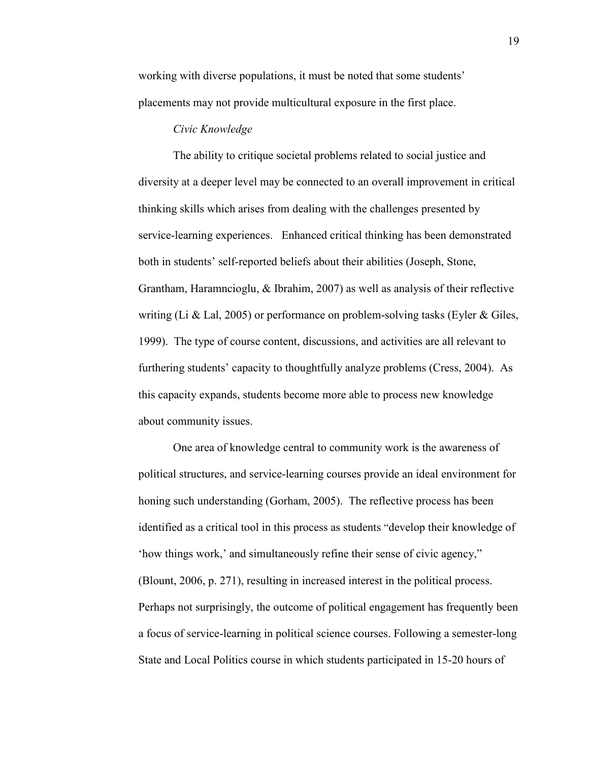working with diverse populations, it must be noted that some students' placements may not provide multicultural exposure in the first place.

# *Civic Knowledge*

The ability to critique societal problems related to social justice and diversity at a deeper level may be connected to an overall improvement in critical thinking skills which arises from dealing with the challenges presented by service-learning experiences. Enhanced critical thinking has been demonstrated both in students' self-reported beliefs about their abilities (Joseph, Stone, Grantham, Haramncioglu, & Ibrahim, 2007) as well as analysis of their reflective writing (Li & Lal, 2005) or performance on problem-solving tasks (Eyler & Giles, 1999). The type of course content, discussions, and activities are all relevant to furthering students' capacity to thoughtfully analyze problems (Cress, 2004). As this capacity expands, students become more able to process new knowledge about community issues.

One area of knowledge central to community work is the awareness of political structures, and service-learning courses provide an ideal environment for honing such understanding (Gorham, 2005). The reflective process has been identified as a critical tool in this process as students "develop their knowledge of 'how things work,' and simultaneously refine their sense of civic agency," (Blount, 2006, p. 271), resulting in increased interest in the political process. Perhaps not surprisingly, the outcome of political engagement has frequently been a focus of service-learning in political science courses. Following a semester-long State and Local Politics course in which students participated in 15-20 hours of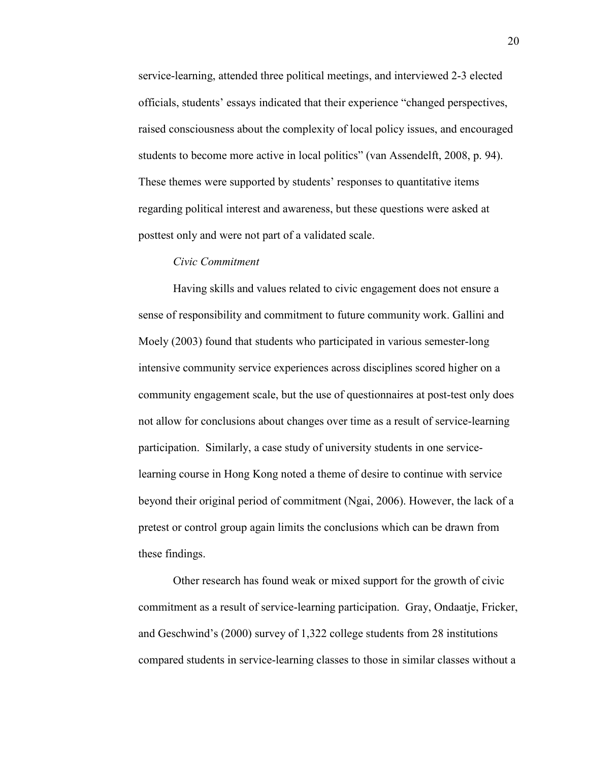service-learning, attended three political meetings, and interviewed 2-3 elected officials, students' essays indicated that their experience "changed perspectives, raised consciousness about the complexity of local policy issues, and encouraged students to become more active in local politics" (van Assendelft, 2008, p. 94). These themes were supported by students' responses to quantitative items regarding political interest and awareness, but these questions were asked at posttest only and were not part of a validated scale.

# *Civic Commitment*

Having skills and values related to civic engagement does not ensure a sense of responsibility and commitment to future community work. Gallini and Moely (2003) found that students who participated in various semester-long intensive community service experiences across disciplines scored higher on a community engagement scale, but the use of questionnaires at post-test only does not allow for conclusions about changes over time as a result of service-learning participation. Similarly, a case study of university students in one servicelearning course in Hong Kong noted a theme of desire to continue with service beyond their original period of commitment (Ngai, 2006). However, the lack of a pretest or control group again limits the conclusions which can be drawn from these findings.

Other research has found weak or mixed support for the growth of civic commitment as a result of service-learning participation. Gray, Ondaatje, Fricker, and Geschwind's (2000) survey of 1,322 college students from 28 institutions compared students in service-learning classes to those in similar classes without a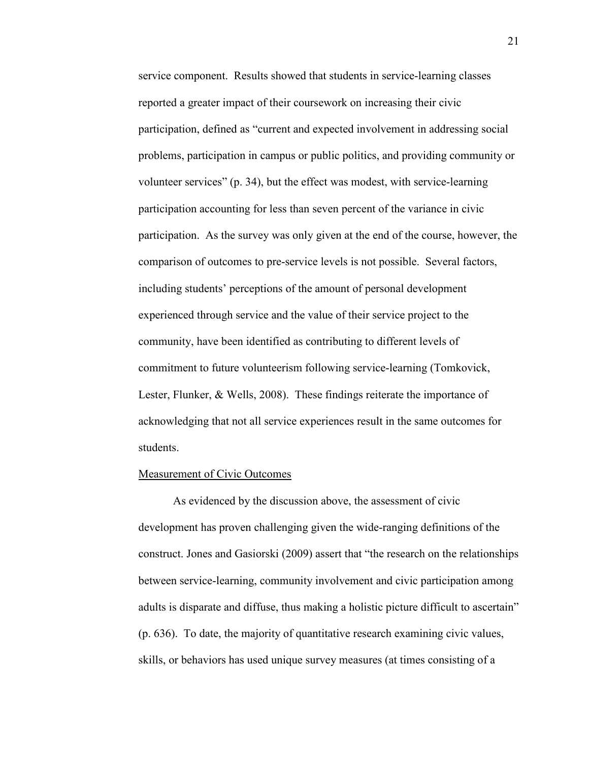service component. Results showed that students in service-learning classes reported a greater impact of their coursework on increasing their civic participation, defined as "current and expected involvement in addressing social problems, participation in campus or public politics, and providing community or volunteer services" (p. 34), but the effect was modest, with service-learning participation accounting for less than seven percent of the variance in civic participation. As the survey was only given at the end of the course, however, the comparison of outcomes to pre-service levels is not possible. Several factors, including students' perceptions of the amount of personal development experienced through service and the value of their service project to the community, have been identified as contributing to different levels of commitment to future volunteerism following service-learning (Tomkovick, Lester, Flunker, & Wells, 2008). These findings reiterate the importance of acknowledging that not all service experiences result in the same outcomes for students.

# Measurement of Civic Outcomes

 As evidenced by the discussion above, the assessment of civic development has proven challenging given the wide-ranging definitions of the construct. Jones and Gasiorski (2009) assert that "the research on the relationships between service-learning, community involvement and civic participation among adults is disparate and diffuse, thus making a holistic picture difficult to ascertain" (p. 636). To date, the majority of quantitative research examining civic values, skills, or behaviors has used unique survey measures (at times consisting of a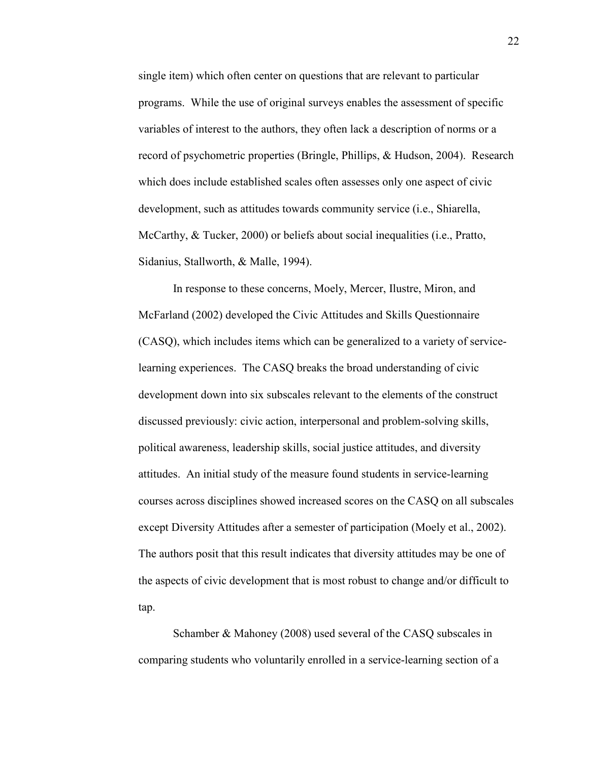single item) which often center on questions that are relevant to particular programs. While the use of original surveys enables the assessment of specific variables of interest to the authors, they often lack a description of norms or a record of psychometric properties (Bringle, Phillips, & Hudson, 2004). Research which does include established scales often assesses only one aspect of civic development, such as attitudes towards community service (i.e., Shiarella, McCarthy, & Tucker, 2000) or beliefs about social inequalities (i.e., Pratto, Sidanius, Stallworth, & Malle, 1994).

In response to these concerns, Moely, Mercer, Ilustre, Miron, and McFarland (2002) developed the Civic Attitudes and Skills Questionnaire (CASQ), which includes items which can be generalized to a variety of servicelearning experiences. The CASQ breaks the broad understanding of civic development down into six subscales relevant to the elements of the construct discussed previously: civic action, interpersonal and problem-solving skills, political awareness, leadership skills, social justice attitudes, and diversity attitudes. An initial study of the measure found students in service-learning courses across disciplines showed increased scores on the CASQ on all subscales except Diversity Attitudes after a semester of participation (Moely et al., 2002). The authors posit that this result indicates that diversity attitudes may be one of the aspects of civic development that is most robust to change and/or difficult to tap.

 Schamber & Mahoney (2008) used several of the CASQ subscales in comparing students who voluntarily enrolled in a service-learning section of a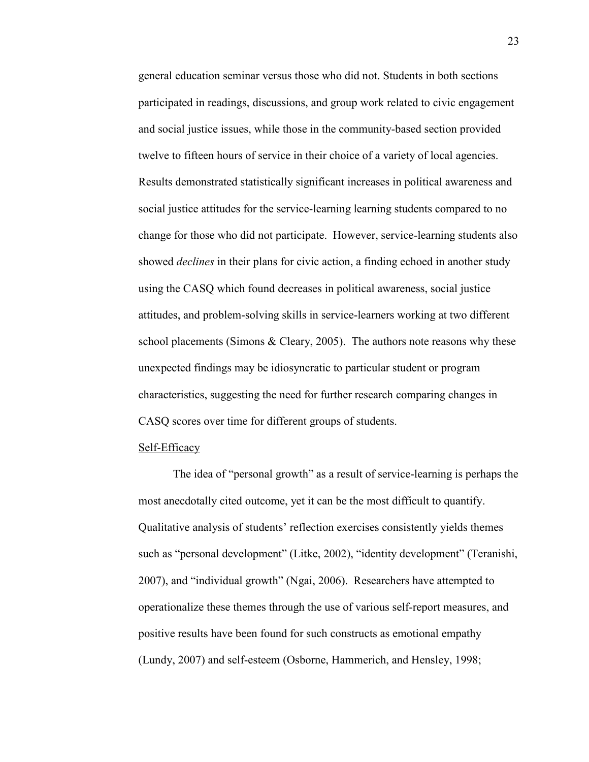general education seminar versus those who did not. Students in both sections participated in readings, discussions, and group work related to civic engagement and social justice issues, while those in the community-based section provided twelve to fifteen hours of service in their choice of a variety of local agencies. Results demonstrated statistically significant increases in political awareness and social justice attitudes for the service-learning learning students compared to no change for those who did not participate. However, service-learning students also showed *declines* in their plans for civic action, a finding echoed in another study using the CASQ which found decreases in political awareness, social justice attitudes, and problem-solving skills in service-learners working at two different school placements (Simons & Cleary, 2005). The authors note reasons why these unexpected findings may be idiosyncratic to particular student or program characteristics, suggesting the need for further research comparing changes in CASQ scores over time for different groups of students.

#### Self-Efficacy

The idea of "personal growth" as a result of service-learning is perhaps the most anecdotally cited outcome, yet it can be the most difficult to quantify. Qualitative analysis of students' reflection exercises consistently yields themes such as "personal development" (Litke, 2002), "identity development" (Teranishi, 2007), and "individual growth" (Ngai, 2006). Researchers have attempted to operationalize these themes through the use of various self-report measures, and positive results have been found for such constructs as emotional empathy (Lundy, 2007) and self-esteem (Osborne, Hammerich, and Hensley, 1998;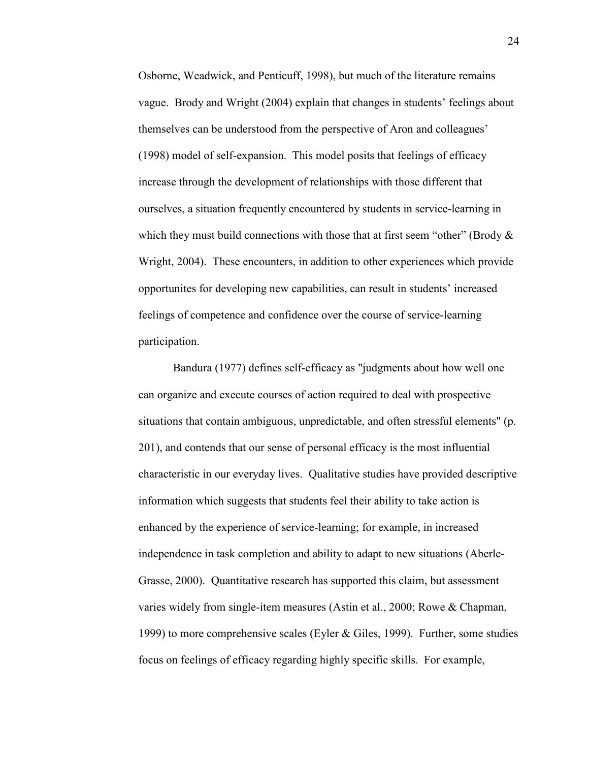Osborne, Weadwick, and Penticuff, 1998), but much of the literature remains vague. Brody and Wright (2004) explain that changes in students' feelings about themselves can be understood from the perspective of Aron and colleagues' (1998) model of self-expansion. This model posits that feelings of efficacy increase through the development of relationships with those different that ourselves, a situation frequently encountered by students in service-learning in which they must build connections with those that at first seem "other" (Brody  $\&$ Wright, 2004). These encounters, in addition to other experiences which provide opportunites for developing new capabilities, can result in students' increased feelings of competence and confidence over the course of service-learning participation.

Bandura (1977) defines self-efficacy as "judgments about how well one can organize and execute courses of action required to deal with prospective situations that contain ambiguous, unpredictable, and often stressful elements" (p. 201), and contends that our sense of personal efficacy is the most influential characteristic in our everyday lives. Qualitative studies have provided descriptive information which suggests that students feel their ability to take action is enhanced by the experience of service-learning; for example, in increased independence in task completion and ability to adapt to new situations (Aberle-Grasse, 2000). Quantitative research has supported this claim, but assessment varies widely from single-item measures (Astin et al., 2000; Rowe & Chapman, 1999) to more comprehensive scales (Eyler  $\&$  Giles, 1999). Further, some studies focus on feelings of efficacy regarding highly specific skills. For example,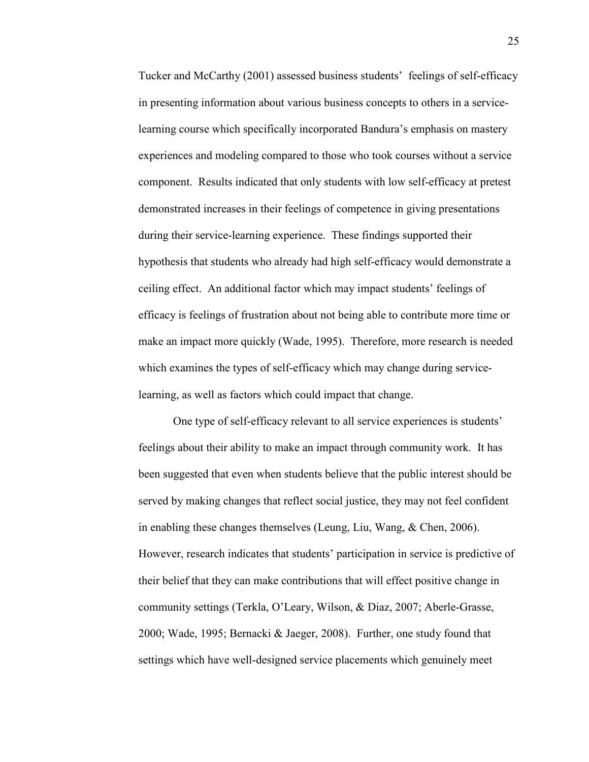Tucker and McCarthy (2001) assessed business students' feelings of self-efficacy in presenting information about various business concepts to others in a servicelearning course which specifically incorporated Bandura's emphasis on mastery experiences and modeling compared to those who took courses without a service component. Results indicated that only students with low self-efficacy at pretest demonstrated increases in their feelings of competence in giving presentations during their service-learning experience. These findings supported their hypothesis that students who already had high self-efficacy would demonstrate a ceiling effect. An additional factor which may impact students' feelings of efficacy is feelings of frustration about not being able to contribute more time or make an impact more quickly (Wade, 1995). Therefore, more research is needed which examines the types of self-efficacy which may change during servicelearning, as well as factors which could impact that change.

One type of self-efficacy relevant to all service experiences is students' feelings about their ability to make an impact through community work. It has been suggested that even when students believe that the public interest should be served by making changes that reflect social justice, they may not feel confident in enabling these changes themselves (Leung, Liu, Wang, & Chen, 2006). However, research indicates that students' participation in service is predictive of their belief that they can make contributions that will effect positive change in community settings (Terkla, O'Leary, Wilson, & Diaz, 2007; Aberle-Grasse, 2000; Wade, 1995; Bernacki & Jaeger, 2008). Further, one study found that settings which have well-designed service placements which genuinely meet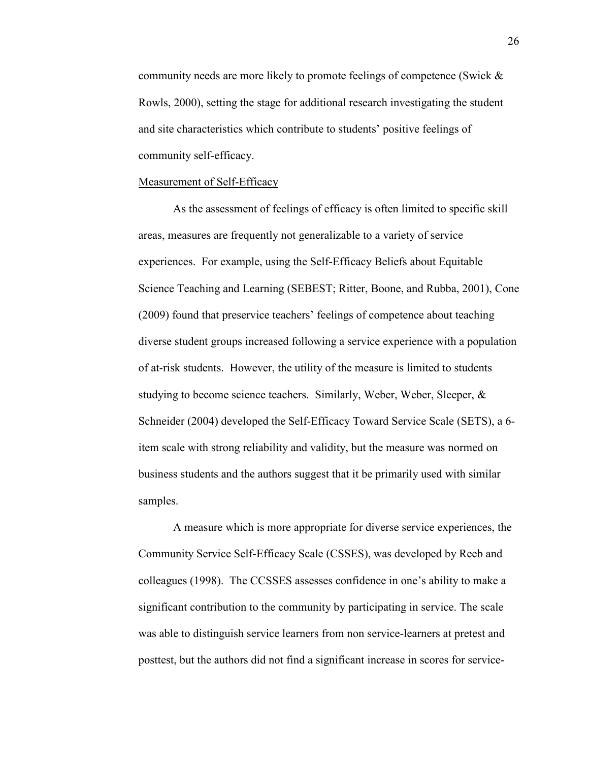community needs are more likely to promote feelings of competence (Swick & Rowls, 2000), setting the stage for additional research investigating the student and site characteristics which contribute to students' positive feelings of community self-efficacy.

#### Measurement of Self-Efficacy

As the assessment of feelings of efficacy is often limited to specific skill areas, measures are frequently not generalizable to a variety of service experiences. For example, using the Self-Efficacy Beliefs about Equitable Science Teaching and Learning (SEBEST; Ritter, Boone, and Rubba, 2001), Cone (2009) found that preservice teachers' feelings of competence about teaching diverse student groups increased following a service experience with a population of at-risk students. However, the utility of the measure is limited to students studying to become science teachers. Similarly, Weber, Weber, Sleeper, & Schneider (2004) developed the Self-Efficacy Toward Service Scale (SETS), a 6 item scale with strong reliability and validity, but the measure was normed on business students and the authors suggest that it be primarily used with similar samples.

A measure which is more appropriate for diverse service experiences, the Community Service Self-Efficacy Scale (CSSES), was developed by Reeb and colleagues (1998). The CCSSES assesses confidence in one's ability to make a significant contribution to the community by participating in service. The scale was able to distinguish service learners from non service-learners at pretest and posttest, but the authors did not find a significant increase in scores for service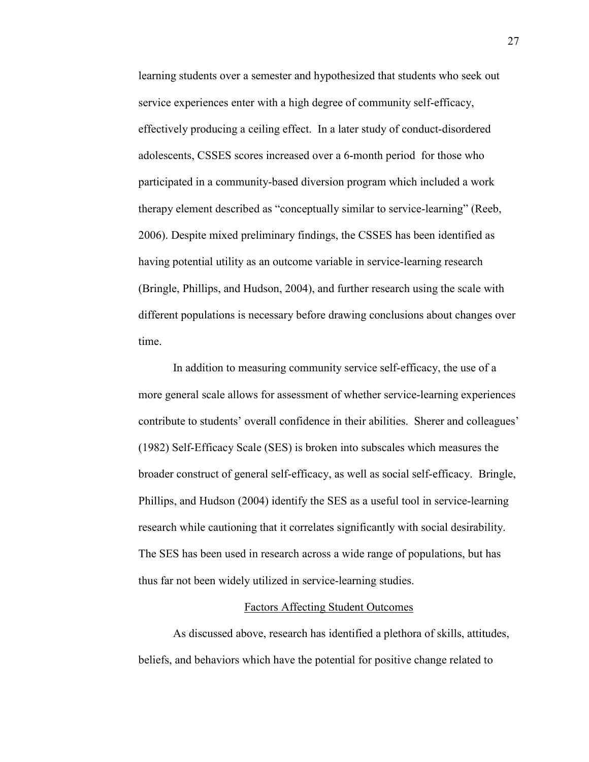learning students over a semester and hypothesized that students who seek out service experiences enter with a high degree of community self-efficacy, effectively producing a ceiling effect. In a later study of conduct-disordered adolescents, CSSES scores increased over a 6-month period for those who participated in a community-based diversion program which included a work therapy element described as "conceptually similar to service-learning" (Reeb, 2006). Despite mixed preliminary findings, the CSSES has been identified as having potential utility as an outcome variable in service-learning research (Bringle, Phillips, and Hudson, 2004), and further research using the scale with different populations is necessary before drawing conclusions about changes over time.

In addition to measuring community service self-efficacy, the use of a more general scale allows for assessment of whether service-learning experiences contribute to students' overall confidence in their abilities. Sherer and colleagues' (1982) Self-Efficacy Scale (SES) is broken into subscales which measures the broader construct of general self-efficacy, as well as social self-efficacy. Bringle, Phillips, and Hudson (2004) identify the SES as a useful tool in service-learning research while cautioning that it correlates significantly with social desirability. The SES has been used in research across a wide range of populations, but has thus far not been widely utilized in service-learning studies.

#### Factors Affecting Student Outcomes

 As discussed above, research has identified a plethora of skills, attitudes, beliefs, and behaviors which have the potential for positive change related to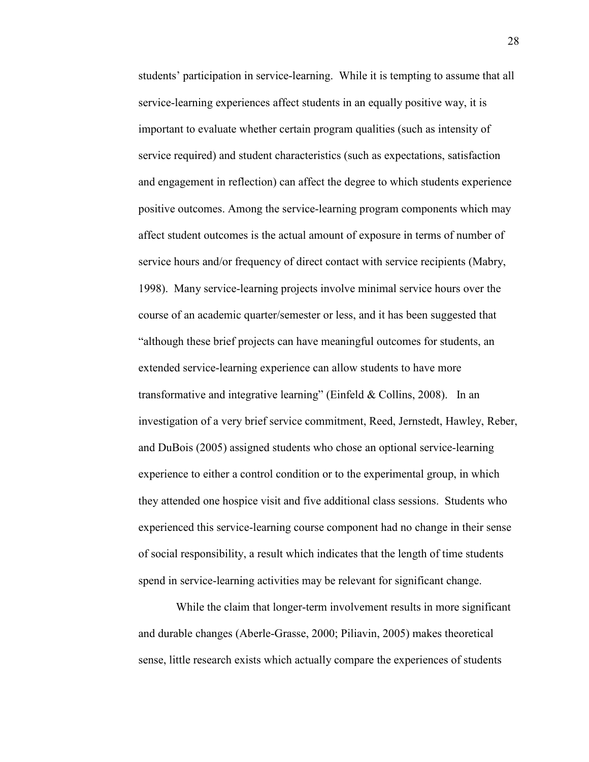students' participation in service-learning. While it is tempting to assume that all service-learning experiences affect students in an equally positive way, it is important to evaluate whether certain program qualities (such as intensity of service required) and student characteristics (such as expectations, satisfaction and engagement in reflection) can affect the degree to which students experience positive outcomes. Among the service-learning program components which may affect student outcomes is the actual amount of exposure in terms of number of service hours and/or frequency of direct contact with service recipients (Mabry, 1998). Many service-learning projects involve minimal service hours over the course of an academic quarter/semester or less, and it has been suggested that "although these brief projects can have meaningful outcomes for students, an extended service-learning experience can allow students to have more transformative and integrative learning" (Einfeld & Collins, 2008). In an investigation of a very brief service commitment, Reed, Jernstedt, Hawley, Reber, and DuBois (2005) assigned students who chose an optional service-learning experience to either a control condition or to the experimental group, in which they attended one hospice visit and five additional class sessions. Students who experienced this service-learning course component had no change in their sense of social responsibility, a result which indicates that the length of time students spend in service-learning activities may be relevant for significant change.

 While the claim that longer-term involvement results in more significant and durable changes (Aberle-Grasse, 2000; Piliavin, 2005) makes theoretical sense, little research exists which actually compare the experiences of students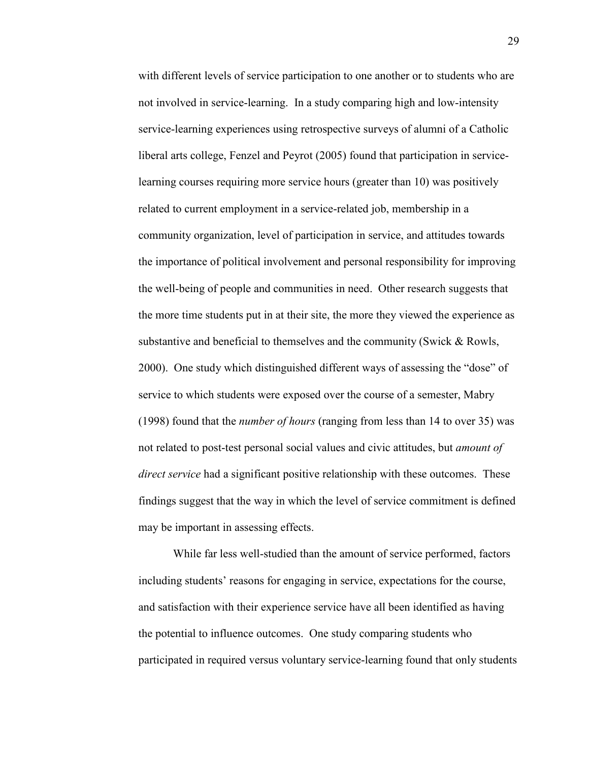with different levels of service participation to one another or to students who are not involved in service-learning. In a study comparing high and low-intensity service-learning experiences using retrospective surveys of alumni of a Catholic liberal arts college, Fenzel and Peyrot (2005) found that participation in servicelearning courses requiring more service hours (greater than 10) was positively related to current employment in a service-related job, membership in a community organization, level of participation in service, and attitudes towards the importance of political involvement and personal responsibility for improving the well-being of people and communities in need. Other research suggests that the more time students put in at their site, the more they viewed the experience as substantive and beneficial to themselves and the community (Swick & Rowls, 2000). One study which distinguished different ways of assessing the "dose" of service to which students were exposed over the course of a semester, Mabry (1998) found that the *number of hours* (ranging from less than 14 to over 35) was not related to post-test personal social values and civic attitudes, but *amount of direct service* had a significant positive relationship with these outcomes. These findings suggest that the way in which the level of service commitment is defined may be important in assessing effects.

While far less well-studied than the amount of service performed, factors including students' reasons for engaging in service, expectations for the course, and satisfaction with their experience service have all been identified as having the potential to influence outcomes. One study comparing students who participated in required versus voluntary service-learning found that only students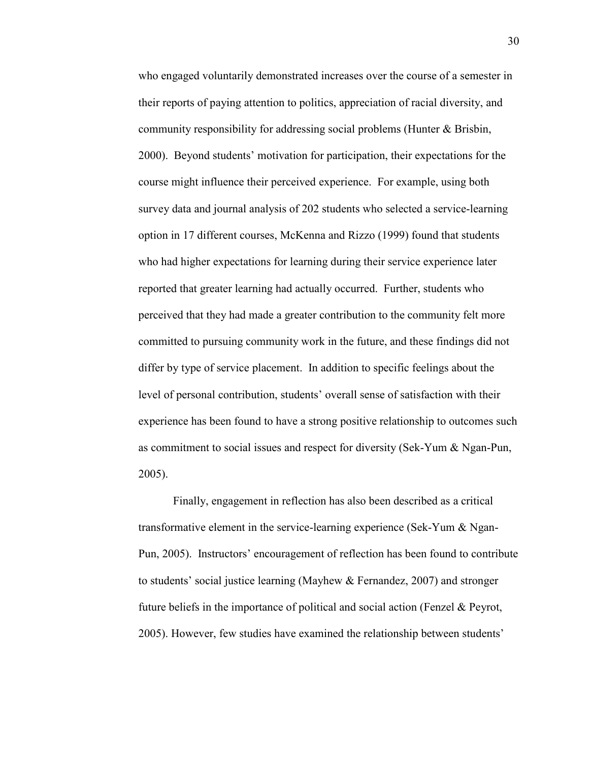who engaged voluntarily demonstrated increases over the course of a semester in their reports of paying attention to politics, appreciation of racial diversity, and community responsibility for addressing social problems (Hunter & Brisbin, 2000). Beyond students' motivation for participation, their expectations for the course might influence their perceived experience. For example, using both survey data and journal analysis of 202 students who selected a service-learning option in 17 different courses, McKenna and Rizzo (1999) found that students who had higher expectations for learning during their service experience later reported that greater learning had actually occurred. Further, students who perceived that they had made a greater contribution to the community felt more committed to pursuing community work in the future, and these findings did not differ by type of service placement. In addition to specific feelings about the level of personal contribution, students' overall sense of satisfaction with their experience has been found to have a strong positive relationship to outcomes such as commitment to social issues and respect for diversity (Sek-Yum & Ngan-Pun, 2005).

 Finally, engagement in reflection has also been described as a critical transformative element in the service-learning experience (Sek-Yum & Ngan-Pun, 2005). Instructors' encouragement of reflection has been found to contribute to students' social justice learning (Mayhew & Fernandez, 2007) and stronger future beliefs in the importance of political and social action (Fenzel & Peyrot, 2005). However, few studies have examined the relationship between students'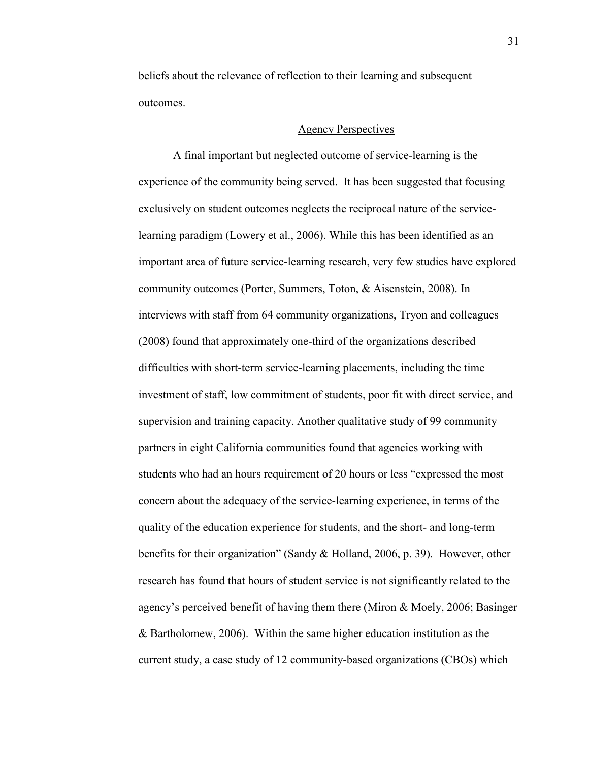beliefs about the relevance of reflection to their learning and subsequent outcomes.

# Agency Perspectives

A final important but neglected outcome of service-learning is the experience of the community being served. It has been suggested that focusing exclusively on student outcomes neglects the reciprocal nature of the servicelearning paradigm (Lowery et al., 2006). While this has been identified as an important area of future service-learning research, very few studies have explored community outcomes (Porter, Summers, Toton, & Aisenstein, 2008). In interviews with staff from 64 community organizations, Tryon and colleagues (2008) found that approximately one-third of the organizations described difficulties with short-term service-learning placements, including the time investment of staff, low commitment of students, poor fit with direct service, and supervision and training capacity. Another qualitative study of 99 community partners in eight California communities found that agencies working with students who had an hours requirement of 20 hours or less "expressed the most concern about the adequacy of the service-learning experience, in terms of the quality of the education experience for students, and the short- and long-term benefits for their organization" (Sandy & Holland, 2006, p. 39). However, other research has found that hours of student service is not significantly related to the agency's perceived benefit of having them there (Miron & Moely, 2006; Basinger & Bartholomew, 2006). Within the same higher education institution as the current study, a case study of 12 community-based organizations (CBOs) which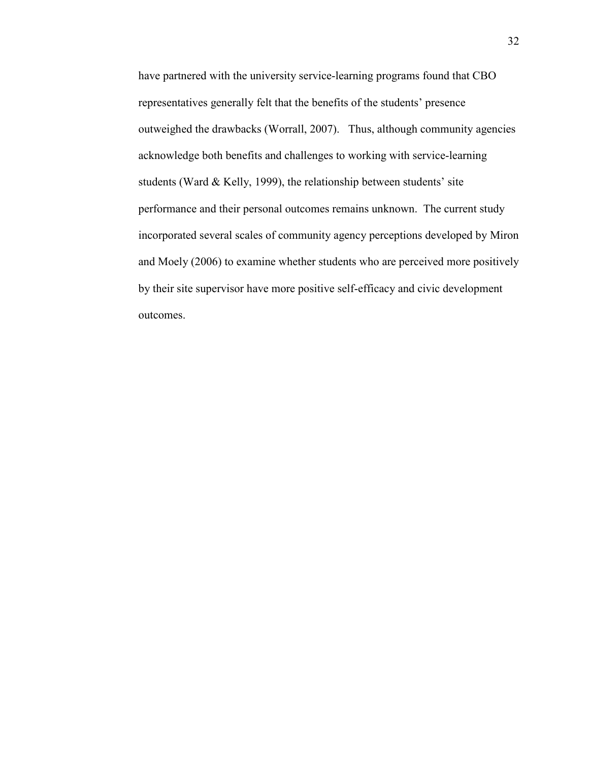have partnered with the university service-learning programs found that CBO representatives generally felt that the benefits of the students' presence outweighed the drawbacks (Worrall, 2007). Thus, although community agencies acknowledge both benefits and challenges to working with service-learning students (Ward & Kelly, 1999), the relationship between students' site performance and their personal outcomes remains unknown. The current study incorporated several scales of community agency perceptions developed by Miron and Moely (2006) to examine whether students who are perceived more positively by their site supervisor have more positive self-efficacy and civic development outcomes.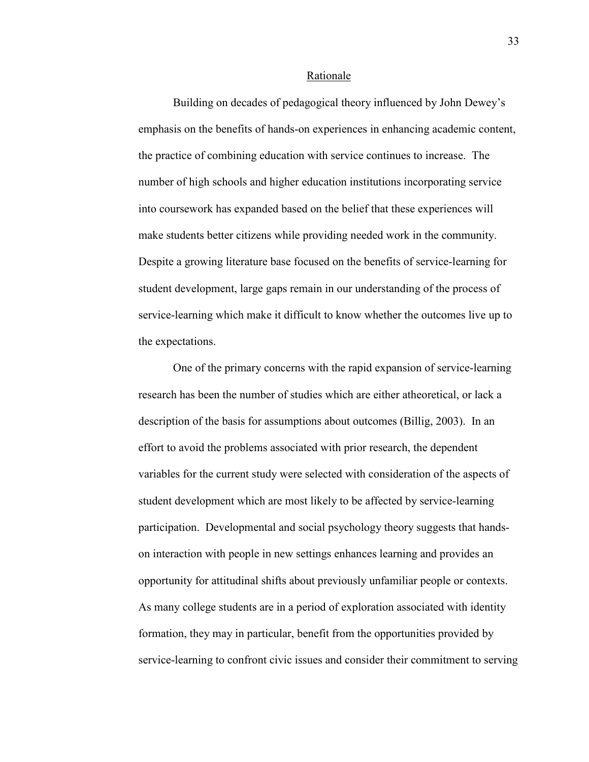#### Rationale

 Building on decades of pedagogical theory influenced by John Dewey's emphasis on the benefits of hands-on experiences in enhancing academic content, the practice of combining education with service continues to increase. The number of high schools and higher education institutions incorporating service into coursework has expanded based on the belief that these experiences will make students better citizens while providing needed work in the community. Despite a growing literature base focused on the benefits of service-learning for student development, large gaps remain in our understanding of the process of service-learning which make it difficult to know whether the outcomes live up to the expectations.

 One of the primary concerns with the rapid expansion of service-learning research has been the number of studies which are either atheoretical, or lack a description of the basis for assumptions about outcomes (Billig, 2003). In an effort to avoid the problems associated with prior research, the dependent variables for the current study were selected with consideration of the aspects of student development which are most likely to be affected by service-learning participation. Developmental and social psychology theory suggests that handson interaction with people in new settings enhances learning and provides an opportunity for attitudinal shifts about previously unfamiliar people or contexts. As many college students are in a period of exploration associated with identity formation, they may in particular, benefit from the opportunities provided by service-learning to confront civic issues and consider their commitment to serving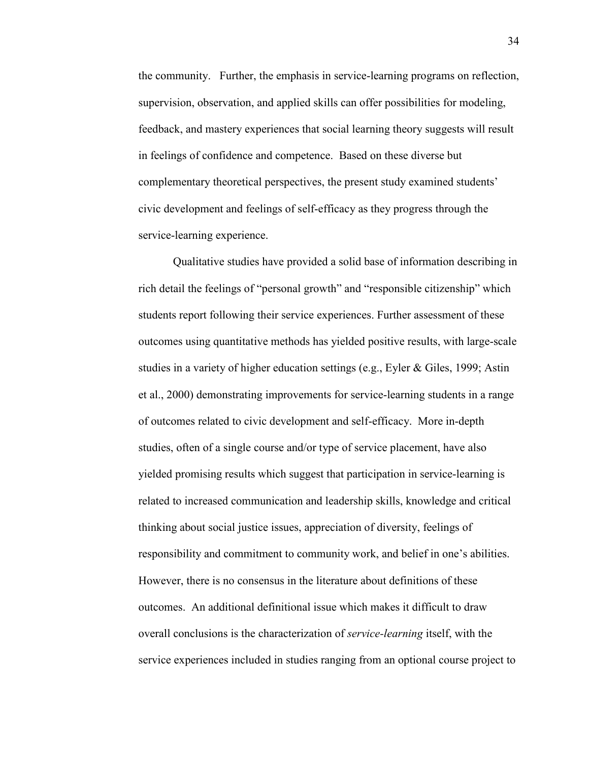the community. Further, the emphasis in service-learning programs on reflection, supervision, observation, and applied skills can offer possibilities for modeling, feedback, and mastery experiences that social learning theory suggests will result in feelings of confidence and competence. Based on these diverse but complementary theoretical perspectives, the present study examined students' civic development and feelings of self-efficacy as they progress through the service-learning experience.

Qualitative studies have provided a solid base of information describing in rich detail the feelings of "personal growth" and "responsible citizenship" which students report following their service experiences. Further assessment of these outcomes using quantitative methods has yielded positive results, with large-scale studies in a variety of higher education settings (e.g., Eyler & Giles, 1999; Astin et al., 2000) demonstrating improvements for service-learning students in a range of outcomes related to civic development and self-efficacy. More in-depth studies, often of a single course and/or type of service placement, have also yielded promising results which suggest that participation in service-learning is related to increased communication and leadership skills, knowledge and critical thinking about social justice issues, appreciation of diversity, feelings of responsibility and commitment to community work, and belief in one's abilities. However, there is no consensus in the literature about definitions of these outcomes. An additional definitional issue which makes it difficult to draw overall conclusions is the characterization of *service-learning* itself, with the service experiences included in studies ranging from an optional course project to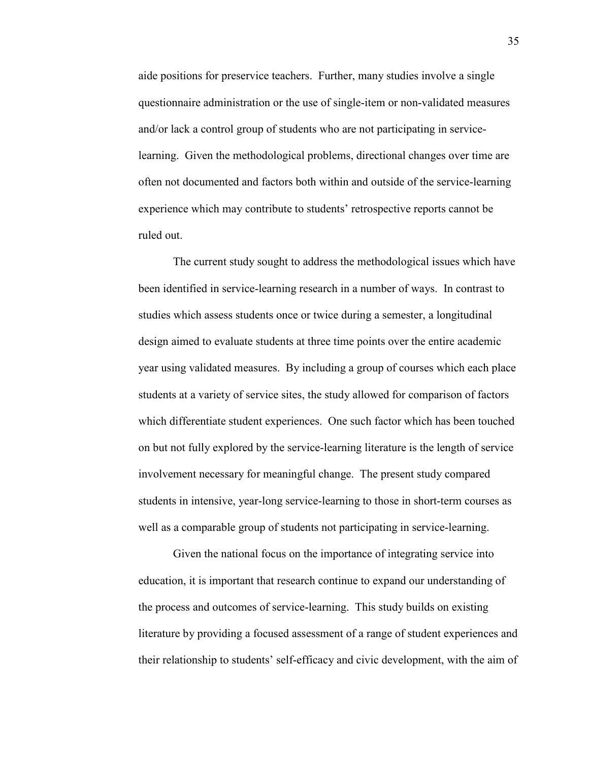aide positions for preservice teachers. Further, many studies involve a single questionnaire administration or the use of single-item or non-validated measures and/or lack a control group of students who are not participating in servicelearning. Given the methodological problems, directional changes over time are often not documented and factors both within and outside of the service-learning experience which may contribute to students' retrospective reports cannot be ruled out.

The current study sought to address the methodological issues which have been identified in service-learning research in a number of ways. In contrast to studies which assess students once or twice during a semester, a longitudinal design aimed to evaluate students at three time points over the entire academic year using validated measures. By including a group of courses which each place students at a variety of service sites, the study allowed for comparison of factors which differentiate student experiences. One such factor which has been touched on but not fully explored by the service-learning literature is the length of service involvement necessary for meaningful change. The present study compared students in intensive, year-long service-learning to those in short-term courses as well as a comparable group of students not participating in service-learning.

 Given the national focus on the importance of integrating service into education, it is important that research continue to expand our understanding of the process and outcomes of service-learning. This study builds on existing literature by providing a focused assessment of a range of student experiences and their relationship to students' self-efficacy and civic development, with the aim of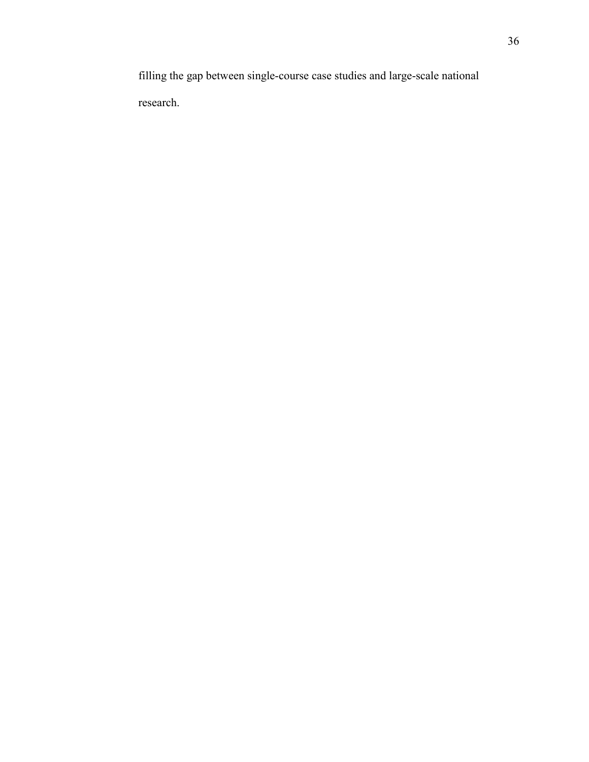filling the gap between single-course case studies and large-scale national research.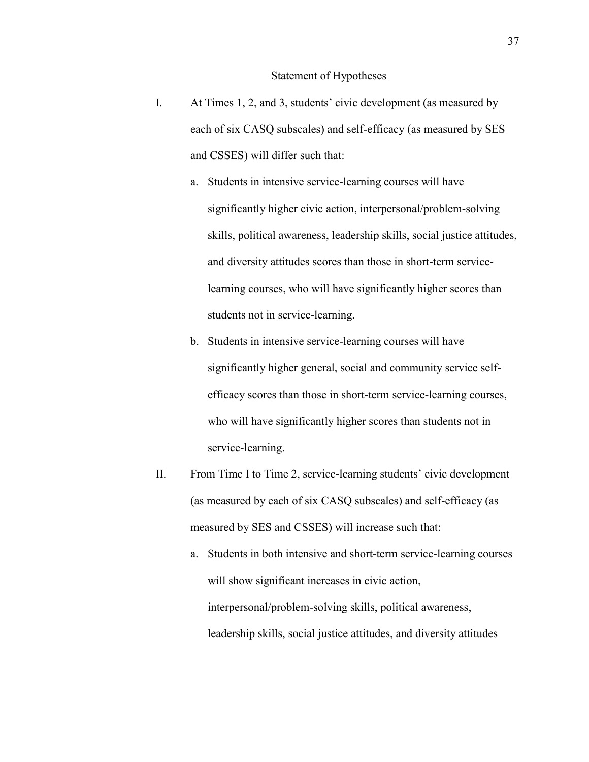#### Statement of Hypotheses

- I. At Times 1, 2, and 3, students' civic development (as measured by each of six CASQ subscales) and self-efficacy (as measured by SES and CSSES) will differ such that:
	- a. Students in intensive service-learning courses will have significantly higher civic action, interpersonal/problem-solving skills, political awareness, leadership skills, social justice attitudes, and diversity attitudes scores than those in short-term servicelearning courses, who will have significantly higher scores than students not in service-learning.
	- b. Students in intensive service-learning courses will have significantly higher general, social and community service selfefficacy scores than those in short-term service-learning courses, who will have significantly higher scores than students not in service-learning.
- II. From Time I to Time 2, service-learning students' civic development (as measured by each of six CASQ subscales) and self-efficacy (as measured by SES and CSSES) will increase such that:
	- a. Students in both intensive and short-term service-learning courses will show significant increases in civic action, interpersonal/problem-solving skills, political awareness, leadership skills, social justice attitudes, and diversity attitudes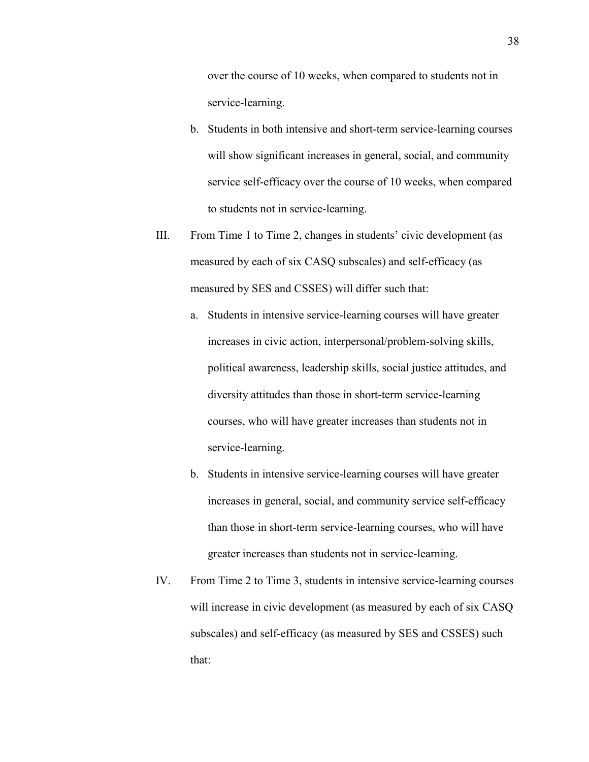over the course of 10 weeks, when compared to students not in service-learning.

- b. Students in both intensive and short-term service-learning courses will show significant increases in general, social, and community service self-efficacy over the course of 10 weeks, when compared to students not in service-learning.
- III. From Time 1 to Time 2, changes in students' civic development (as measured by each of six CASQ subscales) and self-efficacy (as measured by SES and CSSES) will differ such that:
	- a. Students in intensive service-learning courses will have greater increases in civic action, interpersonal/problem-solving skills, political awareness, leadership skills, social justice attitudes, and diversity attitudes than those in short-term service-learning courses, who will have greater increases than students not in service-learning.
	- b. Students in intensive service-learning courses will have greater increases in general, social, and community service self-efficacy than those in short-term service-learning courses, who will have greater increases than students not in service-learning.
- IV. From Time 2 to Time 3, students in intensive service-learning courses will increase in civic development (as measured by each of six CASQ subscales) and self-efficacy (as measured by SES and CSSES) such that: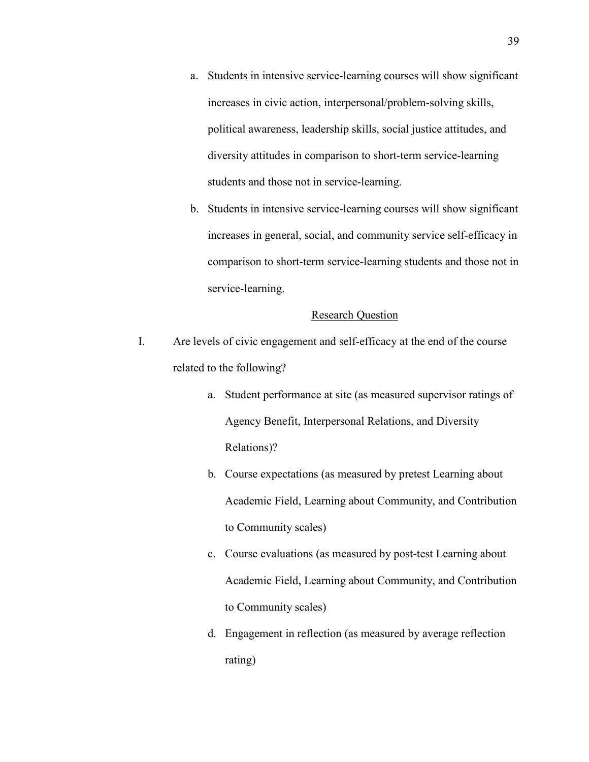- a. Students in intensive service-learning courses will show significant increases in civic action, interpersonal/problem-solving skills, political awareness, leadership skills, social justice attitudes, and diversity attitudes in comparison to short-term service-learning students and those not in service-learning.
- b. Students in intensive service-learning courses will show significant increases in general, social, and community service self-efficacy in comparison to short-term service-learning students and those not in service-learning.

# Research Question

- I. Are levels of civic engagement and self-efficacy at the end of the course related to the following?
	- a. Student performance at site (as measured supervisor ratings of Agency Benefit, Interpersonal Relations, and Diversity Relations)?
	- b. Course expectations (as measured by pretest Learning about Academic Field, Learning about Community, and Contribution to Community scales)
	- c. Course evaluations (as measured by post-test Learning about Academic Field, Learning about Community, and Contribution to Community scales)
	- d. Engagement in reflection (as measured by average reflection rating)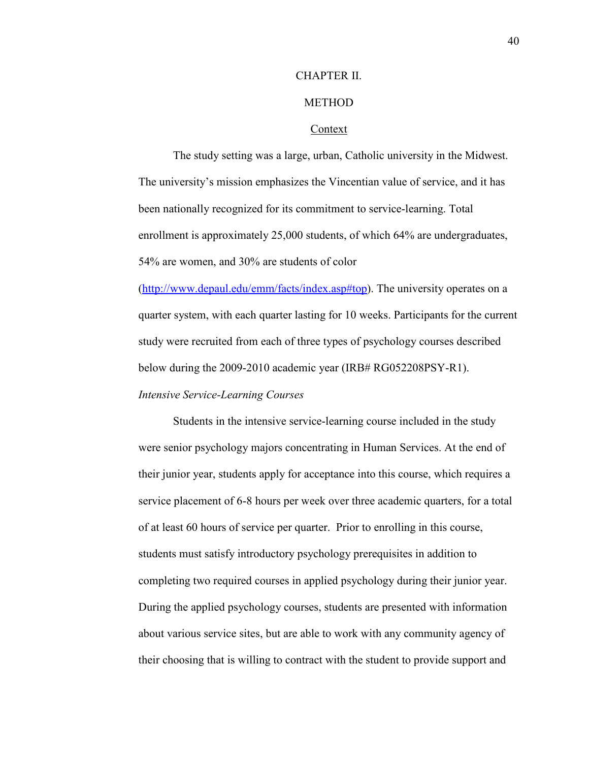# CHAPTER II.

# **METHOD**

#### Context

The study setting was a large, urban, Catholic university in the Midwest. The university's mission emphasizes the Vincentian value of service, and it has been nationally recognized for its commitment to service-learning. Total enrollment is approximately 25,000 students, of which 64% are undergraduates, 54% are women, and 30% are students of color

(http://www.depaul.edu/emm/facts/index.asp#top). The university operates on a quarter system, with each quarter lasting for 10 weeks. Participants for the current study were recruited from each of three types of psychology courses described below during the 2009-2010 academic year (IRB# RG052208PSY-R1).

# *Intensive Service-Learning Courses*

Students in the intensive service-learning course included in the study were senior psychology majors concentrating in Human Services. At the end of their junior year, students apply for acceptance into this course, which requires a service placement of 6-8 hours per week over three academic quarters, for a total of at least 60 hours of service per quarter. Prior to enrolling in this course, students must satisfy introductory psychology prerequisites in addition to completing two required courses in applied psychology during their junior year. During the applied psychology courses, students are presented with information about various service sites, but are able to work with any community agency of their choosing that is willing to contract with the student to provide support and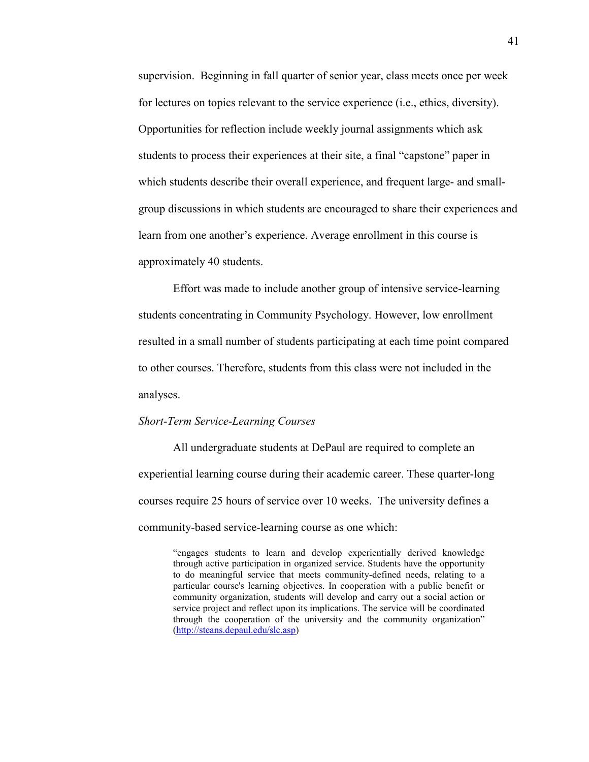supervision. Beginning in fall quarter of senior year, class meets once per week for lectures on topics relevant to the service experience (i.e., ethics, diversity). Opportunities for reflection include weekly journal assignments which ask students to process their experiences at their site, a final "capstone" paper in which students describe their overall experience, and frequent large- and smallgroup discussions in which students are encouraged to share their experiences and learn from one another's experience. Average enrollment in this course is approximately 40 students.

 Effort was made to include another group of intensive service-learning students concentrating in Community Psychology. However, low enrollment resulted in a small number of students participating at each time point compared to other courses. Therefore, students from this class were not included in the analyses.

#### *Short-Term Service-Learning Courses*

All undergraduate students at DePaul are required to complete an experiential learning course during their academic career. These quarter-long courses require 25 hours of service over 10 weeks. The university defines a community-based service-learning course as one which:

"engages students to learn and develop experientially derived knowledge through active participation in organized service. Students have the opportunity to do meaningful service that meets community-defined needs, relating to a particular course's learning objectives. In cooperation with a public benefit or community organization, students will develop and carry out a social action or service project and reflect upon its implications. The service will be coordinated through the cooperation of the university and the community organization" (http://steans.depaul.edu/slc.asp)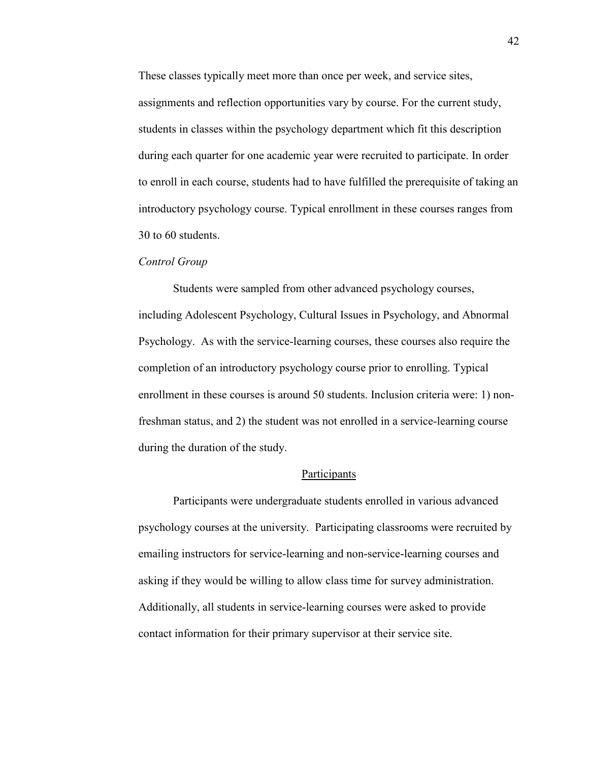These classes typically meet more than once per week, and service sites, assignments and reflection opportunities vary by course. For the current study, students in classes within the psychology department which fit this description during each quarter for one academic year were recruited to participate. In order to enroll in each course, students had to have fulfilled the prerequisite of taking an introductory psychology course. Typical enrollment in these courses ranges from 30 to 60 students.

### *Control Group*

Students were sampled from other advanced psychology courses, including Adolescent Psychology, Cultural Issues in Psychology, and Abnormal Psychology. As with the service-learning courses, these courses also require the completion of an introductory psychology course prior to enrolling. Typical enrollment in these courses is around 50 students. Inclusion criteria were: 1) nonfreshman status, and 2) the student was not enrolled in a service-learning course during the duration of the study.

# Participants

Participants were undergraduate students enrolled in various advanced psychology courses at the university. Participating classrooms were recruited by emailing instructors for service-learning and non-service-learning courses and asking if they would be willing to allow class time for survey administration. Additionally, all students in service-learning courses were asked to provide contact information for their primary supervisor at their service site.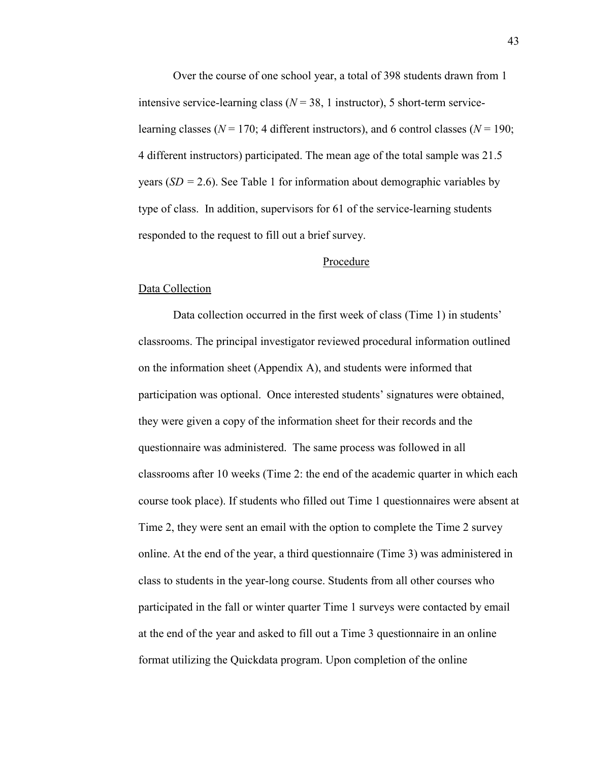Over the course of one school year, a total of 398 students drawn from 1 intensive service-learning class  $(N = 38, 1)$  instructor), 5 short-term servicelearning classes (*%* = 170; 4 different instructors), and 6 control classes (*%* = 190; 4 different instructors) participated. The mean age of the total sample was 21.5 years  $(SD = 2.6)$ . See Table 1 for information about demographic variables by type of class. In addition, supervisors for 61 of the service-learning students responded to the request to fill out a brief survey.

#### Procedure

#### Data Collection

 Data collection occurred in the first week of class (Time 1) in students' classrooms. The principal investigator reviewed procedural information outlined on the information sheet (Appendix A), and students were informed that participation was optional. Once interested students' signatures were obtained, they were given a copy of the information sheet for their records and the questionnaire was administered. The same process was followed in all classrooms after 10 weeks (Time 2: the end of the academic quarter in which each course took place). If students who filled out Time 1 questionnaires were absent at Time 2, they were sent an email with the option to complete the Time 2 survey online. At the end of the year, a third questionnaire (Time 3) was administered in class to students in the year-long course. Students from all other courses who participated in the fall or winter quarter Time 1 surveys were contacted by email at the end of the year and asked to fill out a Time 3 questionnaire in an online format utilizing the Quickdata program. Upon completion of the online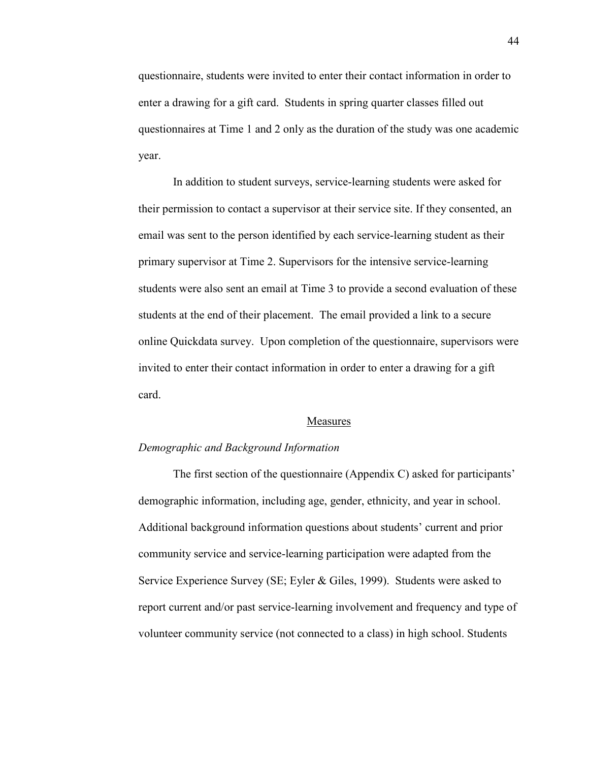questionnaire, students were invited to enter their contact information in order to enter a drawing for a gift card. Students in spring quarter classes filled out questionnaires at Time 1 and 2 only as the duration of the study was one academic year.

 In addition to student surveys, service-learning students were asked for their permission to contact a supervisor at their service site. If they consented, an email was sent to the person identified by each service-learning student as their primary supervisor at Time 2. Supervisors for the intensive service-learning students were also sent an email at Time 3 to provide a second evaluation of these students at the end of their placement. The email provided a link to a secure online Quickdata survey. Upon completion of the questionnaire, supervisors were invited to enter their contact information in order to enter a drawing for a gift card.

#### Measures

#### *Demographic and Background Information*

 The first section of the questionnaire (Appendix C) asked for participants' demographic information, including age, gender, ethnicity, and year in school. Additional background information questions about students' current and prior community service and service-learning participation were adapted from the Service Experience Survey (SE; Eyler & Giles, 1999). Students were asked to report current and/or past service-learning involvement and frequency and type of volunteer community service (not connected to a class) in high school. Students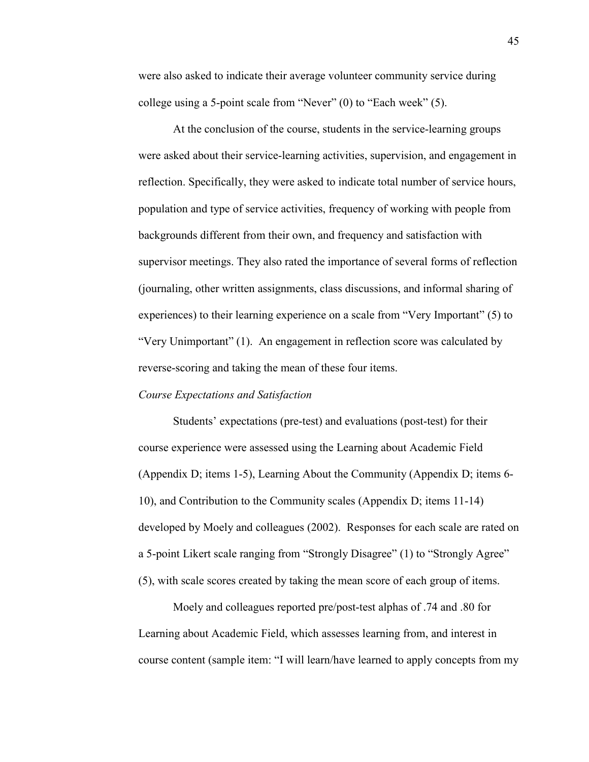were also asked to indicate their average volunteer community service during college using a 5-point scale from "Never" (0) to "Each week" (5).

At the conclusion of the course, students in the service-learning groups were asked about their service-learning activities, supervision, and engagement in reflection. Specifically, they were asked to indicate total number of service hours, population and type of service activities, frequency of working with people from backgrounds different from their own, and frequency and satisfaction with supervisor meetings. They also rated the importance of several forms of reflection (journaling, other written assignments, class discussions, and informal sharing of experiences) to their learning experience on a scale from "Very Important" (5) to "Very Unimportant" (1). An engagement in reflection score was calculated by reverse-scoring and taking the mean of these four items.

# *Course Expectations and Satisfaction*

 Students' expectations (pre-test) and evaluations (post-test) for their course experience were assessed using the Learning about Academic Field (Appendix D; items 1-5), Learning About the Community (Appendix D; items 6- 10), and Contribution to the Community scales (Appendix D; items 11-14) developed by Moely and colleagues (2002). Responses for each scale are rated on a 5-point Likert scale ranging from "Strongly Disagree" (1) to "Strongly Agree" (5), with scale scores created by taking the mean score of each group of items.

Moely and colleagues reported pre/post-test alphas of .74 and .80 for Learning about Academic Field, which assesses learning from, and interest in course content (sample item: "I will learn/have learned to apply concepts from my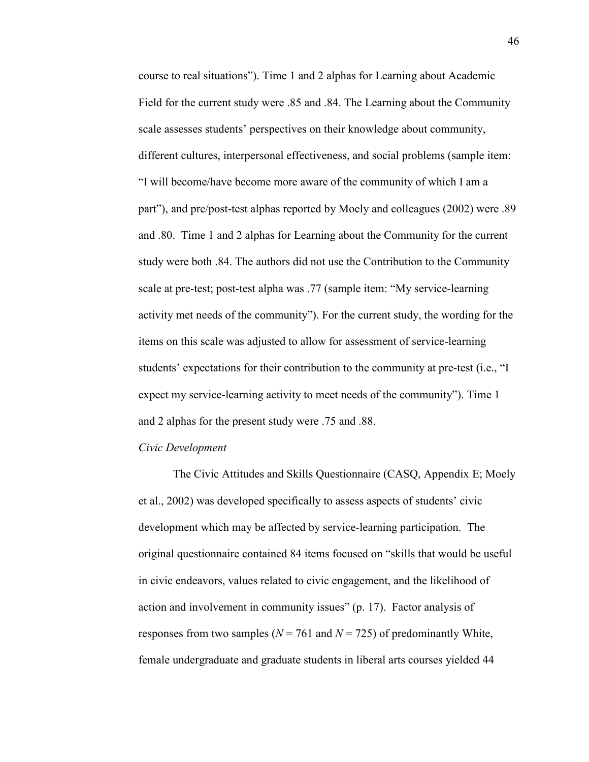course to real situations"). Time 1 and 2 alphas for Learning about Academic Field for the current study were .85 and .84. The Learning about the Community scale assesses students' perspectives on their knowledge about community, different cultures, interpersonal effectiveness, and social problems (sample item: "I will become/have become more aware of the community of which I am a part"), and pre/post-test alphas reported by Moely and colleagues (2002) were .89 and .80. Time 1 and 2 alphas for Learning about the Community for the current study were both .84. The authors did not use the Contribution to the Community scale at pre-test; post-test alpha was .77 (sample item: "My service-learning activity met needs of the community"). For the current study, the wording for the items on this scale was adjusted to allow for assessment of service-learning students' expectations for their contribution to the community at pre-test (i.e., "I expect my service-learning activity to meet needs of the community"). Time 1 and 2 alphas for the present study were .75 and .88.

### *Civic Development*

The Civic Attitudes and Skills Questionnaire (CASQ, Appendix E; Moely et al., 2002) was developed specifically to assess aspects of students' civic development which may be affected by service-learning participation. The original questionnaire contained 84 items focused on "skills that would be useful in civic endeavors, values related to civic engagement, and the likelihood of action and involvement in community issues" (p. 17). Factor analysis of responses from two samples ( $N = 761$  and  $N = 725$ ) of predominantly White, female undergraduate and graduate students in liberal arts courses yielded 44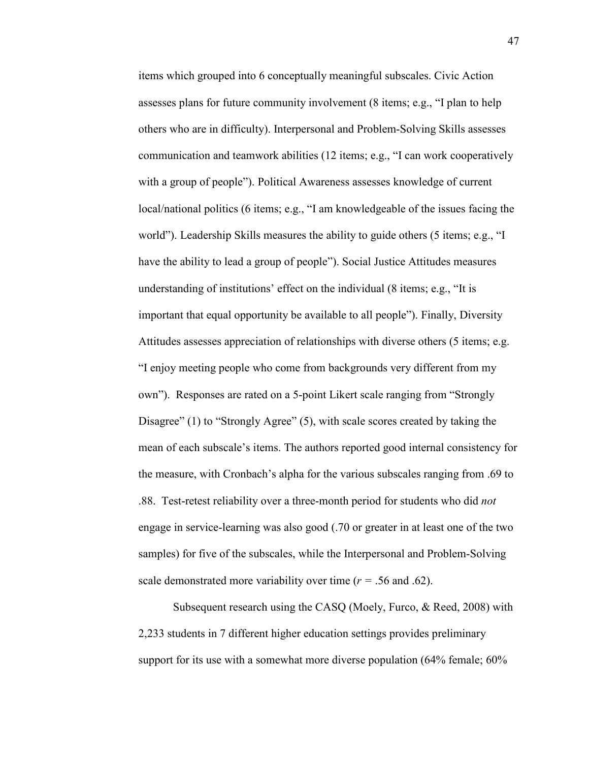items which grouped into 6 conceptually meaningful subscales. Civic Action assesses plans for future community involvement (8 items; e.g., "I plan to help others who are in difficulty). Interpersonal and Problem-Solving Skills assesses communication and teamwork abilities (12 items; e.g., "I can work cooperatively with a group of people"). Political Awareness assesses knowledge of current local/national politics (6 items; e.g., "I am knowledgeable of the issues facing the world"). Leadership Skills measures the ability to guide others (5 items; e.g., "I have the ability to lead a group of people"). Social Justice Attitudes measures understanding of institutions' effect on the individual (8 items; e.g., "It is important that equal opportunity be available to all people"). Finally, Diversity Attitudes assesses appreciation of relationships with diverse others (5 items; e.g. "I enjoy meeting people who come from backgrounds very different from my own"). Responses are rated on a 5-point Likert scale ranging from "Strongly Disagree" (1) to "Strongly Agree" (5), with scale scores created by taking the mean of each subscale's items. The authors reported good internal consistency for the measure, with Cronbach's alpha for the various subscales ranging from .69 to .88. Test-retest reliability over a three-month period for students who did *not* engage in service-learning was also good (.70 or greater in at least one of the two samples) for five of the subscales, while the Interpersonal and Problem-Solving scale demonstrated more variability over time  $(r = .56$  and  $.62)$ .

Subsequent research using the CASQ (Moely, Furco, & Reed, 2008) with 2,233 students in 7 different higher education settings provides preliminary support for its use with a somewhat more diverse population (64% female; 60%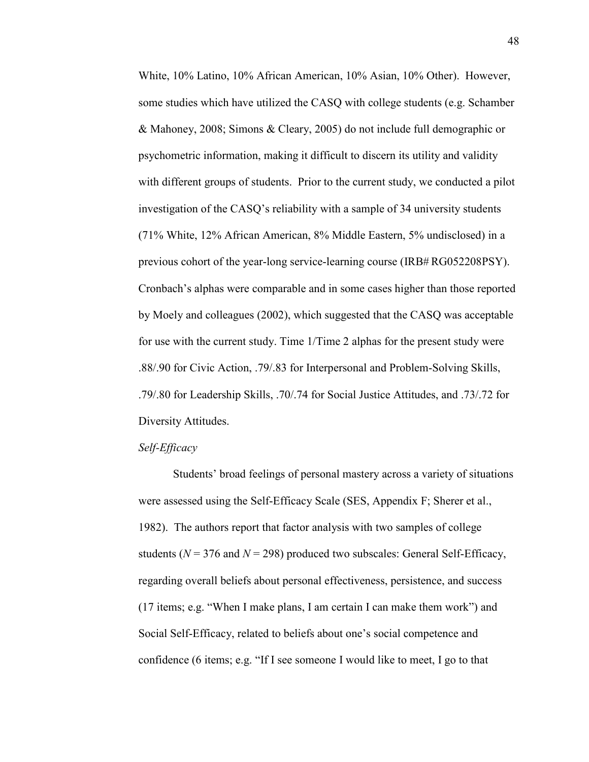White, 10% Latino, 10% African American, 10% Asian, 10% Other). However, some studies which have utilized the CASQ with college students (e.g. Schamber & Mahoney, 2008; Simons & Cleary, 2005) do not include full demographic or psychometric information, making it difficult to discern its utility and validity with different groups of students. Prior to the current study, we conducted a pilot investigation of the CASQ's reliability with a sample of 34 university students (71% White, 12% African American, 8% Middle Eastern, 5% undisclosed) in a previous cohort of the year-long service-learning course (IRB# RG052208PSY). Cronbach's alphas were comparable and in some cases higher than those reported by Moely and colleagues (2002), which suggested that the CASQ was acceptable for use with the current study. Time 1/Time 2 alphas for the present study were .88/.90 for Civic Action, .79/.83 for Interpersonal and Problem-Solving Skills, .79/.80 for Leadership Skills, .70/.74 for Social Justice Attitudes, and .73/.72 for Diversity Attitudes.

#### *Self-Efficacy*

 Students' broad feelings of personal mastery across a variety of situations were assessed using the Self-Efficacy Scale (SES, Appendix F; Sherer et al., 1982). The authors report that factor analysis with two samples of college students ( $N = 376$  and  $N = 298$ ) produced two subscales: General Self-Efficacy, regarding overall beliefs about personal effectiveness, persistence, and success (17 items; e.g. "When I make plans, I am certain I can make them work") and Social Self-Efficacy, related to beliefs about one's social competence and confidence (6 items; e.g. "If I see someone I would like to meet, I go to that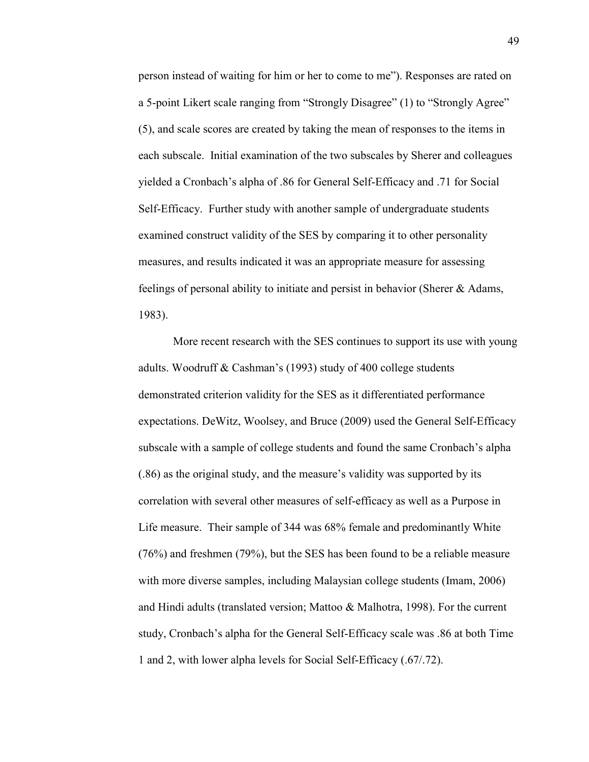person instead of waiting for him or her to come to me"). Responses are rated on a 5-point Likert scale ranging from "Strongly Disagree" (1) to "Strongly Agree" (5), and scale scores are created by taking the mean of responses to the items in each subscale. Initial examination of the two subscales by Sherer and colleagues yielded a Cronbach's alpha of .86 for General Self-Efficacy and .71 for Social Self-Efficacy. Further study with another sample of undergraduate students examined construct validity of the SES by comparing it to other personality measures, and results indicated it was an appropriate measure for assessing feelings of personal ability to initiate and persist in behavior (Sherer & Adams, 1983).

 More recent research with the SES continues to support its use with young adults. Woodruff & Cashman's (1993) study of 400 college students demonstrated criterion validity for the SES as it differentiated performance expectations. DeWitz, Woolsey, and Bruce (2009) used the General Self-Efficacy subscale with a sample of college students and found the same Cronbach's alpha (.86) as the original study, and the measure's validity was supported by its correlation with several other measures of self-efficacy as well as a Purpose in Life measure. Their sample of 344 was 68% female and predominantly White (76%) and freshmen (79%), but the SES has been found to be a reliable measure with more diverse samples, including Malaysian college students (Imam, 2006) and Hindi adults (translated version; Mattoo & Malhotra, 1998). For the current study, Cronbach's alpha for the General Self-Efficacy scale was .86 at both Time 1 and 2, with lower alpha levels for Social Self-Efficacy (.67/.72).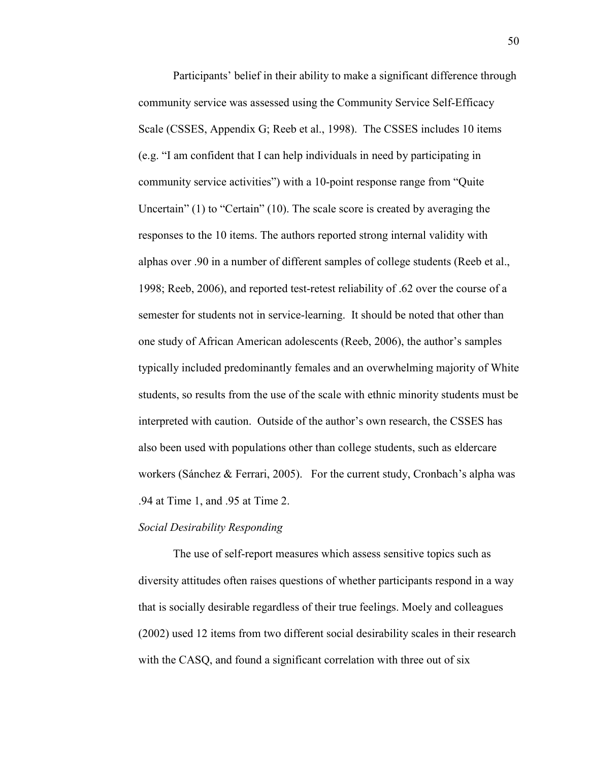Participants' belief in their ability to make a significant difference through community service was assessed using the Community Service Self-Efficacy Scale (CSSES, Appendix G; Reeb et al., 1998). The CSSES includes 10 items (e.g. "I am confident that I can help individuals in need by participating in community service activities") with a 10-point response range from "Quite Uncertain" (1) to "Certain" (10). The scale score is created by averaging the responses to the 10 items. The authors reported strong internal validity with alphas over .90 in a number of different samples of college students (Reeb et al., 1998; Reeb, 2006), and reported test-retest reliability of .62 over the course of a semester for students not in service-learning. It should be noted that other than one study of African American adolescents (Reeb, 2006), the author's samples typically included predominantly females and an overwhelming majority of White students, so results from the use of the scale with ethnic minority students must be interpreted with caution. Outside of the author's own research, the CSSES has also been used with populations other than college students, such as eldercare workers (Sánchez & Ferrari, 2005). For the current study, Cronbach's alpha was .94 at Time 1, and .95 at Time 2.

### *Social Desirability Responding*

 The use of self-report measures which assess sensitive topics such as diversity attitudes often raises questions of whether participants respond in a way that is socially desirable regardless of their true feelings. Moely and colleagues (2002) used 12 items from two different social desirability scales in their research with the CASQ, and found a significant correlation with three out of six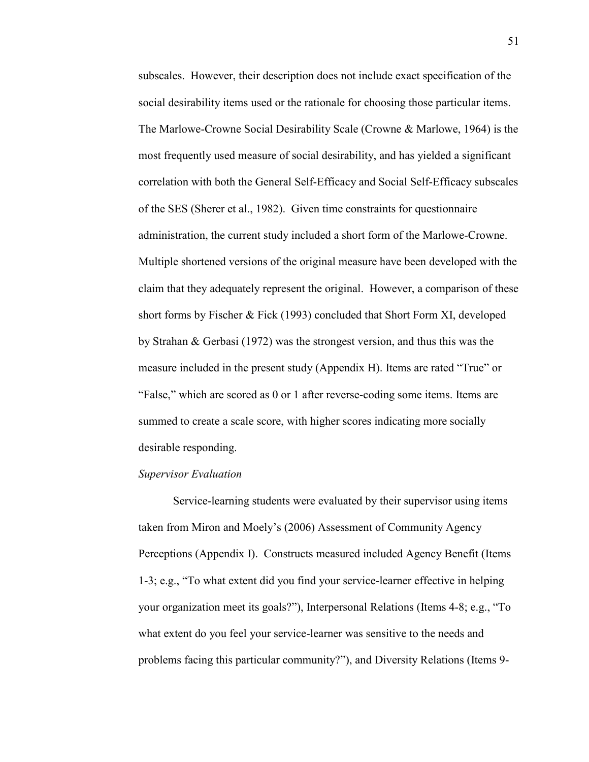subscales. However, their description does not include exact specification of the social desirability items used or the rationale for choosing those particular items. The Marlowe-Crowne Social Desirability Scale (Crowne & Marlowe, 1964) is the most frequently used measure of social desirability, and has yielded a significant correlation with both the General Self-Efficacy and Social Self-Efficacy subscales of the SES (Sherer et al., 1982). Given time constraints for questionnaire administration, the current study included a short form of the Marlowe-Crowne. Multiple shortened versions of the original measure have been developed with the claim that they adequately represent the original. However, a comparison of these short forms by Fischer & Fick (1993) concluded that Short Form XI, developed by Strahan & Gerbasi (1972) was the strongest version, and thus this was the measure included in the present study (Appendix H). Items are rated "True" or "False," which are scored as 0 or 1 after reverse-coding some items. Items are summed to create a scale score, with higher scores indicating more socially desirable responding.

#### *Supervisor Evaluation*

 Service-learning students were evaluated by their supervisor using items taken from Miron and Moely's (2006) Assessment of Community Agency Perceptions (Appendix I). Constructs measured included Agency Benefit (Items 1-3; e.g., "To what extent did you find your service-learner effective in helping your organization meet its goals?"), Interpersonal Relations (Items 4-8; e.g., "To what extent do you feel your service-learner was sensitive to the needs and problems facing this particular community?"), and Diversity Relations (Items 9-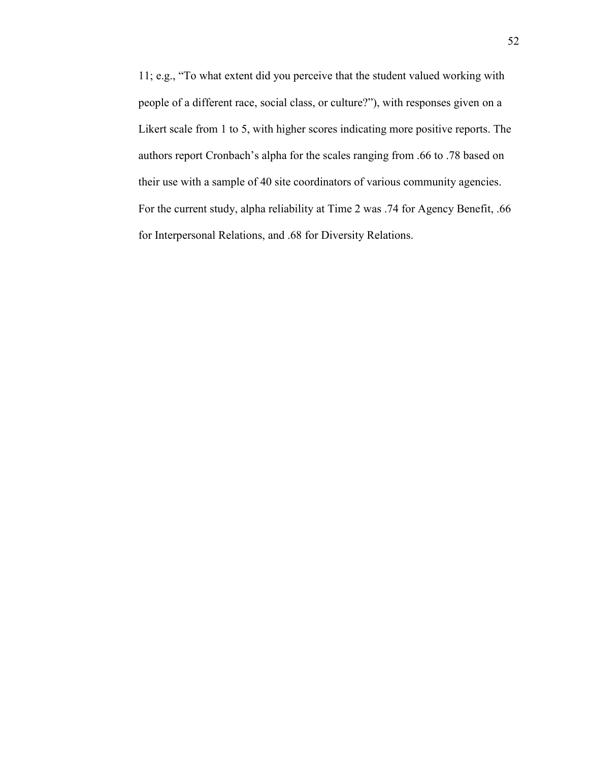11; e.g., "To what extent did you perceive that the student valued working with people of a different race, social class, or culture?"), with responses given on a Likert scale from 1 to 5, with higher scores indicating more positive reports. The authors report Cronbach's alpha for the scales ranging from .66 to .78 based on their use with a sample of 40 site coordinators of various community agencies. For the current study, alpha reliability at Time 2 was .74 for Agency Benefit, .66 for Interpersonal Relations, and .68 for Diversity Relations.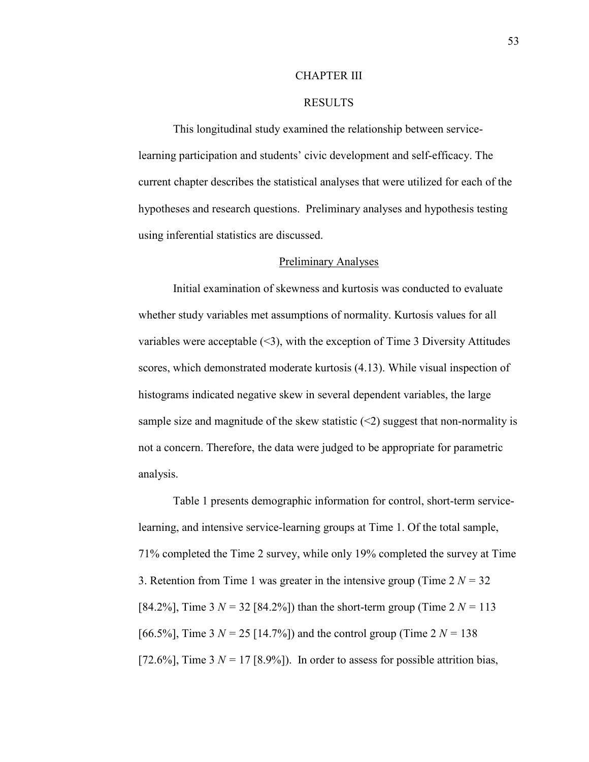#### CHAPTER III

# RESULTS

This longitudinal study examined the relationship between servicelearning participation and students' civic development and self-efficacy. The current chapter describes the statistical analyses that were utilized for each of the hypotheses and research questions. Preliminary analyses and hypothesis testing using inferential statistics are discussed.

# Preliminary Analyses

Initial examination of skewness and kurtosis was conducted to evaluate whether study variables met assumptions of normality. Kurtosis values for all variables were acceptable  $(\leq 3)$ , with the exception of Time 3 Diversity Attitudes scores, which demonstrated moderate kurtosis (4.13). While visual inspection of histograms indicated negative skew in several dependent variables, the large sample size and magnitude of the skew statistic  $\leq$  suggest that non-normality is not a concern. Therefore, the data were judged to be appropriate for parametric analysis.

Table 1 presents demographic information for control, short-term servicelearning, and intensive service-learning groups at Time 1. Of the total sample, 71% completed the Time 2 survey, while only 19% completed the survey at Time 3. Retention from Time 1 was greater in the intensive group (Time  $2 N = 32$ ) [84.2%], Time 3  $N = 32$  [84.2%]) than the short-term group (Time 2  $N = 113$ ) [66.5%], Time 3  $N = 25$  [14.7%]) and the control group (Time 2  $N = 138$ [72.6%], Time  $3 N = 17$  [8.9%]). In order to assess for possible attrition bias,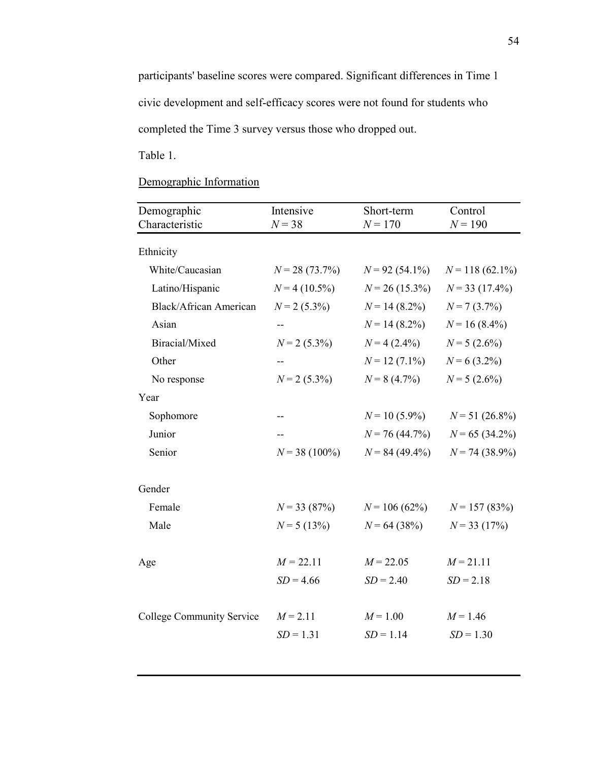participants' baseline scores were compared. Significant differences in Time 1 civic development and self-efficacy scores were not found for students who completed the Time 3 survey versus those who dropped out.

Table 1.

# Demographic Information

| Demographic<br>Characteristic    | Intensive<br>$N = 38$     | Short-term<br>$N = 170$   | Control<br>$N = 190$      |
|----------------------------------|---------------------------|---------------------------|---------------------------|
| Ethnicity                        |                           |                           |                           |
| White/Caucasian                  | $N = 28(73.7\%)$          | $N = 92(54.1\%)$          | $N = 118(62.1\%)$         |
| Latino/Hispanic                  | $N = 4(10.5\%)$           | $N = 26(15.3\%)$          | $N = 33(17.4\%)$          |
| <b>Black/African American</b>    | $N = 2$ (5.3%)            | $N = 14(8.2\%)$           | $N = 7(3.7\%)$            |
| Asian                            |                           | $N = 14(8.2\%)$           | $N = 16(8.4\%)$           |
| Biracial/Mixed                   | $N = 2$ (5.3%)            | $N = 4(2.4\%)$            | $N = 5(2.6\%)$            |
| Other                            |                           | $N = 12(7.1\%)$           | $N = 6(3.2\%)$            |
| No response                      | $N = 2$ (5.3%)            | $N = 8(4.7\%)$            | $N = 5(2.6\%)$            |
| Year                             |                           |                           |                           |
| Sophomore                        |                           | $N = 10(5.9\%)$           | $N = 51(26.8\%)$          |
| Junior                           |                           | $N = 76(44.7\%)$          | $N = 65(34.2\%)$          |
| Senior                           | $N = 38(100\%)$           | $N = 84(49.4\%)$          | $N = 74(38.9\%)$          |
| Gender                           |                           |                           |                           |
| Female                           | $N = 33(87%)$             | $N = 106(62\%)$           | $N = 157(83%)$            |
| Male                             | $N = 5(13\%)$             | $N = 64(38%)$             | $N = 33(17%)$             |
| Age                              | $M = 22.11$               | $M = 22.05$               | $M = 21.11$               |
|                                  | $SD = 4.66$               | $SD = 2.40$               | $SD = 2.18$               |
| <b>College Community Service</b> | $M = 2.11$<br>$SD = 1.31$ | $M = 1.00$<br>$SD = 1.14$ | $M = 1.46$<br>$SD = 1.30$ |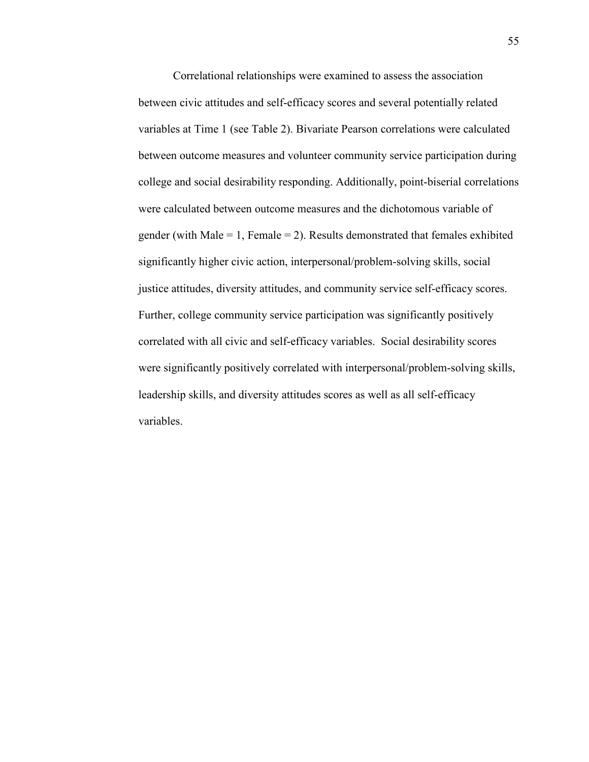Correlational relationships were examined to assess the association between civic attitudes and self-efficacy scores and several potentially related variables at Time 1 (see Table 2). Bivariate Pearson correlations were calculated between outcome measures and volunteer community service participation during college and social desirability responding. Additionally, point-biserial correlations were calculated between outcome measures and the dichotomous variable of gender (with Male  $= 1$ , Female  $= 2$ ). Results demonstrated that females exhibited significantly higher civic action, interpersonal/problem-solving skills, social justice attitudes, diversity attitudes, and community service self-efficacy scores. Further, college community service participation was significantly positively correlated with all civic and self-efficacy variables. Social desirability scores were significantly positively correlated with interpersonal/problem-solving skills, leadership skills, and diversity attitudes scores as well as all self-efficacy variables.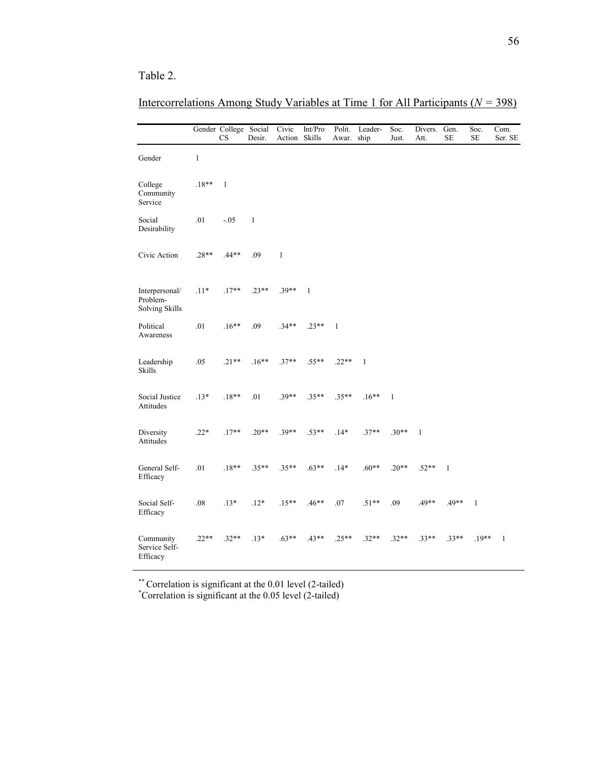# Table 2.

# Intercorrelations Among Study Variables at Time 1 for All Participants (*% =* 398)

|                                              |              | Gender College Social<br>CS | Desir.       | Civic<br>Action Skills | Int/Pro      | Polit.<br>Awar. | Leader-<br>ship | Soc.<br>Just. | Divers.<br>Att. | Gen.<br>$\rm SE$ | Soc.<br>$\rm SE$ | Com.<br>Ser. SE |
|----------------------------------------------|--------------|-----------------------------|--------------|------------------------|--------------|-----------------|-----------------|---------------|-----------------|------------------|------------------|-----------------|
| Gender                                       | $\mathbf{1}$ |                             |              |                        |              |                 |                 |               |                 |                  |                  |                 |
| College<br>Community<br>Service              | $.18**$      | $\mathbf{1}$                |              |                        |              |                 |                 |               |                 |                  |                  |                 |
| Social<br>Desirability                       | .01          | $-0.05$                     | $\mathbf{1}$ |                        |              |                 |                 |               |                 |                  |                  |                 |
| Civic Action                                 | $.28**$      | .44**                       | .09          | $\mathbf{1}$           |              |                 |                 |               |                 |                  |                  |                 |
| Interpersonal/<br>Problem-<br>Solving Skills | $.11*$       | $.17**$                     | $.23**$      | $.39**$                | $\mathbf{1}$ |                 |                 |               |                 |                  |                  |                 |
| Political<br>Awareness                       | .01          | $.16**$                     | .09          | $.34**$                | $.23**$      | $\mathbf{1}$    |                 |               |                 |                  |                  |                 |
| Leadership<br><b>Skills</b>                  | .05          | $.21**$                     | $.16**$      | $.37**$                | $.55**$      | $.22**$         | $\mathbf{1}$    |               |                 |                  |                  |                 |
| Social Justice<br>Attitudes                  | $.13*$       | $.18**$                     | .01          | $.39**$                | $.35**$      | $.35**$         | $.16**$         | $\mathbf{1}$  |                 |                  |                  |                 |
| Diversity<br>Attitudes                       | $.22*$       | $.17**$                     | $.20**$      | $.39**$                | $.53**$      | $.14*$          | $.37**$         | $.30**$       | $\mathbf{1}$    |                  |                  |                 |
| General Self-<br>Efficacy                    | .01          | $.18**$                     | $.35**$      | $.35**$                | $.63**$      | $.14*$          | $.60**$         | $.20**$       | $.52**$         | $\mathbf{1}$     |                  |                 |
| Social Self-<br>Efficacy                     | .08          | $.13*$                      | $.12*$       | $.15**$                | $.46**$      | .07             | $.51**$         | .09           | .49**           | .49**            | $\mathbf{1}$     |                 |
| Community<br>Service Self-<br>Efficacy       | $.22**$      | $.32**$                     | $.13*$       | $.63**$                | $.43**$      | $.25**$         | $.32**$         | $.32**$       | $.33**$         | $.33**$          | $.19**$          | $\mathbf{1}$    |

\*\* Correlation is significant at the 0.01 level (2-tailed) \*Correlation is significant at the 0.05 level (2-tailed)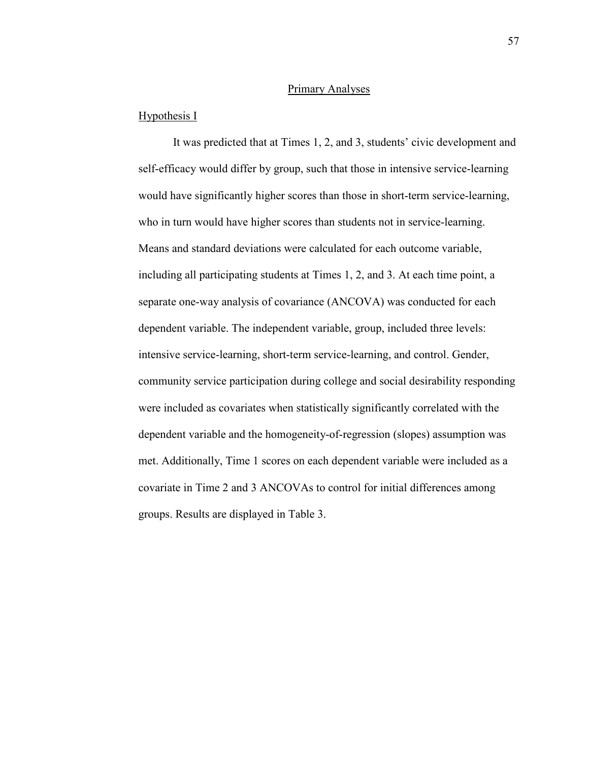# Primary Analyses

### Hypothesis I

It was predicted that at Times 1, 2, and 3, students' civic development and self-efficacy would differ by group, such that those in intensive service-learning would have significantly higher scores than those in short-term service-learning, who in turn would have higher scores than students not in service-learning. Means and standard deviations were calculated for each outcome variable, including all participating students at Times 1, 2, and 3. At each time point, a separate one-way analysis of covariance (ANCOVA) was conducted for each dependent variable. The independent variable, group, included three levels: intensive service-learning, short-term service-learning, and control. Gender, community service participation during college and social desirability responding were included as covariates when statistically significantly correlated with the dependent variable and the homogeneity-of-regression (slopes) assumption was met. Additionally, Time 1 scores on each dependent variable were included as a covariate in Time 2 and 3 ANCOVAs to control for initial differences among groups. Results are displayed in Table 3.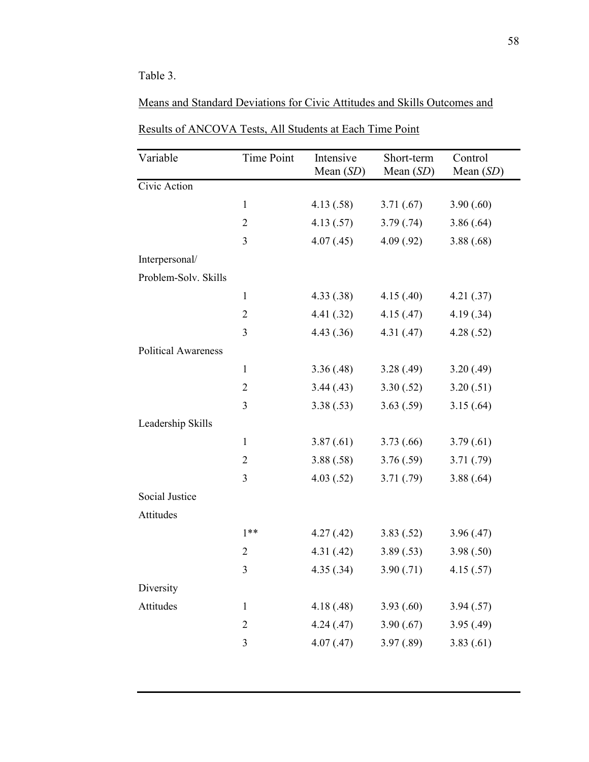# Table 3.

| Variable                   | Time Point     | Intensive<br>Mean $(SD)$ | Short-term<br>Mean $(SD)$ | Control<br>Mean $(SD)$ |
|----------------------------|----------------|--------------------------|---------------------------|------------------------|
| Civic Action               |                |                          |                           |                        |
|                            | $\mathbf{1}$   | 4.13(.58)                | 3.71(.67)                 | 3.90(.60)              |
|                            | $\overline{2}$ | 4.13(.57)                | 3.79(.74)                 | 3.86(.64)              |
|                            | 3              | 4.07(0.45)               | 4.09(.92)                 | 3.88(.68)              |
| Interpersonal/             |                |                          |                           |                        |
| Problem-Solv. Skills       |                |                          |                           |                        |
|                            | $\mathbf{1}$   | 4.33(.38)                | 4.15(.40)                 | 4.21(.37)              |
|                            | $\overline{2}$ | 4.41(.32)                | 4.15(.47)                 | 4.19(.34)              |
|                            | 3              | 4.43(.36)                | 4.31(0.47)                | 4.28(.52)              |
| <b>Political Awareness</b> |                |                          |                           |                        |
|                            | $\mathbf{1}$   | 3.36(.48)                | 3.28(.49)                 | 3.20(.49)              |
|                            | $\overline{2}$ | 3.44(0.43)               | 3.30(.52)                 | 3.20(.51)              |
|                            | 3              | 3.38(.53)                | 3.63(.59)                 | 3.15(.64)              |
| Leadership Skills          |                |                          |                           |                        |
|                            | $\mathbf{1}$   | 3.87(.61)                | 3.73(0.66)                | 3.79(0.61)             |
|                            | $\overline{2}$ | 3.88(.58)                | 3.76(.59)                 | 3.71(.79)              |
|                            | 3              | 4.03(.52)                | 3.71(.79)                 | 3.88(.64)              |
| <b>Social Justice</b>      |                |                          |                           |                        |
| Attitudes                  |                |                          |                           |                        |
|                            | $1**$          | 4.27(.42)                | 3.83(.52)                 | 3.96(.47)              |
|                            | $\overline{2}$ | 4.31(0.42)               | 3.89(.53)                 | 3.98(.50)              |
|                            | $\mathfrak{Z}$ | 4.35(.34)                | 3.90(.71)                 | 4.15(.57)              |
| Diversity                  |                |                          |                           |                        |
| Attitudes                  | $\mathbf{1}$   | 4.18(.48)                | 3.93(.60)                 | 3.94(.57)              |
|                            | $\overline{2}$ | 4.24(.47)                | 3.90(.67)                 | 3.95(0.49)             |
|                            | 3              | 4.07(0.47)               | 3.97(.89)                 | 3.83(.61)              |
|                            |                |                          |                           |                        |

Results of ANCOVA Tests, All Students at Each Time Point

Means and Standard Deviations for Civic Attitudes and Skills Outcomes and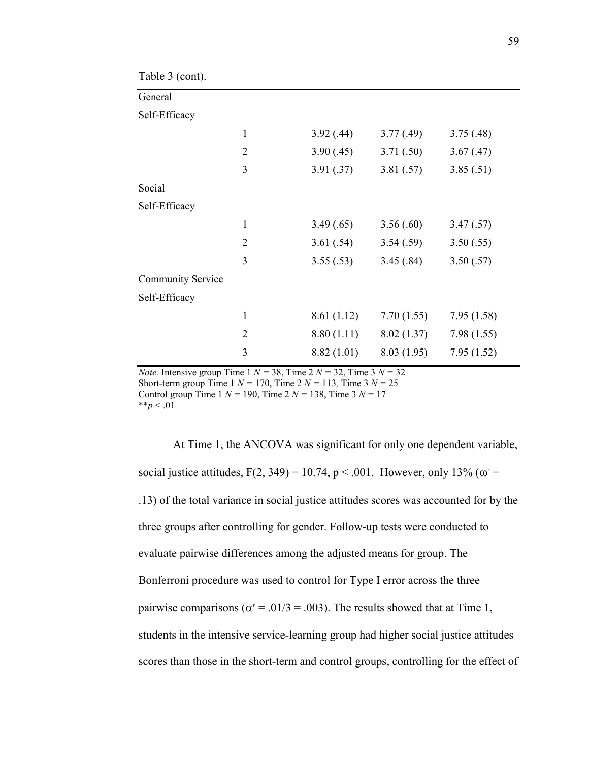| Table 3 (cont).          |                |            |             |            |
|--------------------------|----------------|------------|-------------|------------|
| General                  |                |            |             |            |
| Self-Efficacy            |                |            |             |            |
|                          | $\mathbf{1}$   | 3.92(.44)  | 3.77(.49)   | 3.75(.48)  |
|                          | $\overline{2}$ | 3.90(.45)  | 3.71(.50)   | 3.67(0.47) |
|                          | 3              | 3.91(.37)  | 3.81(.57)   | 3.85(.51)  |
| Social                   |                |            |             |            |
| Self-Efficacy            |                |            |             |            |
|                          | $\mathbf{1}$   | 3.49(.65)  | 3.56(.60)   | 3.47(.57)  |
|                          | $\overline{2}$ | 3.61(.54)  | 3.54(.59)   | 3.50(.55)  |
|                          | 3              | 3.55(.53)  | 3.45(.84)   | 3.50(.57)  |
| <b>Community Service</b> |                |            |             |            |
| Self-Efficacy            |                |            |             |            |
|                          | $\mathbf{1}$   | 8.61(1.12) | 7.70(1.55)  | 7.95(1.58) |
|                          | $\overline{2}$ | 8.80(1.11) | 8.02(1.37)  | 7.98(1.55) |
|                          | 3              | 8.82(1.01) | 8.03 (1.95) | 7.95(1.52) |

*Note.* Intensive group Time 1  $N = 38$ , Time 2  $N = 32$ , Time 3  $N = 32$ Short-term group Time  $1 N = 170$ , Time  $2 N = 113$ , Time  $3 N = 25$ Control group Time 1 *% =* 190, Time 2 *% =* 138, Time 3 *% =* 17  $**_D < .01$ 

At Time 1, the ANCOVA was significant for only one dependent variable, social justice attitudes,  $F(2, 349) = 10.74$ ,  $p < .001$ . However, only 13% ( $\omega$ <sup>2</sup> = .13) of the total variance in social justice attitudes scores was accounted for by the three groups after controlling for gender. Follow-up tests were conducted to evaluate pairwise differences among the adjusted means for group. The Bonferroni procedure was used to control for Type I error across the three pairwise comparisons ( $\alpha' = .01/3 = .003$ ). The results showed that at Time 1, students in the intensive service-learning group had higher social justice attitudes scores than those in the short-term and control groups, controlling for the effect of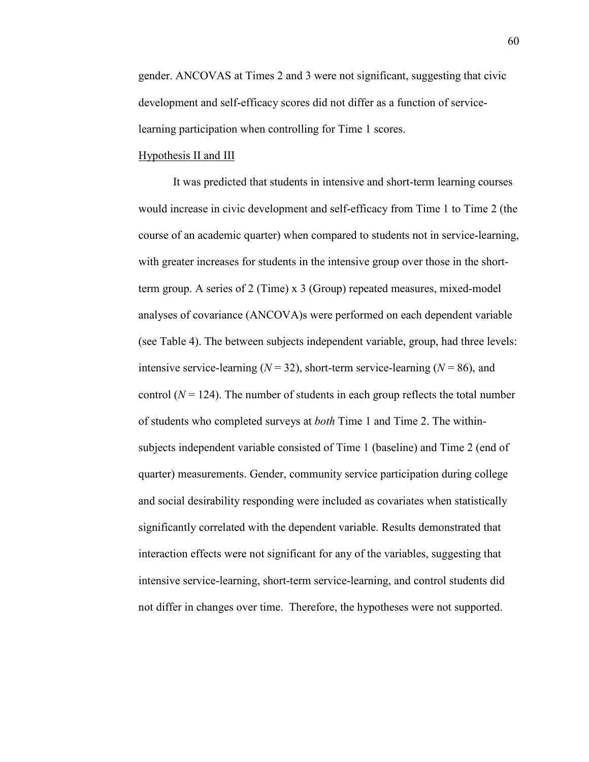gender. ANCOVAS at Times 2 and 3 were not significant, suggesting that civic development and self-efficacy scores did not differ as a function of servicelearning participation when controlling for Time 1 scores.

# Hypothesis II and III

 It was predicted that students in intensive and short-term learning courses would increase in civic development and self-efficacy from Time 1 to Time 2 (the course of an academic quarter) when compared to students not in service-learning, with greater increases for students in the intensive group over those in the shortterm group. A series of 2 (Time) x 3 (Group) repeated measures, mixed-model analyses of covariance (ANCOVA)s were performed on each dependent variable (see Table 4). The between subjects independent variable, group, had three levels: intensive service-learning ( $N = 32$ ), short-term service-learning ( $N = 86$ ), and control  $(N = 124)$ . The number of students in each group reflects the total number of students who completed surveys at *both* Time 1 and Time 2. The withinsubjects independent variable consisted of Time 1 (baseline) and Time 2 (end of quarter) measurements. Gender, community service participation during college and social desirability responding were included as covariates when statistically significantly correlated with the dependent variable. Results demonstrated that interaction effects were not significant for any of the variables, suggesting that intensive service-learning, short-term service-learning, and control students did not differ in changes over time. Therefore, the hypotheses were not supported.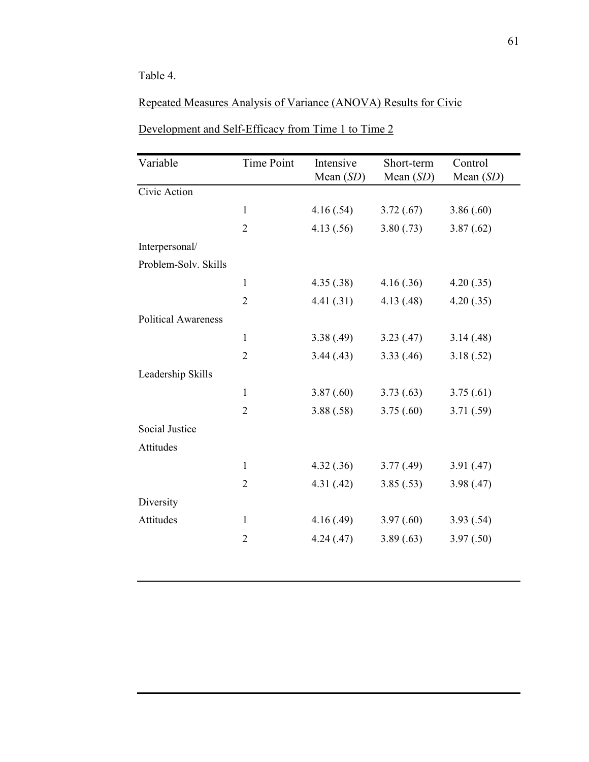# Table 4.

# Repeated Measures Analysis of Variance (ANOVA) Results for Civic

| Variable                   | <b>Time Point</b> | Intensive<br>Mean $(SD)$ | Short-term<br>Mean $(SD)$ | Control<br>Mean $(SD)$ |
|----------------------------|-------------------|--------------------------|---------------------------|------------------------|
| Civic Action               |                   |                          |                           |                        |
|                            | $\mathbf{1}$      | 4.16(.54)                | 3.72(.67)                 | 3.86(.60)              |
|                            | $\overline{2}$    | 4.13(.56)                | 3.80(.73)                 | 3.87(.62)              |
| Interpersonal/             |                   |                          |                           |                        |
| Problem-Solv. Skills       |                   |                          |                           |                        |
|                            | $\mathbf{1}$      | 4.35(.38)                | 4.16(.36)                 | 4.20(.35)              |
|                            | $\overline{2}$    | 4.41(.31)                | 4.13(0.48)                | 4.20(.35)              |
| <b>Political Awareness</b> |                   |                          |                           |                        |
|                            | $\mathbf{1}$      | 3.38(.49)                | 3.23(0.47)                | 3.14(0.48)             |
|                            | $\overline{2}$    | 3.44(0.43)               | 3.33(.46)                 | 3.18(.52)              |
| Leadership Skills          |                   |                          |                           |                        |
|                            | 1                 | 3.87(.60)                | 3.73(0.63)                | 3.75(.61)              |
|                            | $\overline{2}$    | 3.88(.58)                | 3.75(.60)                 | 3.71(.59)              |
| <b>Social Justice</b>      |                   |                          |                           |                        |
| Attitudes                  |                   |                          |                           |                        |
|                            | 1                 | 4.32(.36)                | 3.77(0.49)                | 3.91(.47)              |
|                            | $\overline{2}$    | 4.31(0.42)               | 3.85(.53)                 | 3.98(.47)              |
| Diversity                  |                   |                          |                           |                        |
| Attitudes                  | 1                 | 4.16(.49)                | 3.97(.60)                 | 3.93(.54)              |
|                            | $\overline{2}$    | 4.24(.47)                | 3.89(.63)                 | 3.97(.50)              |
|                            |                   |                          |                           |                        |

# Development and Self-Efficacy from Time 1 to Time 2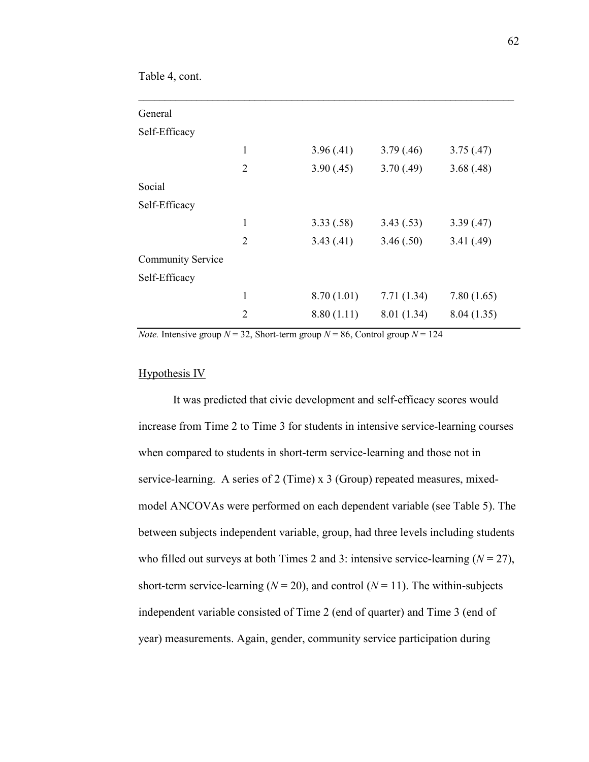Table 4, cont.

| 1              | 3.96(.41)  | 3.79(.46)   | 3.75(.47)  |
|----------------|------------|-------------|------------|
| $\overline{2}$ | 3.90(.45)  | 3.70(.49)   | 3.68(.48)  |
|                |            |             |            |
|                |            |             |            |
| 1              | 3.33(.58)  | 3.43(.53)   | 3.39(.47)  |
| $\overline{2}$ | 3.43(0.41) | 3.46(.50)   | 3.41(.49)  |
|                |            |             |            |
|                |            |             |            |
| $\mathbf{1}$   | 8.70(1.01) | 7.71(1.34)  | 7.80(1.65) |
| $\overline{2}$ | 8.80(1.11) | 8.01 (1.34) | 8.04(1.35) |
|                |            |             |            |

*Note.* Intensive group  $N = 32$ , Short-term group  $N = 86$ , Control group  $N = 124$ 

#### Hypothesis IV

 It was predicted that civic development and self-efficacy scores would increase from Time 2 to Time 3 for students in intensive service-learning courses when compared to students in short-term service-learning and those not in service-learning. A series of 2 (Time) x 3 (Group) repeated measures, mixedmodel ANCOVAs were performed on each dependent variable (see Table 5). The between subjects independent variable, group, had three levels including students who filled out surveys at both Times 2 and 3: intensive service-learning  $(N = 27)$ , short-term service-learning ( $N = 20$ ), and control ( $N = 11$ ). The within-subjects independent variable consisted of Time 2 (end of quarter) and Time 3 (end of year) measurements. Again, gender, community service participation during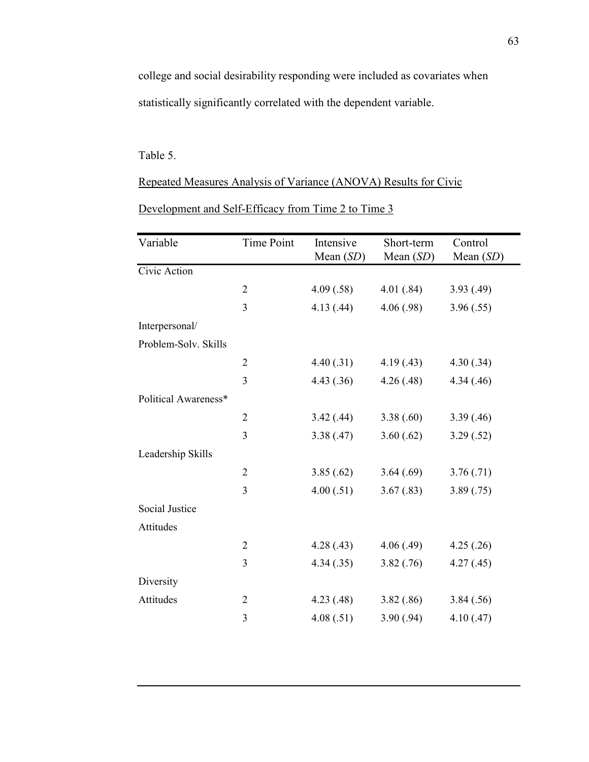college and social desirability responding were included as covariates when statistically significantly correlated with the dependent variable.

# Table 5.

Repeated Measures Analysis of Variance (ANOVA) Results for Civic

| Variable              | <b>Time Point</b> | Intensive<br>Mean (SD) | Short-term<br>Mean $(SD)$ | Control<br>Mean (SD) |
|-----------------------|-------------------|------------------------|---------------------------|----------------------|
| Civic Action          |                   |                        |                           |                      |
|                       | $\overline{2}$    | 4.09(.58)              | 4.01(.84)                 | 3.93(0.49)           |
|                       | 3                 | 4.13(0.44)             | 4.06(.98)                 | 3.96(.55)            |
| Interpersonal/        |                   |                        |                           |                      |
| Problem-Solv. Skills  |                   |                        |                           |                      |
|                       | $\overline{2}$    | 4.40(.31)              | 4.19(0.43)                | 4.30(.34)            |
|                       | 3                 | 4.43(.36)              | 4.26(.48)                 | 4.34(0.46)           |
| Political Awareness*  |                   |                        |                           |                      |
|                       | $\overline{2}$    | 3.42(.44)              | 3.38(.60)                 | 3.39(.46)            |
|                       | 3                 | 3.38(.47)              | 3.60(.62)                 | 3.29(.52)            |
| Leadership Skills     |                   |                        |                           |                      |
|                       | $\overline{2}$    | 3.85(.62)              | 3.64(.69)                 | 3.76(.71)            |
|                       | 3                 | 4.00(.51)              | 3.67(.83)                 | 3.89(.75)            |
| <b>Social Justice</b> |                   |                        |                           |                      |
| Attitudes             |                   |                        |                           |                      |
|                       | $\overline{2}$    | 4.28(.43)              | 4.06(.49)                 | 4.25(.26)            |
|                       | 3                 | 4.34(.35)              | 3.82(.76)                 | 4.27(.45)            |
| Diversity             |                   |                        |                           |                      |
| Attitudes             | $\overline{2}$    | 4.23(0.48)             | 3.82(.86)                 | 3.84(.56)            |
|                       | 3                 | 4.08(.51)              | 3.90(.94)                 | 4.10(.47)            |

Development and Self-Efficacy from Time 2 to Time 3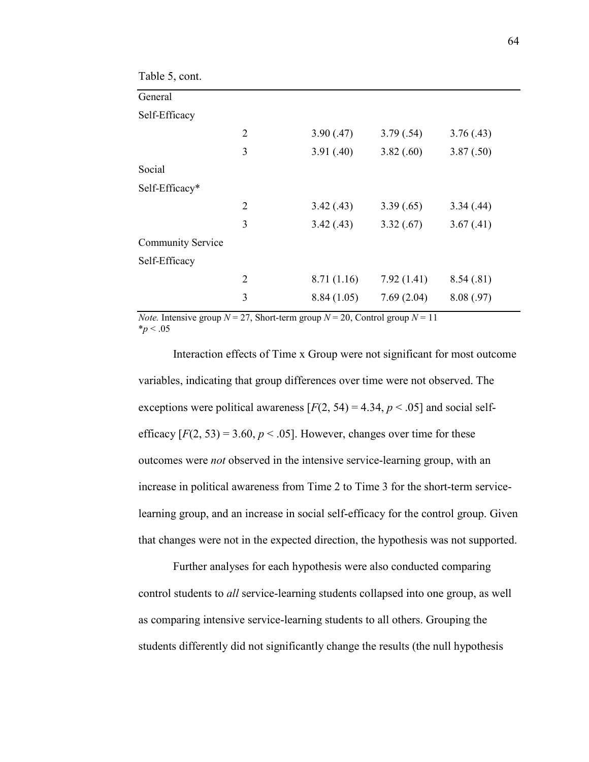| Table 5, cont.           |                |            |            |            |
|--------------------------|----------------|------------|------------|------------|
| General                  |                |            |            |            |
| Self-Efficacy            |                |            |            |            |
|                          | $\overline{2}$ | 3.90(.47)  | 3.79(.54)  | 3.76(.43)  |
|                          | 3              | 3.91(.40)  | 3.82(.60)  | 3.87(.50)  |
| Social                   |                |            |            |            |
| Self-Efficacy*           |                |            |            |            |
|                          | $\overline{2}$ | 3.42(.43)  | 3.39(.65)  | 3.34(.44)  |
|                          | 3              | 3.42(.43)  | 3.32(.67)  | 3.67(0.41) |
| <b>Community Service</b> |                |            |            |            |
| Self-Efficacy            |                |            |            |            |
|                          | $\overline{2}$ | 8.71(1.16) | 7.92(1.41) | 8.54(.81)  |
|                          | 3              | 8.84(1.05) | 7.69(2.04) | 8.08(.97)  |

*Note.* Intensive group  $N = 27$ , Short-term group  $N = 20$ , Control group  $N = 11$  $*_{p}$  < .05

 Interaction effects of Time x Group were not significant for most outcome variables, indicating that group differences over time were not observed. The exceptions were political awareness  $[F(2, 54) = 4.34, p < .05]$  and social selfefficacy  $[F(2, 53) = 3.60, p < .05]$ . However, changes over time for these outcomes were *not* observed in the intensive service-learning group, with an increase in political awareness from Time 2 to Time 3 for the short-term servicelearning group, and an increase in social self-efficacy for the control group. Given that changes were not in the expected direction, the hypothesis was not supported.

 Further analyses for each hypothesis were also conducted comparing control students to *all* service-learning students collapsed into one group, as well as comparing intensive service-learning students to all others. Grouping the students differently did not significantly change the results (the null hypothesis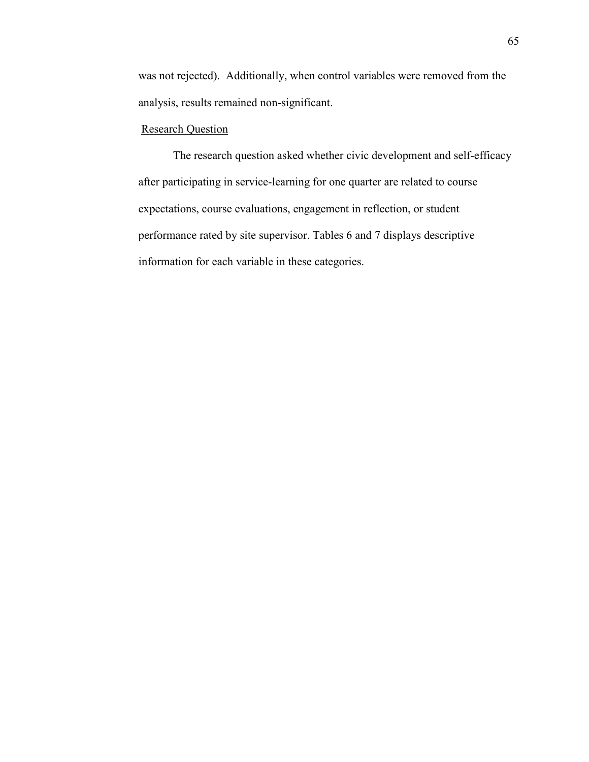was not rejected). Additionally, when control variables were removed from the analysis, results remained non-significant.

# **Research Question**

 The research question asked whether civic development and self-efficacy after participating in service-learning for one quarter are related to course expectations, course evaluations, engagement in reflection, or student performance rated by site supervisor. Tables 6 and 7 displays descriptive information for each variable in these categories.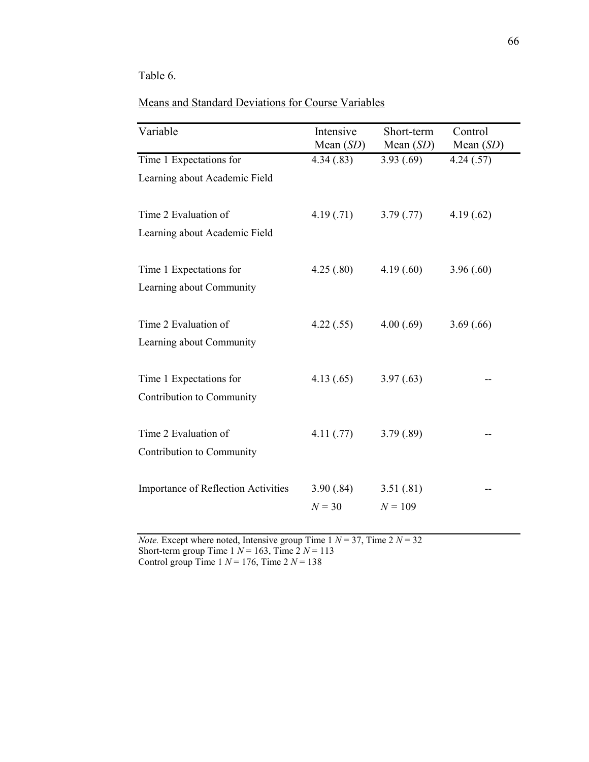# Table 6.

# Means and Standard Deviations for Course Variables

| Variable                                   | Intensive<br>Mean $(SD)$ | Short-term<br>Mean $(SD)$ | Control<br>Mean $(SD)$ |  |  |
|--------------------------------------------|--------------------------|---------------------------|------------------------|--|--|
| Time 1 Expectations for                    | 4.34(.83)                | 3.93(.69)                 | 4.24(.57)              |  |  |
| Learning about Academic Field              |                          |                           |                        |  |  |
| Time 2 Evaluation of                       | 4.19(0.71)               | 3.79(.77)                 | 4.19(.62)              |  |  |
| Learning about Academic Field              |                          |                           |                        |  |  |
| Time 1 Expectations for                    | 4.25(.80)                | 4.19(.60)                 | 3.96(.60)              |  |  |
| Learning about Community                   |                          |                           |                        |  |  |
| Time 2 Evaluation of                       | 4.22(.55)                | 4.00(.69)                 | 3.69(.66)              |  |  |
| Learning about Community                   |                          |                           |                        |  |  |
| Time 1 Expectations for                    | 4.13(.65)                | 3.97(.63)                 |                        |  |  |
| Contribution to Community                  |                          |                           |                        |  |  |
| Time 2 Evaluation of                       | 4.11(.77)                | 3.79(.89)                 |                        |  |  |
| Contribution to Community                  |                          |                           |                        |  |  |
| <b>Importance of Reflection Activities</b> | 3.90(.84)                | 3.51(.81)                 |                        |  |  |
|                                            | $N = 30$                 | $N = 109$                 |                        |  |  |

*Note.* Except where noted, Intensive group Time  $1 N = 37$ , Time  $2 N = 32$ Short-term group Time  $1 N = 163$ , Time  $2 N = 113$ Control group Time  $1 N = 176$ , Time  $2 N = 138$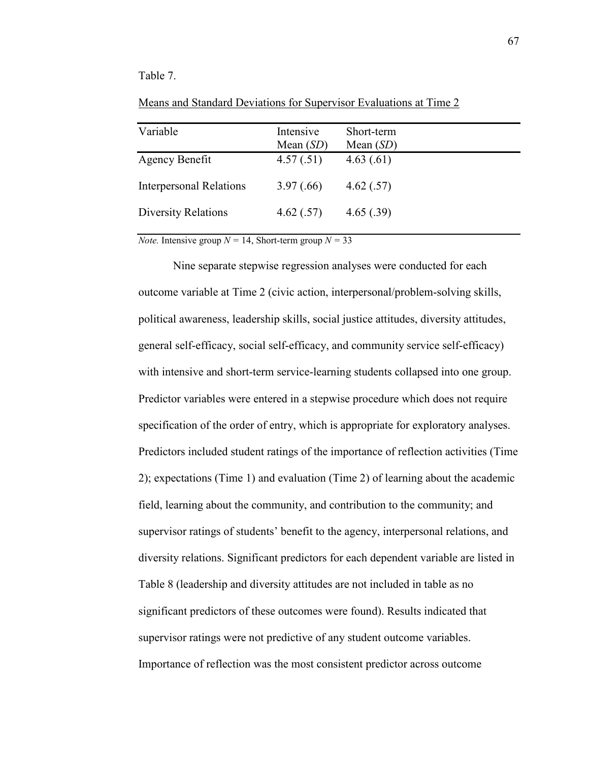## Table 7.

| Variable                       | Intensive<br>Mean $(SD)$ | Short-term<br>Mean $(SD)$ |
|--------------------------------|--------------------------|---------------------------|
| Agency Benefit                 | 4.57(.51)                | 4.63(.61)                 |
| <b>Interpersonal Relations</b> | 3.97(.66)                | 4.62(.57)                 |
| <b>Diversity Relations</b>     | 4.62(.57)                | 4.65(.39)                 |

Means and Standard Deviations for Supervisor Evaluations at Time 2

*Note.* Intensive group  $N = 14$ , Short-term group  $N = 33$ 

Nine separate stepwise regression analyses were conducted for each outcome variable at Time 2 (civic action, interpersonal/problem-solving skills, political awareness, leadership skills, social justice attitudes, diversity attitudes, general self-efficacy, social self-efficacy, and community service self-efficacy) with intensive and short-term service-learning students collapsed into one group. Predictor variables were entered in a stepwise procedure which does not require specification of the order of entry, which is appropriate for exploratory analyses. Predictors included student ratings of the importance of reflection activities (Time 2); expectations (Time 1) and evaluation (Time 2) of learning about the academic field, learning about the community, and contribution to the community; and supervisor ratings of students' benefit to the agency, interpersonal relations, and diversity relations. Significant predictors for each dependent variable are listed in Table 8 (leadership and diversity attitudes are not included in table as no significant predictors of these outcomes were found). Results indicated that supervisor ratings were not predictive of any student outcome variables. Importance of reflection was the most consistent predictor across outcome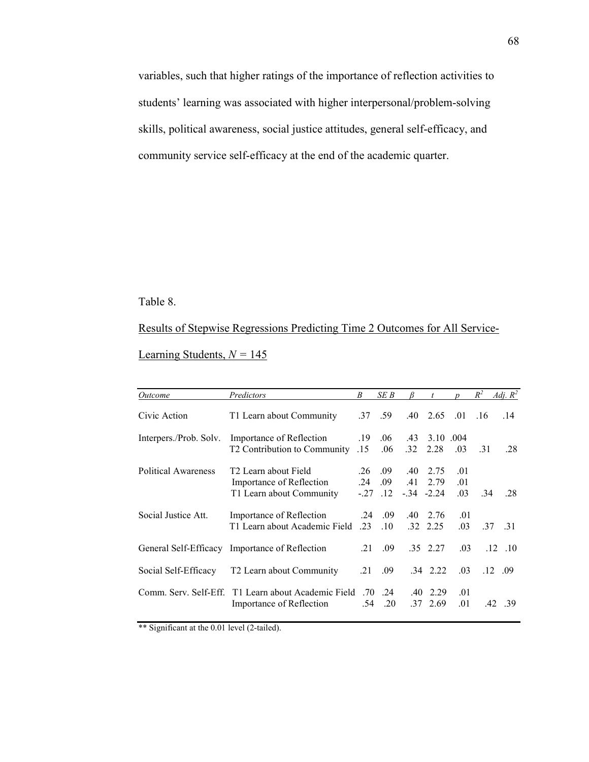variables, such that higher ratings of the importance of reflection activities to students' learning was associated with higher interpersonal/problem-solving skills, political awareness, social justice attitudes, general self-efficacy, and community service self-efficacy at the end of the academic quarter.

# Table 8.

# Results of Stepwise Regressions Predicting Time 2 Outcomes for All Service-

Learning Students,  $N = 145$ 

| <i>Outcome</i>         | Predictors                                                                               | B                    | SE B              |                         |                               |                   | $R^2$ | Adj. $R^2$      |
|------------------------|------------------------------------------------------------------------------------------|----------------------|-------------------|-------------------------|-------------------------------|-------------------|-------|-----------------|
| Civic Action           | T1 Learn about Community                                                                 |                      | $.37 \quad .59$   |                         | $.40\quad 2.65$               | .01               | .16   | .14             |
| Interpers./Prob. Solv. | Importance of Reflection<br>15. T2 Contribution to Community                             | .19                  | .06<br>.06        | .43<br>.32 <sub>1</sub> | 3.10 .004<br>2.28             | .03               | .31   | .28             |
| Political Awareness    | T <sub>2</sub> Learn about Field<br>Importance of Reflection<br>T1 Learn about Community | .26<br>.24<br>$-.27$ | .09<br>.09<br>.12 | .40<br>.41              | 2.75<br>2.79<br>$-34$ $-2.24$ | .01<br>.01<br>.03 | -34   | 28              |
| Social Justice Att.    | Importance of Reflection<br>T1 Learn about Academic Field                                | .24<br>.23           | .09<br>.10        | .40                     | 2.76<br>32 2.25               | .01<br>.03        |       | 37 31           |
|                        | General Self-Efficacy Importance of Reflection                                           | .21                  | .09               |                         | .35 2.27                      | .03               |       | $.12 \quad .10$ |
| Social Self-Efficacy   | T <sub>2</sub> Learn about Community                                                     | .21                  | .09               |                         | $.34$ 2.22                    | .03               |       | $.12 \quad .09$ |
| Comm. Serv. Self-Eff.  | T1 Learn about Academic Field<br>Importance of Reflection                                | .70<br>.54           | .24<br>.20        | $.40\,$                 | 2.29<br>$.37 \quad 2.69$      | .01<br>.01        |       | $.42 \quad .39$ |

\*\* Significant at the 0.01 level (2-tailed).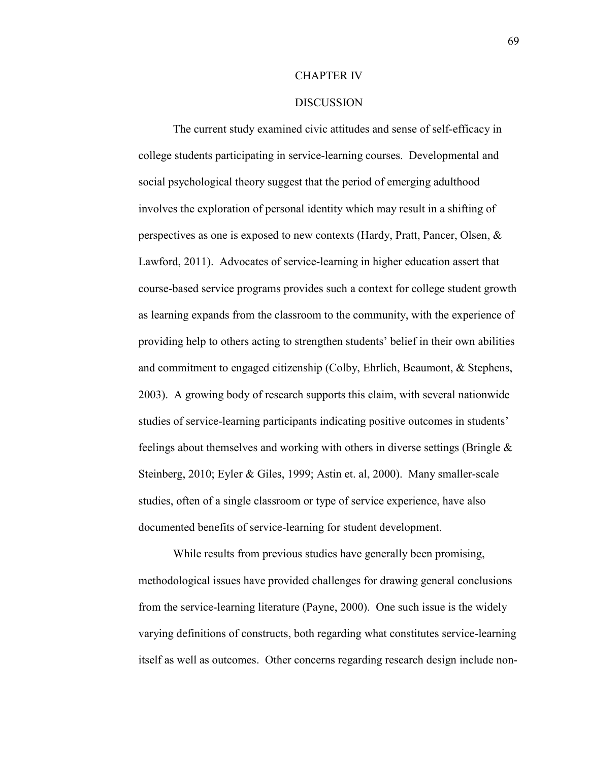#### CHAPTER IV

## **DISCUSSION**

The current study examined civic attitudes and sense of self-efficacy in college students participating in service-learning courses. Developmental and social psychological theory suggest that the period of emerging adulthood involves the exploration of personal identity which may result in a shifting of perspectives as one is exposed to new contexts (Hardy, Pratt, Pancer, Olsen, & Lawford, 2011). Advocates of service-learning in higher education assert that course-based service programs provides such a context for college student growth as learning expands from the classroom to the community, with the experience of providing help to others acting to strengthen students' belief in their own abilities and commitment to engaged citizenship (Colby, Ehrlich, Beaumont, & Stephens, 2003). A growing body of research supports this claim, with several nationwide studies of service-learning participants indicating positive outcomes in students' feelings about themselves and working with others in diverse settings (Bringle & Steinberg, 2010; Eyler & Giles, 1999; Astin et. al, 2000). Many smaller-scale studies, often of a single classroom or type of service experience, have also documented benefits of service-learning for student development.

While results from previous studies have generally been promising, methodological issues have provided challenges for drawing general conclusions from the service-learning literature (Payne, 2000). One such issue is the widely varying definitions of constructs, both regarding what constitutes service-learning itself as well as outcomes. Other concerns regarding research design include non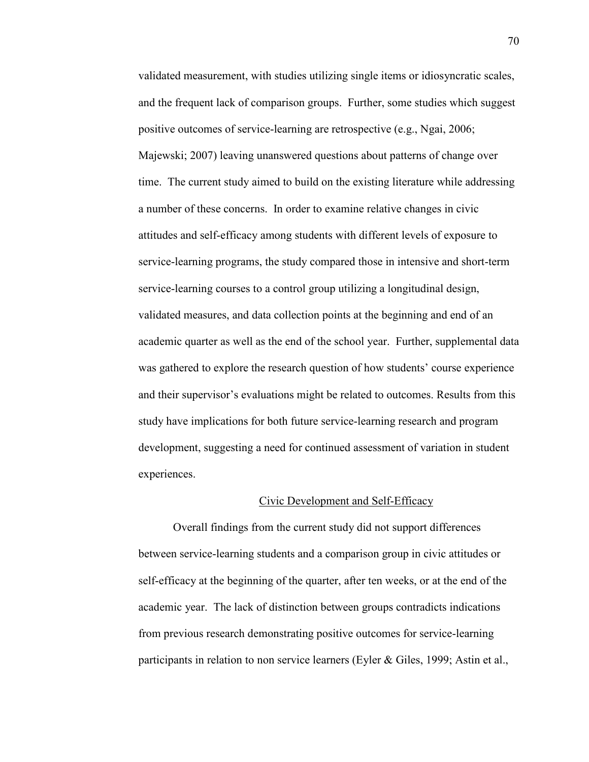validated measurement, with studies utilizing single items or idiosyncratic scales, and the frequent lack of comparison groups. Further, some studies which suggest positive outcomes of service-learning are retrospective (e.g., Ngai, 2006; Majewski; 2007) leaving unanswered questions about patterns of change over time. The current study aimed to build on the existing literature while addressing a number of these concerns. In order to examine relative changes in civic attitudes and self-efficacy among students with different levels of exposure to service-learning programs, the study compared those in intensive and short-term service-learning courses to a control group utilizing a longitudinal design, validated measures, and data collection points at the beginning and end of an academic quarter as well as the end of the school year. Further, supplemental data was gathered to explore the research question of how students' course experience and their supervisor's evaluations might be related to outcomes. Results from this study have implications for both future service-learning research and program development, suggesting a need for continued assessment of variation in student experiences.

#### Civic Development and Self-Efficacy

Overall findings from the current study did not support differences between service-learning students and a comparison group in civic attitudes or self-efficacy at the beginning of the quarter, after ten weeks, or at the end of the academic year. The lack of distinction between groups contradicts indications from previous research demonstrating positive outcomes for service-learning participants in relation to non service learners (Eyler & Giles, 1999; Astin et al.,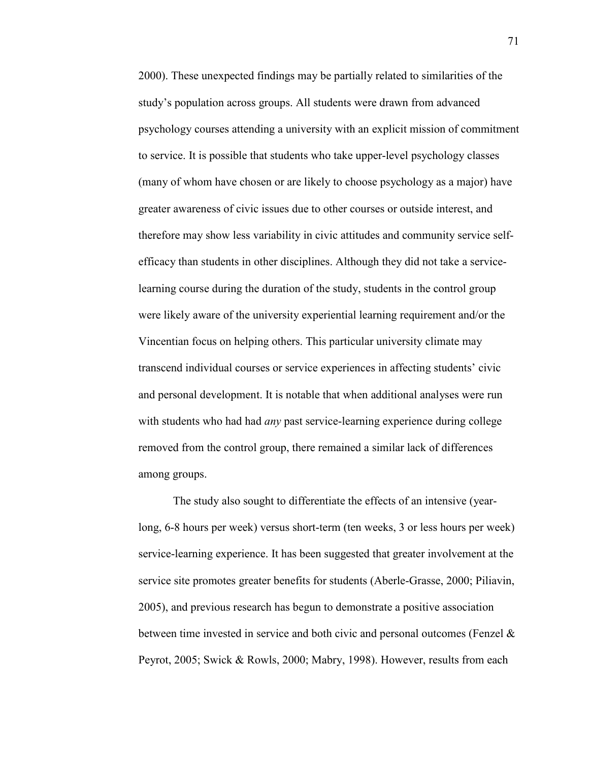2000). These unexpected findings may be partially related to similarities of the study's population across groups. All students were drawn from advanced psychology courses attending a university with an explicit mission of commitment to service. It is possible that students who take upper-level psychology classes (many of whom have chosen or are likely to choose psychology as a major) have greater awareness of civic issues due to other courses or outside interest, and therefore may show less variability in civic attitudes and community service selfefficacy than students in other disciplines. Although they did not take a servicelearning course during the duration of the study, students in the control group were likely aware of the university experiential learning requirement and/or the Vincentian focus on helping others. This particular university climate may transcend individual courses or service experiences in affecting students' civic and personal development. It is notable that when additional analyses were run with students who had had *any* past service-learning experience during college removed from the control group, there remained a similar lack of differences among groups.

The study also sought to differentiate the effects of an intensive (yearlong, 6-8 hours per week) versus short-term (ten weeks, 3 or less hours per week) service-learning experience. It has been suggested that greater involvement at the service site promotes greater benefits for students (Aberle-Grasse, 2000; Piliavin, 2005), and previous research has begun to demonstrate a positive association between time invested in service and both civic and personal outcomes (Fenzel & Peyrot, 2005; Swick & Rowls, 2000; Mabry, 1998). However, results from each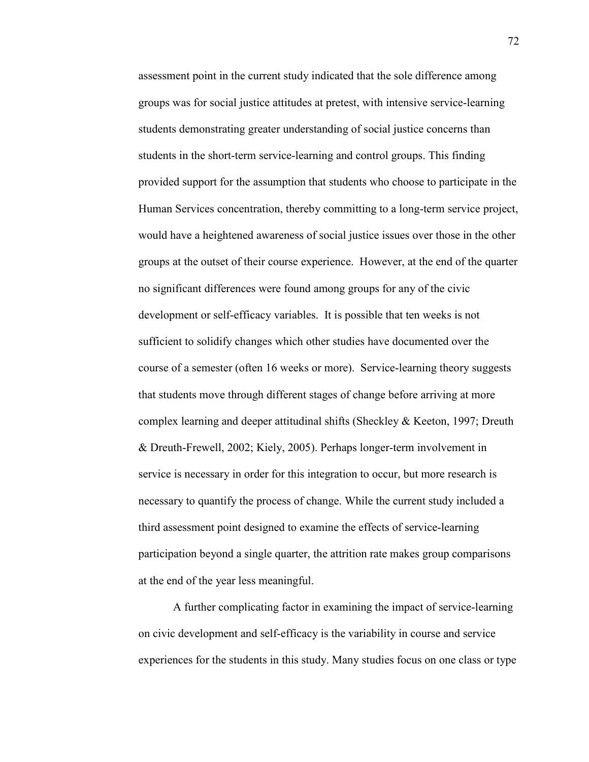assessment point in the current study indicated that the sole difference among groups was for social justice attitudes at pretest, with intensive service-learning students demonstrating greater understanding of social justice concerns than students in the short-term service-learning and control groups. This finding provided support for the assumption that students who choose to participate in the Human Services concentration, thereby committing to a long-term service project, would have a heightened awareness of social justice issues over those in the other groups at the outset of their course experience. However, at the end of the quarter no significant differences were found among groups for any of the civic development or self-efficacy variables. It is possible that ten weeks is not sufficient to solidify changes which other studies have documented over the course of a semester (often 16 weeks or more). Service-learning theory suggests that students move through different stages of change before arriving at more complex learning and deeper attitudinal shifts (Sheckley & Keeton, 1997; Dreuth & Dreuth-Frewell, 2002; Kiely, 2005). Perhaps longer-term involvement in service is necessary in order for this integration to occur, but more research is necessary to quantify the process of change. While the current study included a third assessment point designed to examine the effects of service-learning participation beyond a single quarter, the attrition rate makes group comparisons at the end of the year less meaningful.

A further complicating factor in examining the impact of service-learning on civic development and self-efficacy is the variability in course and service experiences for the students in this study. Many studies focus on one class or type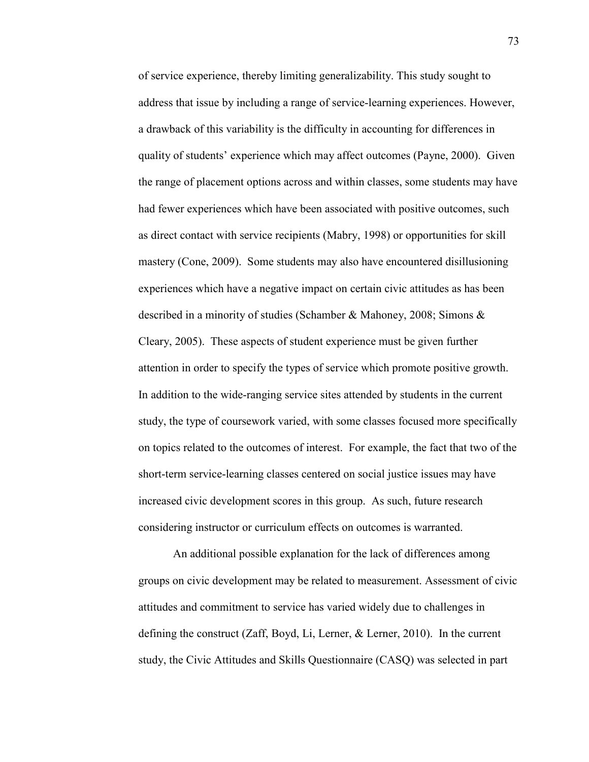of service experience, thereby limiting generalizability. This study sought to address that issue by including a range of service-learning experiences. However, a drawback of this variability is the difficulty in accounting for differences in quality of students' experience which may affect outcomes (Payne, 2000). Given the range of placement options across and within classes, some students may have had fewer experiences which have been associated with positive outcomes, such as direct contact with service recipients (Mabry, 1998) or opportunities for skill mastery (Cone, 2009). Some students may also have encountered disillusioning experiences which have a negative impact on certain civic attitudes as has been described in a minority of studies (Schamber & Mahoney, 2008; Simons & Cleary, 2005). These aspects of student experience must be given further attention in order to specify the types of service which promote positive growth. In addition to the wide-ranging service sites attended by students in the current study, the type of coursework varied, with some classes focused more specifically on topics related to the outcomes of interest. For example, the fact that two of the short-term service-learning classes centered on social justice issues may have increased civic development scores in this group. As such, future research considering instructor or curriculum effects on outcomes is warranted.

An additional possible explanation for the lack of differences among groups on civic development may be related to measurement. Assessment of civic attitudes and commitment to service has varied widely due to challenges in defining the construct (Zaff, Boyd, Li, Lerner,  $\&$  Lerner, 2010). In the current study, the Civic Attitudes and Skills Questionnaire (CASQ) was selected in part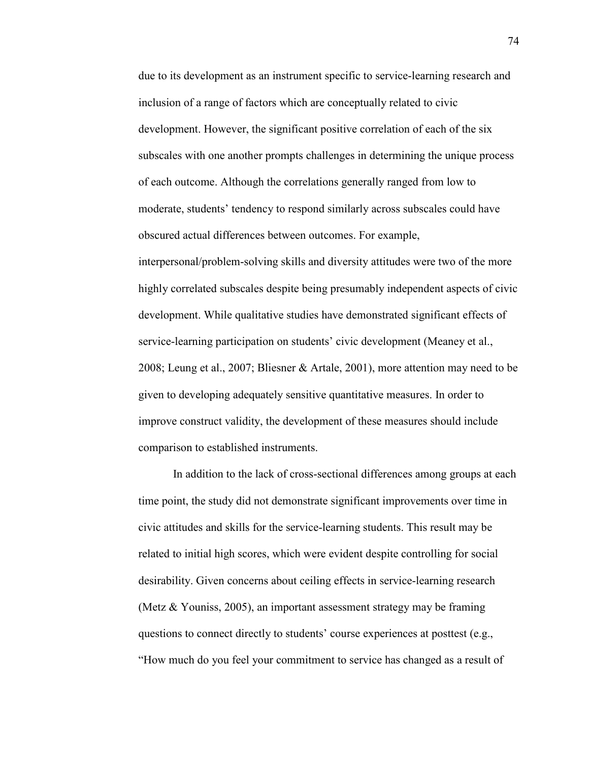due to its development as an instrument specific to service-learning research and inclusion of a range of factors which are conceptually related to civic development. However, the significant positive correlation of each of the six subscales with one another prompts challenges in determining the unique process of each outcome. Although the correlations generally ranged from low to moderate, students' tendency to respond similarly across subscales could have obscured actual differences between outcomes. For example, interpersonal/problem-solving skills and diversity attitudes were two of the more highly correlated subscales despite being presumably independent aspects of civic development. While qualitative studies have demonstrated significant effects of service-learning participation on students' civic development (Meaney et al., 2008; Leung et al., 2007; Bliesner & Artale, 2001), more attention may need to be given to developing adequately sensitive quantitative measures. In order to improve construct validity, the development of these measures should include comparison to established instruments.

In addition to the lack of cross-sectional differences among groups at each time point, the study did not demonstrate significant improvements over time in civic attitudes and skills for the service-learning students. This result may be related to initial high scores, which were evident despite controlling for social desirability. Given concerns about ceiling effects in service-learning research (Metz & Youniss, 2005), an important assessment strategy may be framing questions to connect directly to students' course experiences at posttest (e.g., "How much do you feel your commitment to service has changed as a result of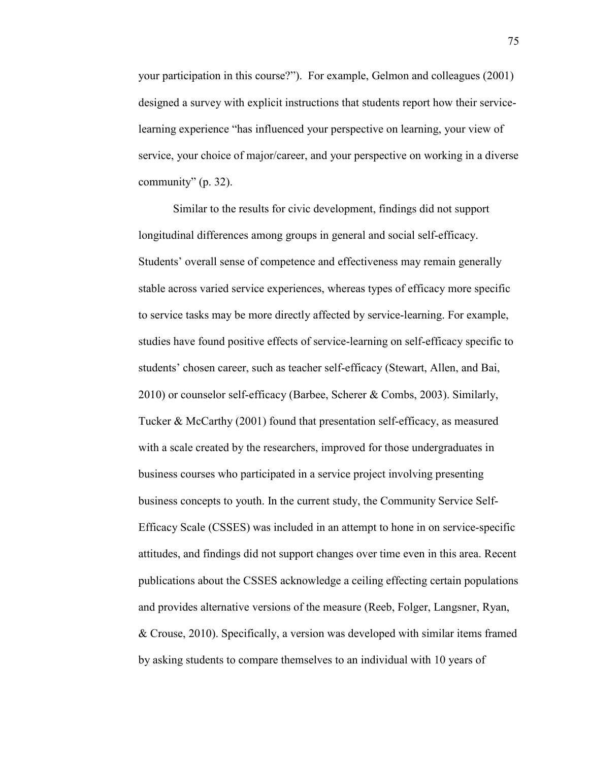your participation in this course?"). For example, Gelmon and colleagues (2001) designed a survey with explicit instructions that students report how their servicelearning experience "has influenced your perspective on learning, your view of service, your choice of major/career, and your perspective on working in a diverse community" (p. 32).

Similar to the results for civic development, findings did not support longitudinal differences among groups in general and social self-efficacy. Students' overall sense of competence and effectiveness may remain generally stable across varied service experiences, whereas types of efficacy more specific to service tasks may be more directly affected by service-learning. For example, studies have found positive effects of service-learning on self-efficacy specific to students' chosen career, such as teacher self-efficacy (Stewart, Allen, and Bai, 2010) or counselor self-efficacy (Barbee, Scherer & Combs, 2003). Similarly, Tucker & McCarthy (2001) found that presentation self-efficacy, as measured with a scale created by the researchers, improved for those undergraduates in business courses who participated in a service project involving presenting business concepts to youth. In the current study, the Community Service Self-Efficacy Scale (CSSES) was included in an attempt to hone in on service-specific attitudes, and findings did not support changes over time even in this area. Recent publications about the CSSES acknowledge a ceiling effecting certain populations and provides alternative versions of the measure (Reeb, Folger, Langsner, Ryan, & Crouse, 2010). Specifically, a version was developed with similar items framed by asking students to compare themselves to an individual with 10 years of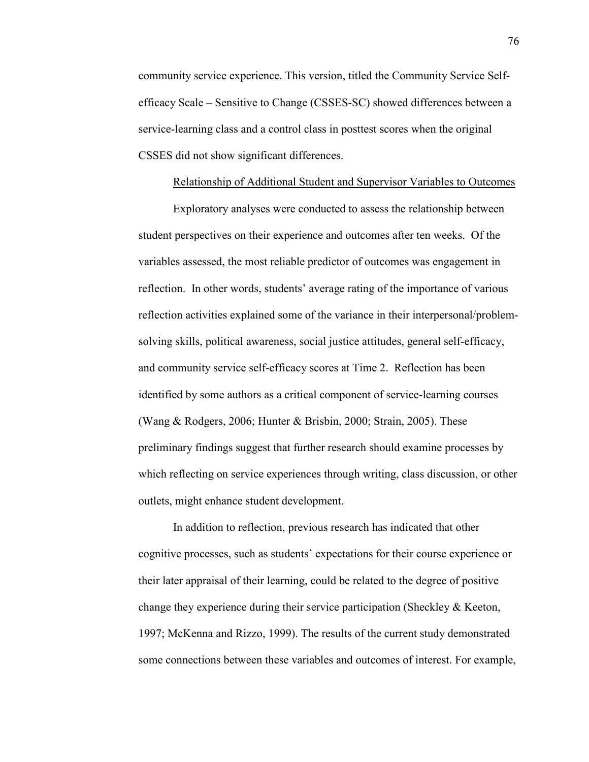community service experience. This version, titled the Community Service Selfefficacy Scale – Sensitive to Change (CSSES-SC) showed differences between a service-learning class and a control class in posttest scores when the original CSSES did not show significant differences.

# Relationship of Additional Student and Supervisor Variables to Outcomes

Exploratory analyses were conducted to assess the relationship between student perspectives on their experience and outcomes after ten weeks. Of the variables assessed, the most reliable predictor of outcomes was engagement in reflection. In other words, students' average rating of the importance of various reflection activities explained some of the variance in their interpersonal/problemsolving skills, political awareness, social justice attitudes, general self-efficacy, and community service self-efficacy scores at Time 2. Reflection has been identified by some authors as a critical component of service-learning courses (Wang & Rodgers, 2006; Hunter & Brisbin, 2000; Strain, 2005). These preliminary findings suggest that further research should examine processes by which reflecting on service experiences through writing, class discussion, or other outlets, might enhance student development.

In addition to reflection, previous research has indicated that other cognitive processes, such as students' expectations for their course experience or their later appraisal of their learning, could be related to the degree of positive change they experience during their service participation (Sheckley & Keeton, 1997; McKenna and Rizzo, 1999). The results of the current study demonstrated some connections between these variables and outcomes of interest. For example,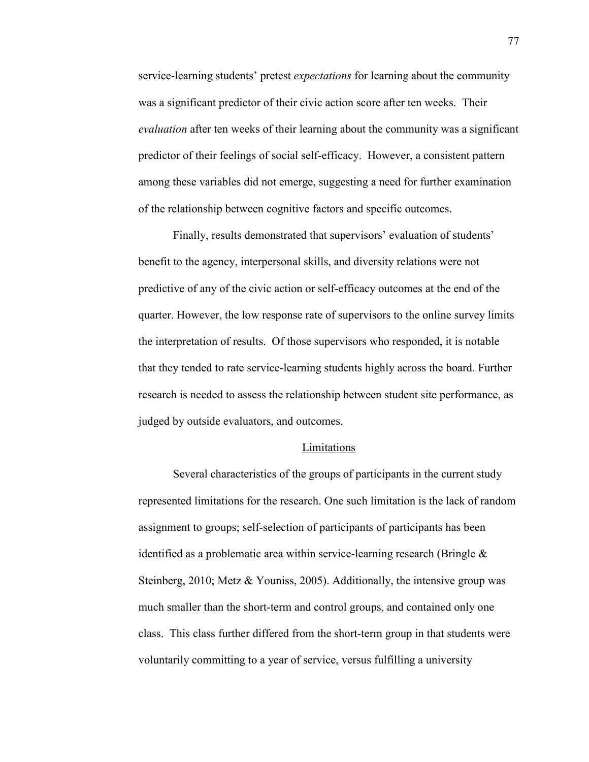service-learning students' pretest *expectations* for learning about the community was a significant predictor of their civic action score after ten weeks. Their *evaluation* after ten weeks of their learning about the community was a significant predictor of their feelings of social self-efficacy. However, a consistent pattern among these variables did not emerge, suggesting a need for further examination of the relationship between cognitive factors and specific outcomes.

Finally, results demonstrated that supervisors' evaluation of students' benefit to the agency, interpersonal skills, and diversity relations were not predictive of any of the civic action or self-efficacy outcomes at the end of the quarter. However, the low response rate of supervisors to the online survey limits the interpretation of results. Of those supervisors who responded, it is notable that they tended to rate service-learning students highly across the board. Further research is needed to assess the relationship between student site performance, as judged by outside evaluators, and outcomes.

#### Limitations

 Several characteristics of the groups of participants in the current study represented limitations for the research. One such limitation is the lack of random assignment to groups; self-selection of participants of participants has been identified as a problematic area within service-learning research (Bringle & Steinberg, 2010; Metz & Youniss, 2005). Additionally, the intensive group was much smaller than the short-term and control groups, and contained only one class. This class further differed from the short-term group in that students were voluntarily committing to a year of service, versus fulfilling a university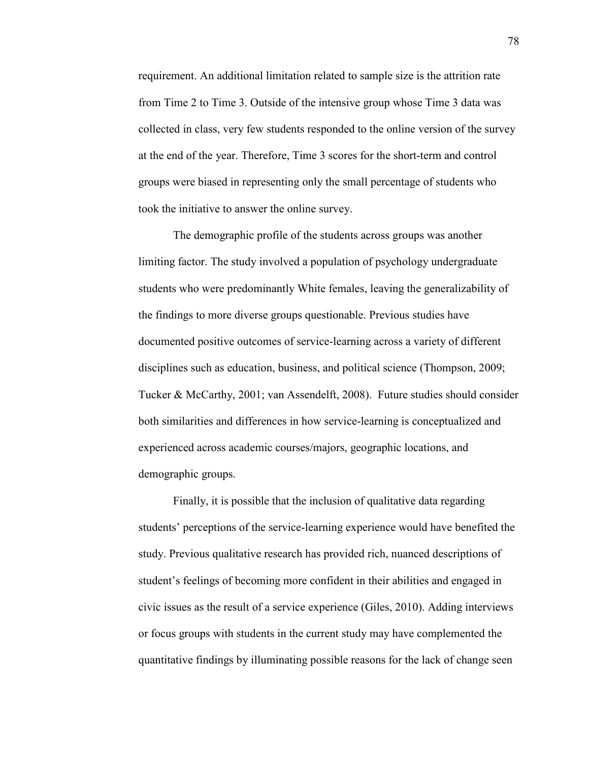requirement. An additional limitation related to sample size is the attrition rate from Time 2 to Time 3. Outside of the intensive group whose Time 3 data was collected in class, very few students responded to the online version of the survey at the end of the year. Therefore, Time 3 scores for the short-term and control groups were biased in representing only the small percentage of students who took the initiative to answer the online survey.

 The demographic profile of the students across groups was another limiting factor. The study involved a population of psychology undergraduate students who were predominantly White females, leaving the generalizability of the findings to more diverse groups questionable. Previous studies have documented positive outcomes of service-learning across a variety of different disciplines such as education, business, and political science (Thompson, 2009; Tucker & McCarthy, 2001; van Assendelft, 2008). Future studies should consider both similarities and differences in how service-learning is conceptualized and experienced across academic courses/majors, geographic locations, and demographic groups.

 Finally, it is possible that the inclusion of qualitative data regarding students' perceptions of the service-learning experience would have benefited the study. Previous qualitative research has provided rich, nuanced descriptions of student's feelings of becoming more confident in their abilities and engaged in civic issues as the result of a service experience (Giles, 2010). Adding interviews or focus groups with students in the current study may have complemented the quantitative findings by illuminating possible reasons for the lack of change seen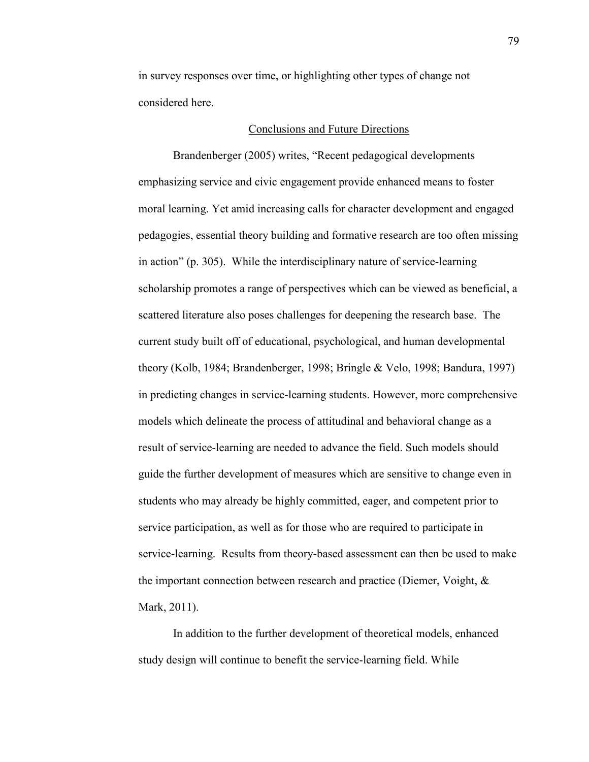in survey responses over time, or highlighting other types of change not considered here.

## Conclusions and Future Directions

Brandenberger (2005) writes, "Recent pedagogical developments emphasizing service and civic engagement provide enhanced means to foster moral learning. Yet amid increasing calls for character development and engaged pedagogies, essential theory building and formative research are too often missing in action" (p. 305). While the interdisciplinary nature of service-learning scholarship promotes a range of perspectives which can be viewed as beneficial, a scattered literature also poses challenges for deepening the research base. The current study built off of educational, psychological, and human developmental theory (Kolb, 1984; Brandenberger, 1998; Bringle & Velo, 1998; Bandura, 1997) in predicting changes in service-learning students. However, more comprehensive models which delineate the process of attitudinal and behavioral change as a result of service-learning are needed to advance the field. Such models should guide the further development of measures which are sensitive to change even in students who may already be highly committed, eager, and competent prior to service participation, as well as for those who are required to participate in service-learning. Results from theory-based assessment can then be used to make the important connection between research and practice (Diemer, Voight, & Mark, 2011).

 In addition to the further development of theoretical models, enhanced study design will continue to benefit the service-learning field. While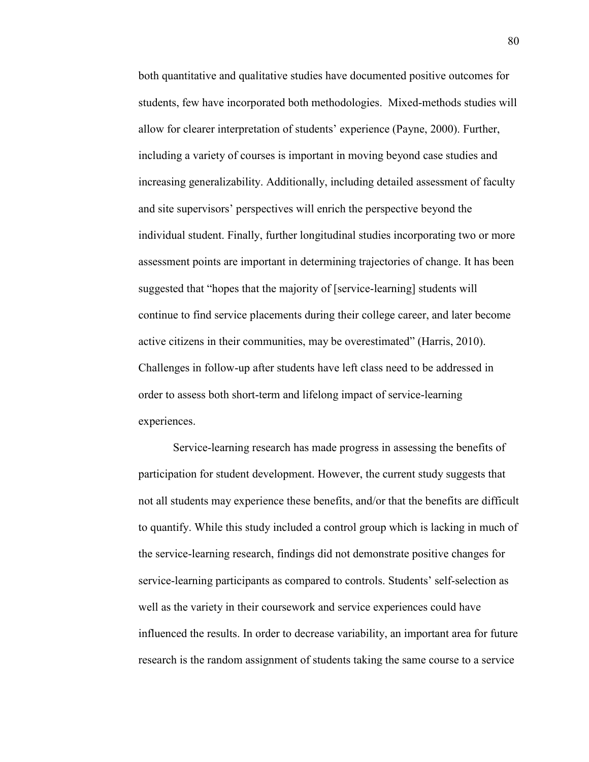both quantitative and qualitative studies have documented positive outcomes for students, few have incorporated both methodologies. Mixed-methods studies will allow for clearer interpretation of students' experience (Payne, 2000). Further, including a variety of courses is important in moving beyond case studies and increasing generalizability. Additionally, including detailed assessment of faculty and site supervisors' perspectives will enrich the perspective beyond the individual student. Finally, further longitudinal studies incorporating two or more assessment points are important in determining trajectories of change. It has been suggested that "hopes that the majority of [service-learning] students will continue to find service placements during their college career, and later become active citizens in their communities, may be overestimated" (Harris, 2010). Challenges in follow-up after students have left class need to be addressed in order to assess both short-term and lifelong impact of service-learning experiences.

Service-learning research has made progress in assessing the benefits of participation for student development. However, the current study suggests that not all students may experience these benefits, and/or that the benefits are difficult to quantify. While this study included a control group which is lacking in much of the service-learning research, findings did not demonstrate positive changes for service-learning participants as compared to controls. Students' self-selection as well as the variety in their coursework and service experiences could have influenced the results. In order to decrease variability, an important area for future research is the random assignment of students taking the same course to a service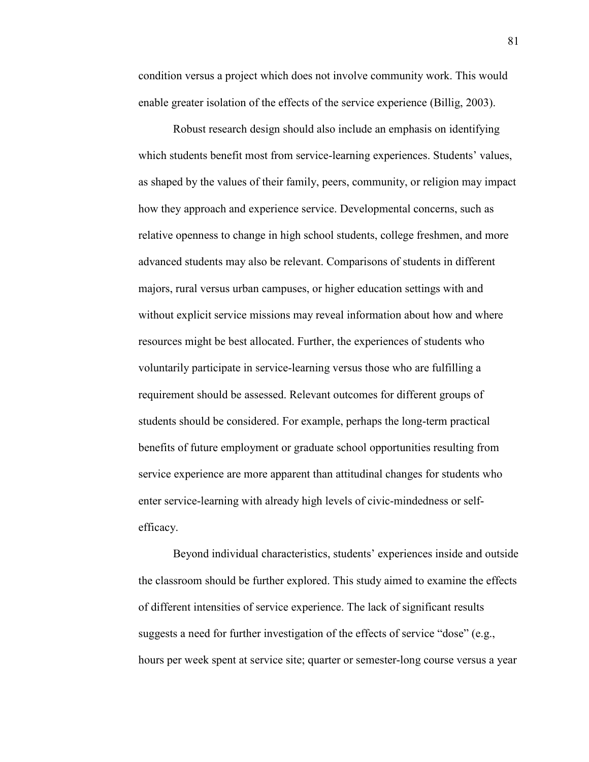condition versus a project which does not involve community work. This would enable greater isolation of the effects of the service experience (Billig, 2003).

 Robust research design should also include an emphasis on identifying which students benefit most from service-learning experiences. Students' values, as shaped by the values of their family, peers, community, or religion may impact how they approach and experience service. Developmental concerns, such as relative openness to change in high school students, college freshmen, and more advanced students may also be relevant. Comparisons of students in different majors, rural versus urban campuses, or higher education settings with and without explicit service missions may reveal information about how and where resources might be best allocated. Further, the experiences of students who voluntarily participate in service-learning versus those who are fulfilling a requirement should be assessed. Relevant outcomes for different groups of students should be considered. For example, perhaps the long-term practical benefits of future employment or graduate school opportunities resulting from service experience are more apparent than attitudinal changes for students who enter service-learning with already high levels of civic-mindedness or selfefficacy.

 Beyond individual characteristics, students' experiences inside and outside the classroom should be further explored. This study aimed to examine the effects of different intensities of service experience. The lack of significant results suggests a need for further investigation of the effects of service "dose" (e.g., hours per week spent at service site; quarter or semester-long course versus a year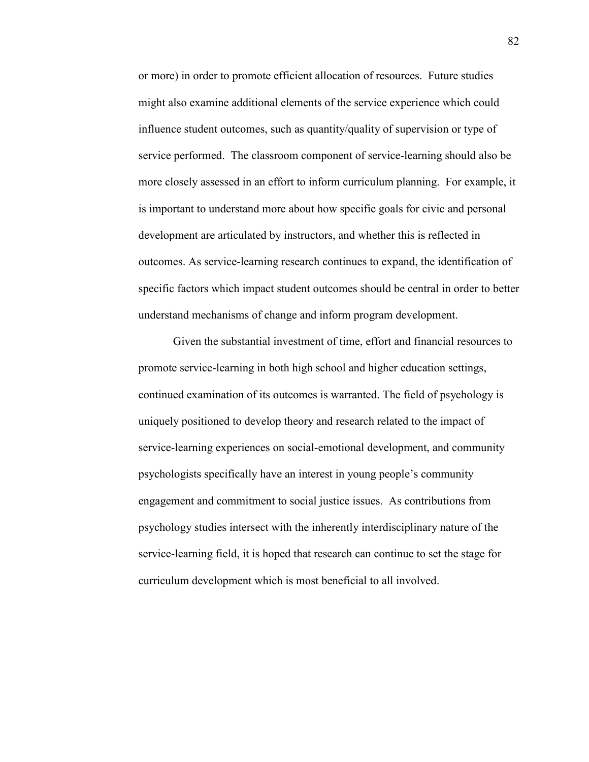or more) in order to promote efficient allocation of resources. Future studies might also examine additional elements of the service experience which could influence student outcomes, such as quantity/quality of supervision or type of service performed. The classroom component of service-learning should also be more closely assessed in an effort to inform curriculum planning. For example, it is important to understand more about how specific goals for civic and personal development are articulated by instructors, and whether this is reflected in outcomes. As service-learning research continues to expand, the identification of specific factors which impact student outcomes should be central in order to better understand mechanisms of change and inform program development.

 Given the substantial investment of time, effort and financial resources to promote service-learning in both high school and higher education settings, continued examination of its outcomes is warranted. The field of psychology is uniquely positioned to develop theory and research related to the impact of service-learning experiences on social-emotional development, and community psychologists specifically have an interest in young people's community engagement and commitment to social justice issues. As contributions from psychology studies intersect with the inherently interdisciplinary nature of the service-learning field, it is hoped that research can continue to set the stage for curriculum development which is most beneficial to all involved.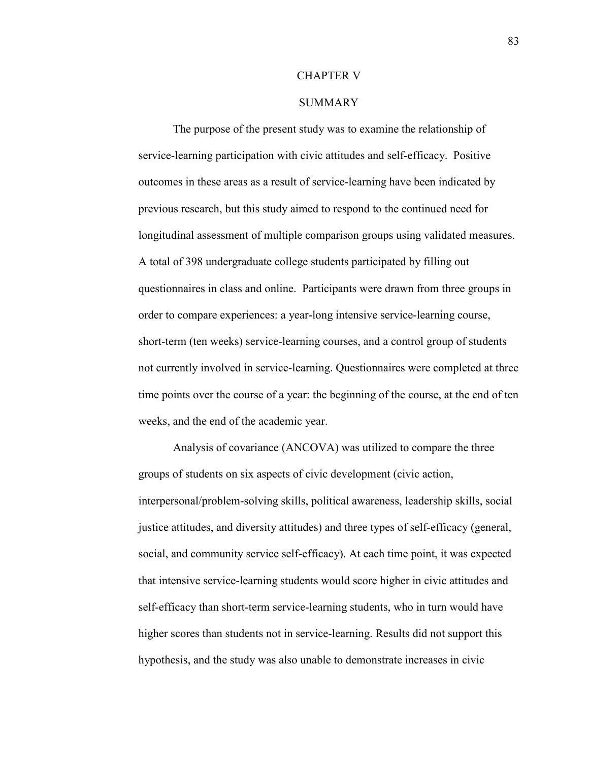# CHAPTER V

# **SUMMARY**

The purpose of the present study was to examine the relationship of service-learning participation with civic attitudes and self-efficacy. Positive outcomes in these areas as a result of service-learning have been indicated by previous research, but this study aimed to respond to the continued need for longitudinal assessment of multiple comparison groups using validated measures. A total of 398 undergraduate college students participated by filling out questionnaires in class and online. Participants were drawn from three groups in order to compare experiences: a year-long intensive service-learning course, short-term (ten weeks) service-learning courses, and a control group of students not currently involved in service-learning. Questionnaires were completed at three time points over the course of a year: the beginning of the course, at the end of ten weeks, and the end of the academic year.

Analysis of covariance (ANCOVA) was utilized to compare the three groups of students on six aspects of civic development (civic action, interpersonal/problem-solving skills, political awareness, leadership skills, social justice attitudes, and diversity attitudes) and three types of self-efficacy (general, social, and community service self-efficacy). At each time point, it was expected that intensive service-learning students would score higher in civic attitudes and self-efficacy than short-term service-learning students, who in turn would have higher scores than students not in service-learning. Results did not support this hypothesis, and the study was also unable to demonstrate increases in civic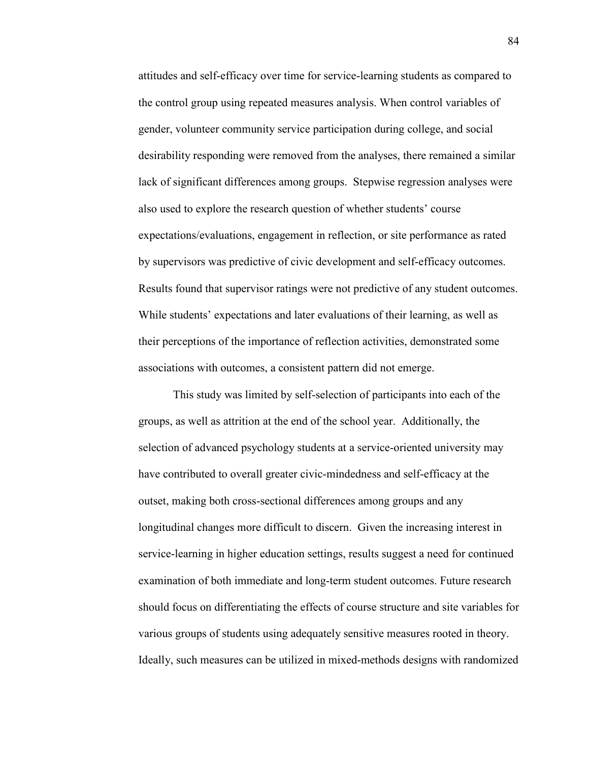attitudes and self-efficacy over time for service-learning students as compared to the control group using repeated measures analysis. When control variables of gender, volunteer community service participation during college, and social desirability responding were removed from the analyses, there remained a similar lack of significant differences among groups. Stepwise regression analyses were also used to explore the research question of whether students' course expectations/evaluations, engagement in reflection, or site performance as rated by supervisors was predictive of civic development and self-efficacy outcomes. Results found that supervisor ratings were not predictive of any student outcomes. While students' expectations and later evaluations of their learning, as well as their perceptions of the importance of reflection activities, demonstrated some associations with outcomes, a consistent pattern did not emerge.

This study was limited by self-selection of participants into each of the groups, as well as attrition at the end of the school year. Additionally, the selection of advanced psychology students at a service-oriented university may have contributed to overall greater civic-mindedness and self-efficacy at the outset, making both cross-sectional differences among groups and any longitudinal changes more difficult to discern. Given the increasing interest in service-learning in higher education settings, results suggest a need for continued examination of both immediate and long-term student outcomes. Future research should focus on differentiating the effects of course structure and site variables for various groups of students using adequately sensitive measures rooted in theory. Ideally, such measures can be utilized in mixed-methods designs with randomized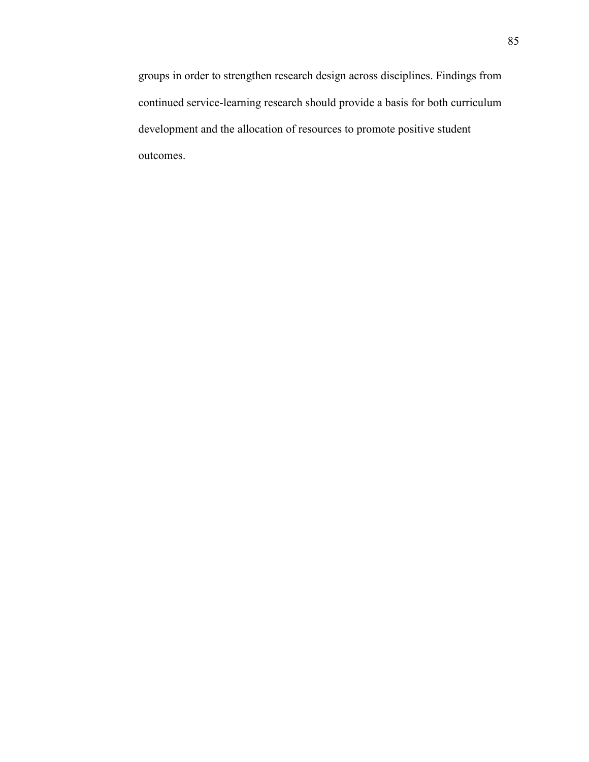groups in order to strengthen research design across disciplines. Findings from continued service-learning research should provide a basis for both curriculum development and the allocation of resources to promote positive student outcomes.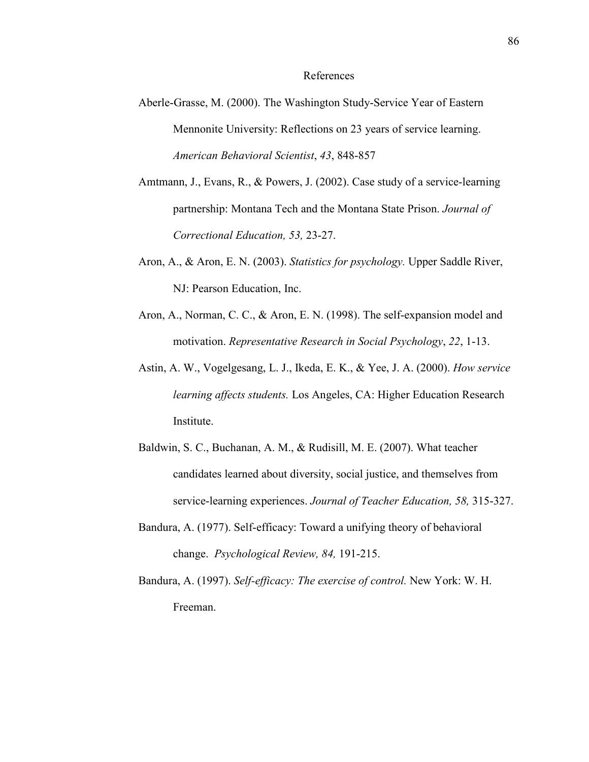## References

- Aberle-Grasse, M. (2000). The Washington Study-Service Year of Eastern Mennonite University: Reflections on 23 years of service learning. *American Behavioral Scientist*, *43*, 848-857
- Amtmann, J., Evans, R., & Powers, J. (2002). Case study of a service-learning partnership: Montana Tech and the Montana State Prison. *Journal of Correctional Education, 53,* 23-27.
- Aron, A., & Aron, E. N. (2003). *Statistics for psychology.* Upper Saddle River, NJ: Pearson Education, Inc.
- Aron, A., Norman, C. C., & Aron, E. N. (1998). The self-expansion model and motivation. *Representative Research in Social Psychology*, *22*, 1-13.
- Astin, A. W., Vogelgesang, L. J., Ikeda, E. K., & Yee, J. A. (2000). *How service learning affects students.* Los Angeles, CA: Higher Education Research Institute.
- Baldwin, S. C., Buchanan, A. M., & Rudisill, M. E. (2007). What teacher candidates learned about diversity, social justice, and themselves from service-learning experiences. *Journal of Teacher Education, 58,* 315-327.
- Bandura, A. (1977). Self-efficacy: Toward a unifying theory of behavioral change. *Psychological Review, 84,* 191-215.
- Bandura, A. (1997). *Self-efficacy: The exercise of control.* New York: W. H. Freeman.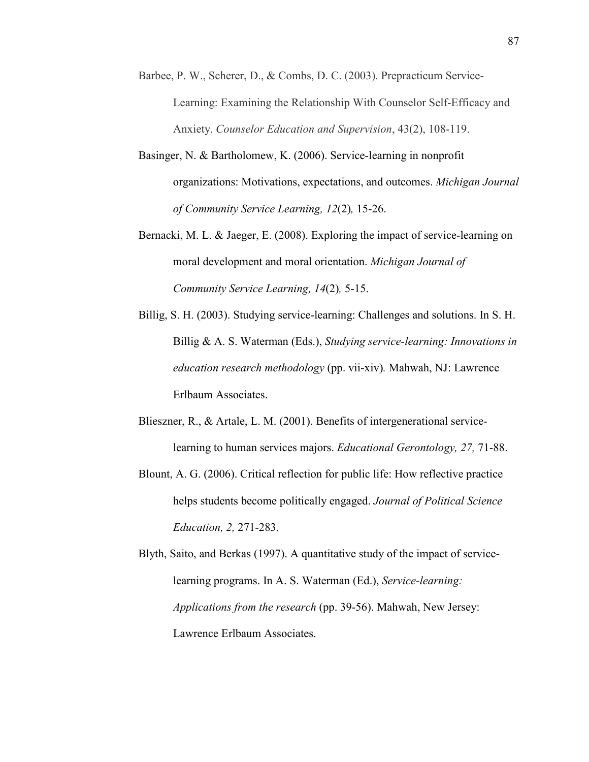- Barbee, P. W., Scherer, D., & Combs, D. C. (2003). Prepracticum Service-Learning: Examining the Relationship With Counselor Self-Efficacy and Anxiety. *Counselor Education and Supervision*, 43(2), 108-119.
- Basinger, N. & Bartholomew, K. (2006). Service-learning in nonprofit organizations: Motivations, expectations, and outcomes. *Michigan Journal of Community Service Learning, 12*(2)*,* 15-26.
- Bernacki, M. L. & Jaeger, E. (2008). Exploring the impact of service-learning on moral development and moral orientation. *Michigan Journal of Community Service Learning, 14*(2)*,* 5-15.
- Billig, S. H. (2003). Studying service-learning: Challenges and solutions. In S. H. Billig & A. S. Waterman (Eds.), *Studying service-learning: Innovations in education research methodology* (pp. vii-xiv)*.* Mahwah, NJ: Lawrence Erlbaum Associates.
- Blieszner, R., & Artale, L. M. (2001). Benefits of intergenerational servicelearning to human services majors. *Educational Gerontology, 27,* 71-88.
- Blount, A. G. (2006). Critical reflection for public life: How reflective practice helps students become politically engaged. *Journal of Political Science Education, 2,* 271-283.

Blyth, Saito, and Berkas (1997). A quantitative study of the impact of servicelearning programs. In A. S. Waterman (Ed.), *Service-learning: Applications from the research* (pp. 39-56). Mahwah, New Jersey: Lawrence Erlbaum Associates.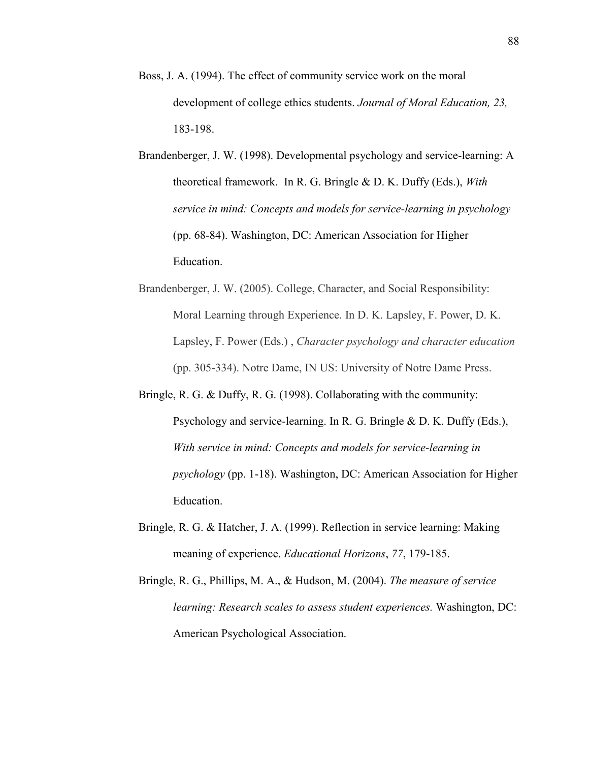- Boss, J. A. (1994). The effect of community service work on the moral development of college ethics students. *Journal of Moral Education, 23,*  183-198.
- Brandenberger, J. W. (1998). Developmental psychology and service-learning: A theoretical framework. In R. G. Bringle & D. K. Duffy (Eds.), *With service in mind: Concepts and models for service-learning in psychology*  (pp. 68-84). Washington, DC: American Association for Higher Education.
- Brandenberger, J. W. (2005). College, Character, and Social Responsibility: Moral Learning through Experience. In D. K. Lapsley, F. Power, D. K. Lapsley, F. Power (Eds.) , *Character psychology and character education* (pp. 305-334). Notre Dame, IN US: University of Notre Dame Press.
- Bringle, R. G. & Duffy, R. G. (1998). Collaborating with the community: Psychology and service-learning. In R. G. Bringle & D. K. Duffy (Eds.), *With service in mind: Concepts and models for service-learning in psychology* (pp. 1-18). Washington, DC: American Association for Higher Education.
- Bringle, R. G. & Hatcher, J. A. (1999). Reflection in service learning: Making meaning of experience. *Educational Horizons*, *77*, 179-185.
- Bringle, R. G., Phillips, M. A., & Hudson, M. (2004). *The measure of service learning: Research scales to assess student experiences.* Washington, DC: American Psychological Association.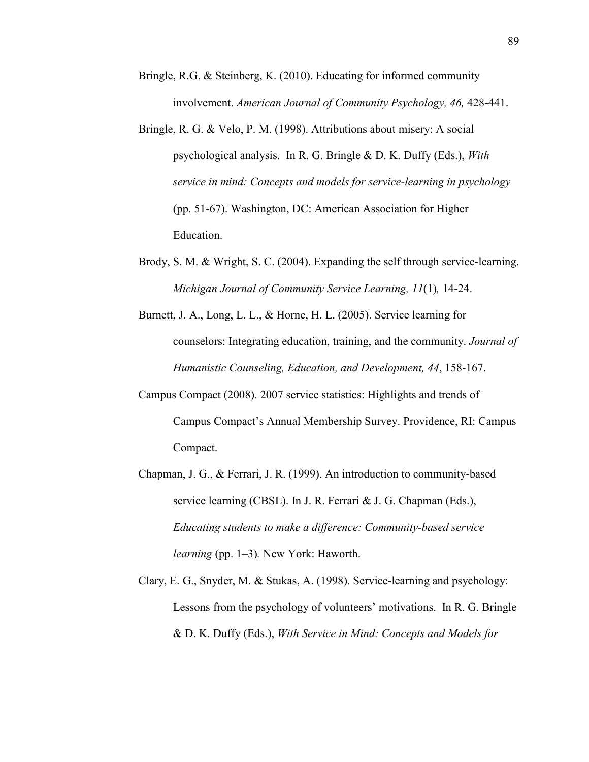- Bringle, R.G. & Steinberg, K. (2010). Educating for informed community involvement. *American Journal of Community Psychology, 46, 428-441.*
- Bringle, R. G. & Velo, P. M. (1998). Attributions about misery: A social psychological analysis. In R. G. Bringle & D. K. Duffy (Eds.), *With service in mind: Concepts and models for service-learning in psychology*  (pp. 51-67). Washington, DC: American Association for Higher Education.
- Brody, S. M. & Wright, S. C. (2004). Expanding the self through service-learning. *Michigan Journal of Community Service Learning, 11*(1)*,* 14-24.
- Burnett, J. A., Long, L. L., & Horne, H. L. (2005). Service learning for counselors: Integrating education, training, and the community. *Journal of Humanistic Counseling, Education, and Development, 44*, 158-167.
- Campus Compact (2008). 2007 service statistics: Highlights and trends of Campus Compact's Annual Membership Survey. Providence, RI: Campus Compact.
- Chapman, J. G., & Ferrari, J. R. (1999). An introduction to community-based service learning (CBSL). In J. R. Ferrari & J. G. Chapman (Eds.), *Educating students to make a difference: Community-based service learning* (pp. 1–3)*.* New York: Haworth.
- Clary, E. G., Snyder, M. & Stukas, A. (1998). Service-learning and psychology: Lessons from the psychology of volunteers' motivations. In R. G. Bringle & D. K. Duffy (Eds.), *With Service in Mind: Concepts and Models for*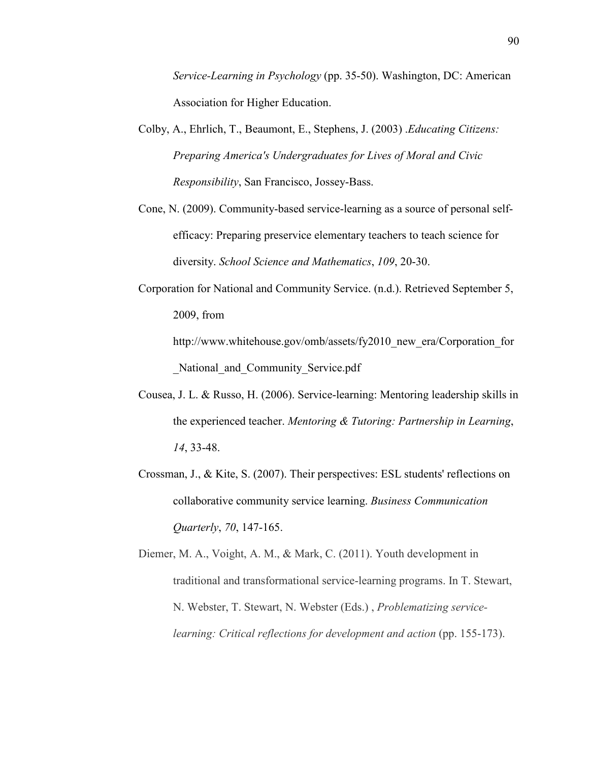*Service-Learning in Psychology* (pp. 35-50). Washington, DC: American Association for Higher Education.

- Colby, A., Ehrlich, T., Beaumont, E., Stephens, J. (2003) .*Educating Citizens: Preparing America's Undergraduates for Lives of Moral and Civic Responsibility*, San Francisco, Jossey-Bass.
- Cone, N. (2009). Community-based service-learning as a source of personal selfefficacy: Preparing preservice elementary teachers to teach science for diversity. *School Science and Mathematics*, *109*, 20-30.
- Corporation for National and Community Service. (n.d.). Retrieved September 5, 2009, from http://www.whitehouse.gov/omb/assets/fy2010\_new\_era/Corporation\_for

National and Community Service.pdf

- Cousea, J. L. & Russo, H. (2006). Service-learning: Mentoring leadership skills in the experienced teacher. *Mentoring & Tutoring: Partnership in Learning*, *14*, 33-48.
- Crossman, J., & Kite, S. (2007). Their perspectives: ESL students' reflections on collaborative community service learning. *Business Communication Quarterly*, *70*, 147-165.

Diemer, M. A., Voight, A. M., & Mark, C. (2011). Youth development in traditional and transformational service-learning programs. In T. Stewart, N. Webster, T. Stewart, N. Webster (Eds.) , *Problematizing servicelearning: Critical reflections for development and action* (pp. 155-173).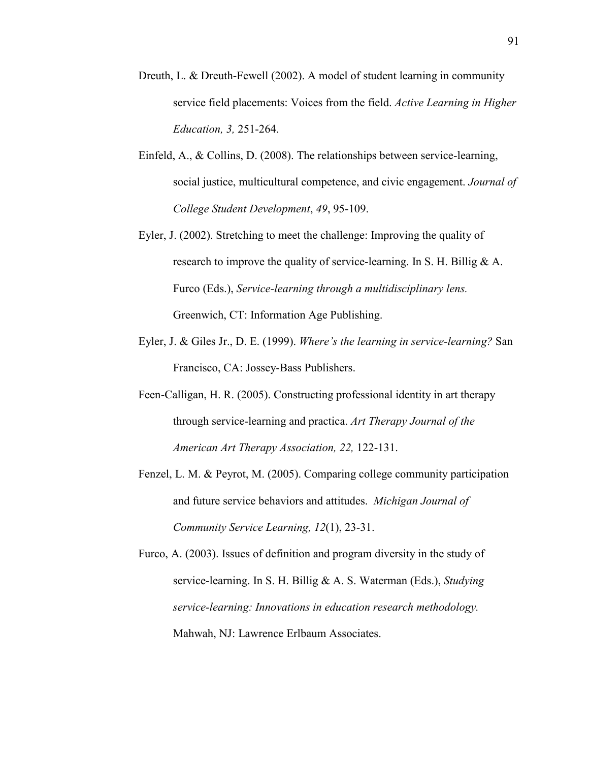- Dreuth, L. & Dreuth-Fewell (2002). A model of student learning in community service field placements: Voices from the field. *Active Learning in Higher Education, 3,* 251-264.
- Einfeld, A., & Collins, D. (2008). The relationships between service-learning, social justice, multicultural competence, and civic engagement. *Journal of College Student Development*, *49*, 95-109.
- Eyler, J. (2002). Stretching to meet the challenge: Improving the quality of research to improve the quality of service-learning. In S. H. Billig & A. Furco (Eds.), *Service-learning through a multidisciplinary lens.*  Greenwich, CT: Information Age Publishing.
- Eyler, J. & Giles Jr., D. E. (1999). *Where's the learning in service-learning?* San Francisco, CA: Jossey-Bass Publishers.
- Feen-Calligan, H. R. (2005). Constructing professional identity in art therapy through service-learning and practica. *Art Therapy Journal of the American Art Therapy Association, 22,* 122-131.
- Fenzel, L. M. & Peyrot, M. (2005). Comparing college community participation and future service behaviors and attitudes. *Michigan Journal of Community Service Learning, 12*(1), 23-31.
- Furco, A. (2003). Issues of definition and program diversity in the study of service-learning. In S. H. Billig & A. S. Waterman (Eds.), *Studying service-learning: Innovations in education research methodology.*  Mahwah, NJ: Lawrence Erlbaum Associates.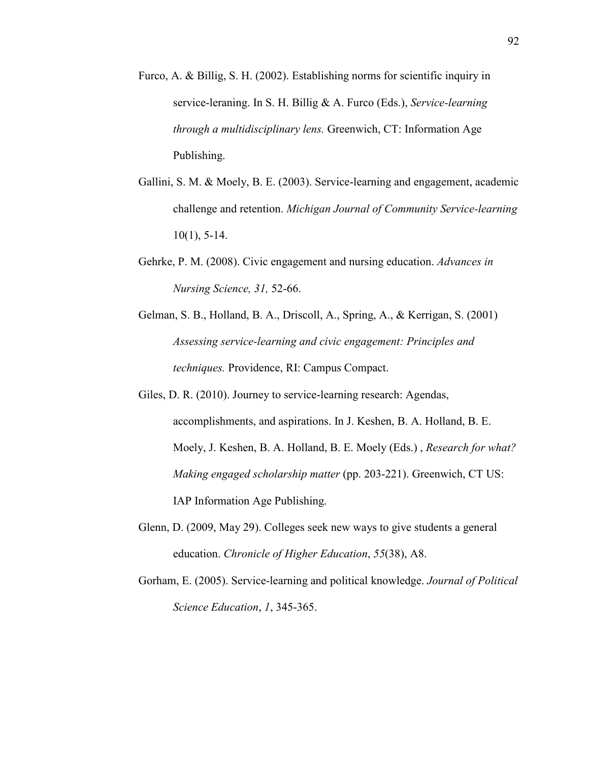- Furco, A. & Billig, S. H. (2002). Establishing norms for scientific inquiry in service-leraning. In S. H. Billig & A. Furco (Eds.), *Service-learning through a multidisciplinary lens.* Greenwich, CT: Information Age Publishing.
- Gallini, S. M. & Moely, B. E. (2003). Service-learning and engagement, academic challenge and retention. *Michigan Journal of Community Service-learning*  $10(1)$ , 5-14.
- Gehrke, P. M. (2008). Civic engagement and nursing education. *Advances in %ursing Science, 31,* 52-66.
- Gelman, S. B., Holland, B. A., Driscoll, A., Spring, A., & Kerrigan, S. (2001) *Assessing service-learning and civic engagement: Principles and techniques.* Providence, RI: Campus Compact.
- Giles, D. R. (2010). Journey to service-learning research: Agendas, accomplishments, and aspirations. In J. Keshen, B. A. Holland, B. E. Moely, J. Keshen, B. A. Holland, B. E. Moely (Eds.) , *Research for what? Making engaged scholarship matter* (pp. 203-221). Greenwich, CT US: IAP Information Age Publishing.
- Glenn, D. (2009, May 29). Colleges seek new ways to give students a general education. *Chronicle of Higher Education*, *55*(38), A8.
- Gorham, E. (2005). Service-learning and political knowledge. *Journal of Political Science Education*, *1*, 345-365.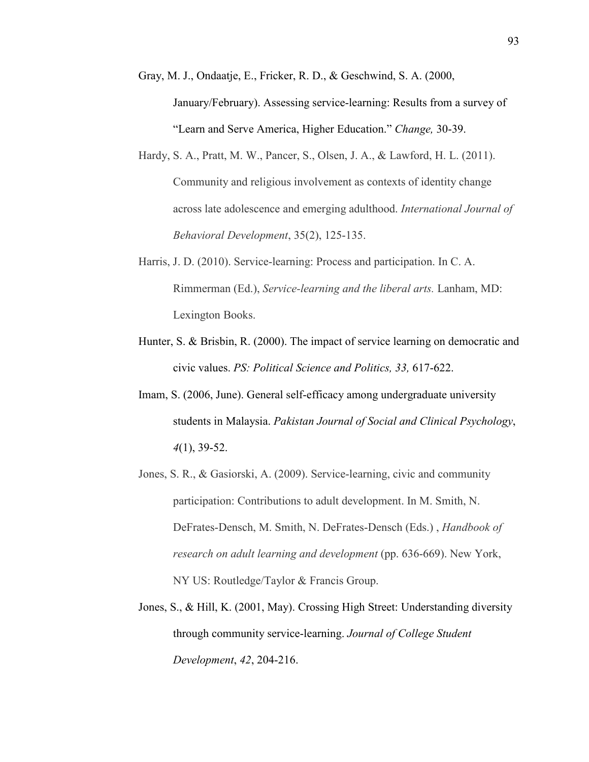- Gray, M. J., Ondaatje, E., Fricker, R. D., & Geschwind, S. A. (2000, January/February). Assessing service-learning: Results from a survey of "Learn and Serve America, Higher Education." *Change,* 30-39.
- Hardy, S. A., Pratt, M. W., Pancer, S., Olsen, J. A., & Lawford, H. L. (2011). Community and religious involvement as contexts of identity change across late adolescence and emerging adulthood. *International Journal of Behavioral Development*, 35(2), 125-135.
- Harris, J. D. (2010). Service-learning: Process and participation. In C. A. Rimmerman (Ed.), *Service-learning and the liberal arts.* Lanham, MD: Lexington Books.
- Hunter, S. & Brisbin, R. (2000). The impact of service learning on democratic and civic values. *PS: Political Science and Politics, 33,* 617-622.
- Imam, S. (2006, June). General self-efficacy among undergraduate university students in Malaysia. *Pakistan Journal of Social and Clinical Psychology*, *4*(1), 39-52.
- Jones, S. R., & Gasiorski, A. (2009). Service-learning, civic and community participation: Contributions to adult development. In M. Smith, N. DeFrates-Densch, M. Smith, N. DeFrates-Densch (Eds.) , *Handbook of research on adult learning and development* (pp. 636-669). New York, NY US: Routledge/Taylor & Francis Group.
- Jones, S., & Hill, K. (2001, May). Crossing High Street: Understanding diversity through community service-learning. *Journal of College Student Development*, *42*, 204-216.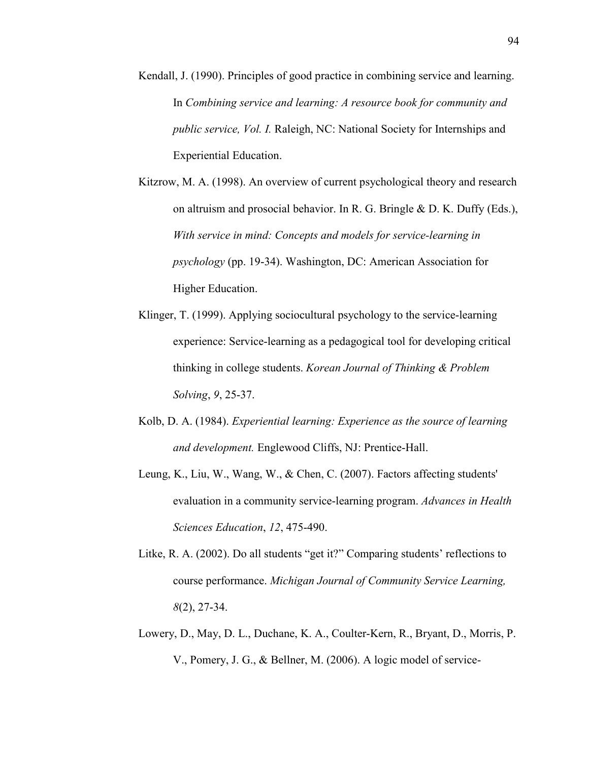- Kendall, J. (1990). Principles of good practice in combining service and learning. In *Combining service and learning: A resource book for community and public service, Vol. I.* Raleigh, NC: National Society for Internships and Experiential Education.
- Kitzrow, M. A. (1998). An overview of current psychological theory and research on altruism and prosocial behavior. In R. G. Bringle & D. K. Duffy (Eds.), *With service in mind: Concepts and models for service-learning in psychology* (pp. 19-34). Washington, DC: American Association for Higher Education.
- Klinger, T. (1999). Applying sociocultural psychology to the service-learning experience: Service-learning as a pedagogical tool for developing critical thinking in college students. *Korean Journal of Thinking & Problem Solving*, *9*, 25-37.
- Kolb, D. A. (1984). *Experiential learning: Experience as the source of learning and development.* Englewood Cliffs, NJ: Prentice-Hall.
- Leung, K., Liu, W., Wang, W., & Chen, C. (2007). Factors affecting students' evaluation in a community service-learning program. *Advances in Health Sciences Education*, *12*, 475-490.
- Litke, R. A. (2002). Do all students "get it?" Comparing students' reflections to course performance. *Michigan Journal of Community Service Learning, 8*(2), 27-34.
- Lowery, D., May, D. L., Duchane, K. A., Coulter-Kern, R., Bryant, D., Morris, P. V., Pomery, J. G., & Bellner, M. (2006). A logic model of service-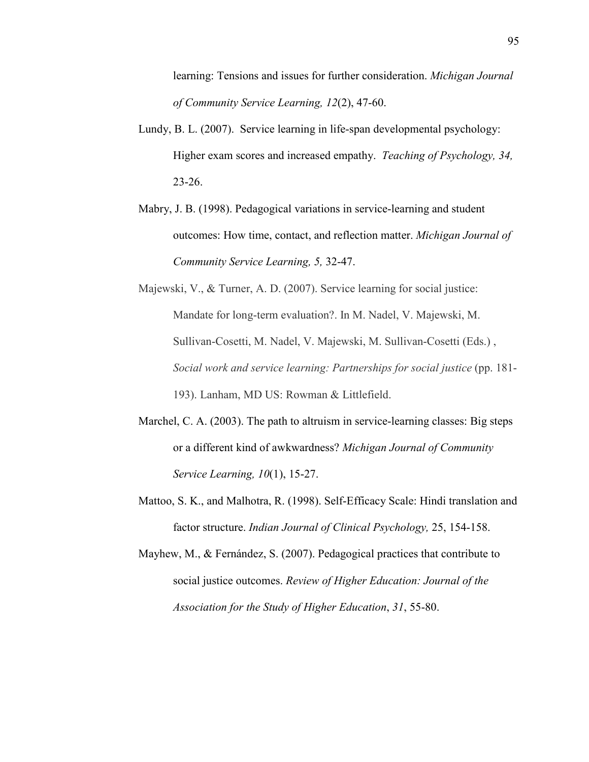learning: Tensions and issues for further consideration. *Michigan Journal of Community Service Learning, 12*(2), 47-60.

- Lundy, B. L. (2007). Service learning in life-span developmental psychology: Higher exam scores and increased empathy. *Teaching of Psychology, 34,* 23-26.
- Mabry, J. B. (1998). Pedagogical variations in service-learning and student outcomes: How time, contact, and reflection matter. *Michigan Journal of Community Service Learning, 5,* 32-47.
- Majewski, V., & Turner, A. D. (2007). Service learning for social justice: Mandate for long-term evaluation?. In M. Nadel, V. Majewski, M. Sullivan-Cosetti, M. Nadel, V. Majewski, M. Sullivan-Cosetti (Eds.) , *Social work and service learning: Partnerships for social justice* (pp. 181- 193). Lanham, MD US: Rowman & Littlefield.
- Marchel, C. A. (2003). The path to altruism in service-learning classes: Big steps or a different kind of awkwardness? *Michigan Journal of Community Service Learning, 10*(1), 15-27.
- Mattoo, S. K., and Malhotra, R. (1998). Self-Efficacy Scale: Hindi translation and factor structure. *Indian Journal of Clinical Psychology,* 25, 154-158.
- Mayhew, M., & Fernández, S. (2007). Pedagogical practices that contribute to social justice outcomes. *Review of Higher Education: Journal of the Association for the Study of Higher Education*, *31*, 55-80.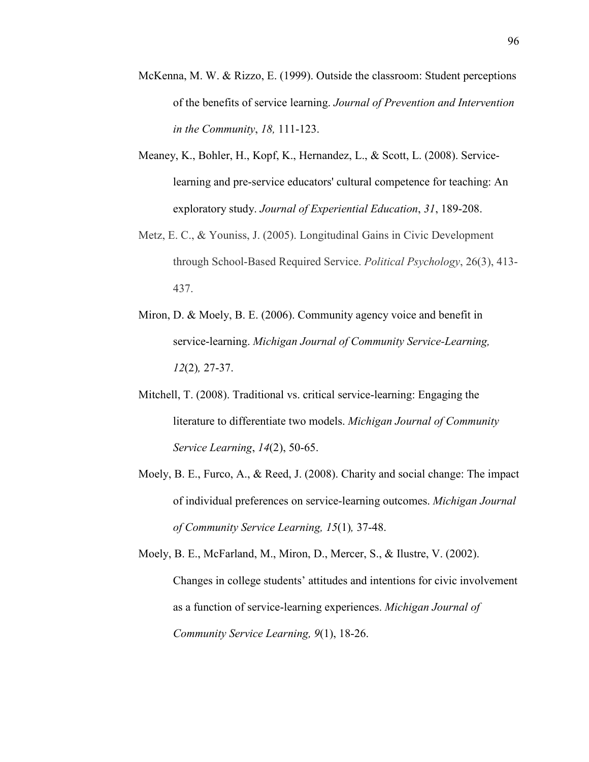- McKenna, M. W. & Rizzo, E. (1999). Outside the classroom: Student perceptions of the benefits of service learning. *Journal of Prevention and Intervention in the Community*, *18,* 111-123.
- Meaney, K., Bohler, H., Kopf, K., Hernandez, L., & Scott, L. (2008). Servicelearning and pre-service educators' cultural competence for teaching: An exploratory study. *Journal of Experiential Education*, *31*, 189-208.
- Metz, E. C., & Youniss, J. (2005). Longitudinal Gains in Civic Development through School-Based Required Service. *Political Psychology*, 26(3), 413- 437.
- Miron, D. & Moely, B. E. (2006). Community agency voice and benefit in service-learning. *Michigan Journal of Community Service-Learning, 12*(2)*,* 27-37.
- Mitchell, T. (2008). Traditional vs. critical service-learning: Engaging the literature to differentiate two models. *Michigan Journal of Community Service Learning*, *14*(2), 50-65.
- Moely, B. E., Furco, A., & Reed, J. (2008). Charity and social change: The impact of individual preferences on service-learning outcomes. *Michigan Journal of Community Service Learning, 15*(1)*,* 37-48.

Moely, B. E., McFarland, M., Miron, D., Mercer, S., & Ilustre, V. (2002). Changes in college students' attitudes and intentions for civic involvement as a function of service-learning experiences. *Michigan Journal of Community Service Learning, 9*(1), 18-26.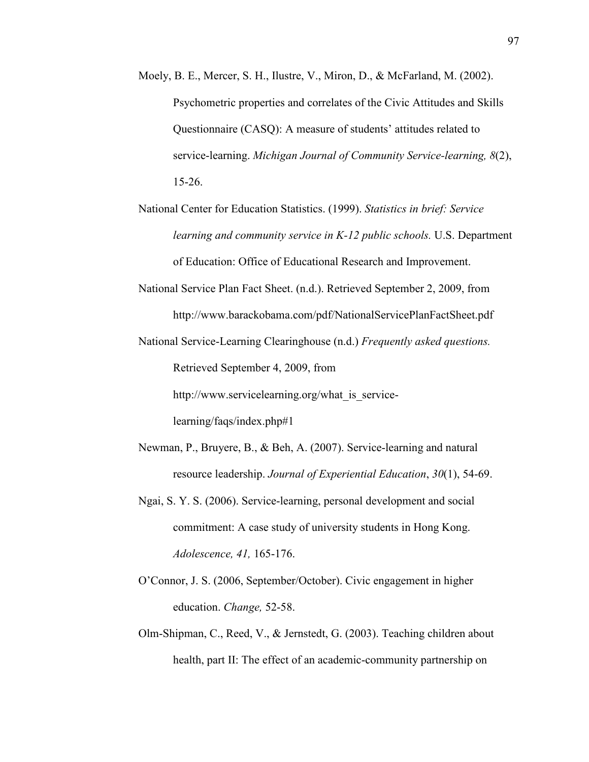- Moely, B. E., Mercer, S. H., Ilustre, V., Miron, D., & McFarland, M. (2002). Psychometric properties and correlates of the Civic Attitudes and Skills Questionnaire (CASQ): A measure of students' attitudes related to service-learning. *Michigan Journal of Community Service-learning, 8*(2), 15-26.
- National Center for Education Statistics. (1999). *Statistics in brief: Service learning and community service in K-12 public schools.* U.S. Department of Education: Office of Educational Research and Improvement.
- National Service Plan Fact Sheet. (n.d.). Retrieved September 2, 2009, from http://www.barackobama.com/pdf/NationalServicePlanFactSheet.pdf
- National Service-Learning Clearinghouse (n.d.) *Frequently asked questions.*  Retrieved September 4, 2009, from

http://www.servicelearning.org/what\_is\_service-

learning/faqs/index.php#1

- Newman, P., Bruyere, B., & Beh, A. (2007). Service-learning and natural resource leadership. *Journal of Experiential Education*, *30*(1), 54-69.
- Ngai, S. Y. S. (2006). Service-learning, personal development and social commitment: A case study of university students in Hong Kong. *Adolescence, 41,* 165-176.
- O'Connor, J. S. (2006, September/October). Civic engagement in higher education. *Change,* 52-58.
- Olm-Shipman, C., Reed, V., & Jernstedt, G. (2003). Teaching children about health, part II: The effect of an academic-community partnership on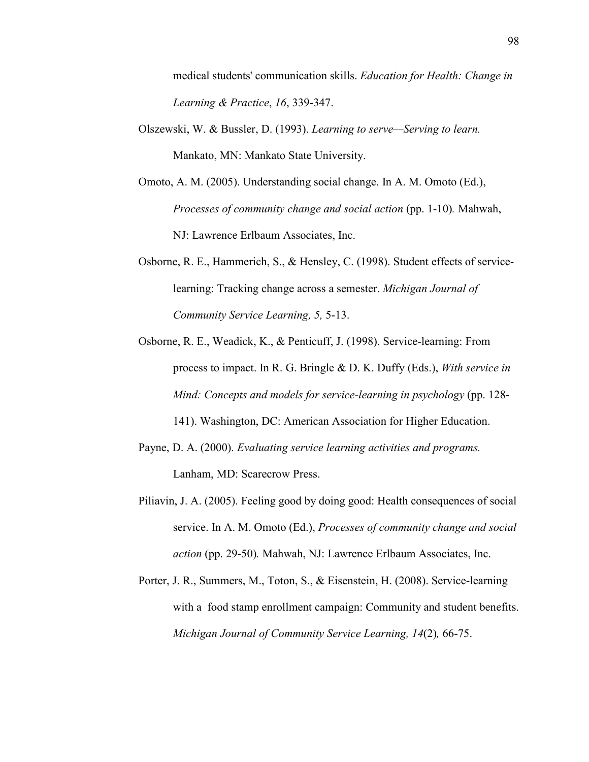medical students' communication skills. *Education for Health: Change in Learning & Practice*, *16*, 339-347.

- Olszewski, W. & Bussler, D. (1993). *Learning to serve—Serving to learn.*  Mankato, MN: Mankato State University.
- Omoto, A. M. (2005). Understanding social change. In A. M. Omoto (Ed.), *Processes of community change and social action (pp. 1-10). Mahwah,* NJ: Lawrence Erlbaum Associates, Inc.
- Osborne, R. E., Hammerich, S., & Hensley, C. (1998). Student effects of servicelearning: Tracking change across a semester. *Michigan Journal of Community Service Learning, 5,* 5-13.
- Osborne, R. E., Weadick, K., & Penticuff, J. (1998). Service-learning: From process to impact. In R. G. Bringle & D. K. Duffy (Eds.), *With service in Mind: Concepts and models for service-learning in psychology* (pp. 128- 141). Washington, DC: American Association for Higher Education.
- Payne, D. A. (2000). *Evaluating service learning activities and programs.* Lanham, MD: Scarecrow Press.
- Piliavin, J. A. (2005). Feeling good by doing good: Health consequences of social service. In A. M. Omoto (Ed.), *Processes of community change and social action* (pp. 29-50)*.* Mahwah, NJ: Lawrence Erlbaum Associates, Inc.
- Porter, J. R., Summers, M., Toton, S., & Eisenstein, H. (2008). Service-learning with a food stamp enrollment campaign: Community and student benefits. *Michigan Journal of Community Service Learning, 14*(2)*,* 66-75.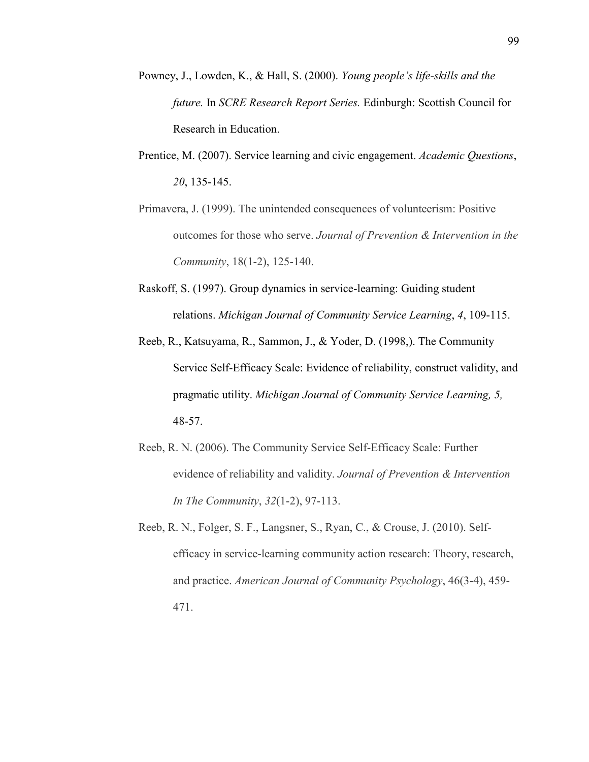- Powney, J., Lowden, K., & Hall, S. (2000). *Young people's life-skills and the future.* In *SCRE Research Report Series.* Edinburgh: Scottish Council for Research in Education.
- Prentice, M. (2007). Service learning and civic engagement. *Academic Questions*, *20*, 135-145.
- Primavera, J. (1999). The unintended consequences of volunteerism: Positive outcomes for those who serve. *Journal of Prevention & Intervention in the Community*, 18(1-2), 125-140.
- Raskoff, S. (1997). Group dynamics in service-learning: Guiding student relations. *Michigan Journal of Community Service Learning*, *4*, 109-115.
- Reeb, R., Katsuyama, R., Sammon, J., & Yoder, D. (1998,). The Community Service Self-Efficacy Scale: Evidence of reliability, construct validity, and pragmatic utility. *Michigan Journal of Community Service Learning, 5,* 48-57.
- Reeb, R. N. (2006). The Community Service Self-Efficacy Scale: Further evidence of reliability and validity. *Journal of Prevention & Intervention In The Community*, *32*(1-2), 97-113.
- Reeb, R. N., Folger, S. F., Langsner, S., Ryan, C., & Crouse, J. (2010). Selfefficacy in service-learning community action research: Theory, research, and practice. *American Journal of Community Psychology*, 46(3-4), 459- 471.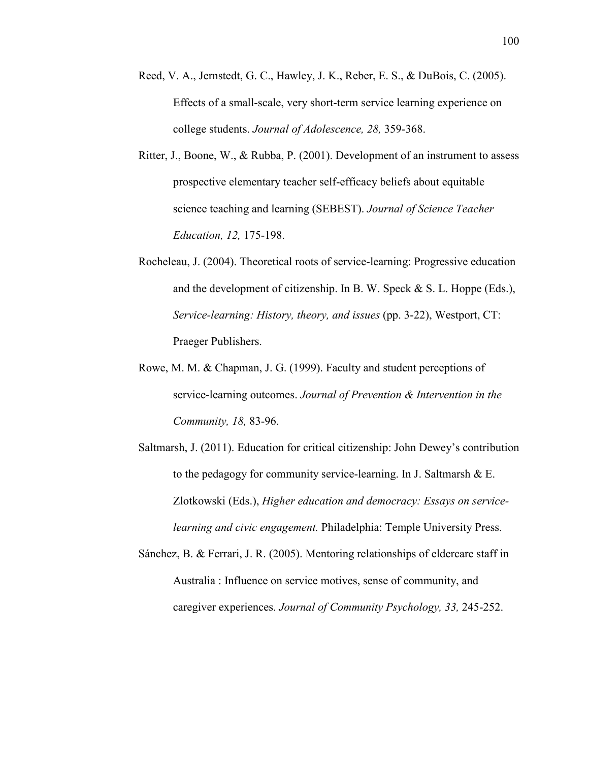- Reed, V. A., Jernstedt, G. C., Hawley, J. K., Reber, E. S., & DuBois, C. (2005). Effects of a small-scale, very short-term service learning experience on college students. *Journal of Adolescence, 28,* 359-368.
- Ritter, J., Boone, W., & Rubba, P. (2001). Development of an instrument to assess prospective elementary teacher self-efficacy beliefs about equitable science teaching and learning (SEBEST). *Journal of Science Teacher Education, 12,* 175-198.
- Rocheleau, J. (2004). Theoretical roots of service-learning: Progressive education and the development of citizenship. In B. W. Speck & S. L. Hoppe (Eds.), *Service-learning: History, theory, and issues* (pp. 3-22), Westport, CT: Praeger Publishers.
- Rowe, M. M. & Chapman, J. G. (1999). Faculty and student perceptions of service-learning outcomes. *Journal of Prevention & Intervention in the Community, 18,* 83-96.
- Saltmarsh, J. (2011). Education for critical citizenship: John Dewey's contribution to the pedagogy for community service-learning. In J. Saltmarsh & E. Zlotkowski (Eds.), *Higher education and democracy: Essays on servicelearning and civic engagement.* Philadelphia: Temple University Press.
- Sánchez, B. & Ferrari, J. R. (2005). Mentoring relationships of eldercare staff in Australia : Influence on service motives, sense of community, and caregiver experiences. *Journal of Community Psychology, 33,* 245-252.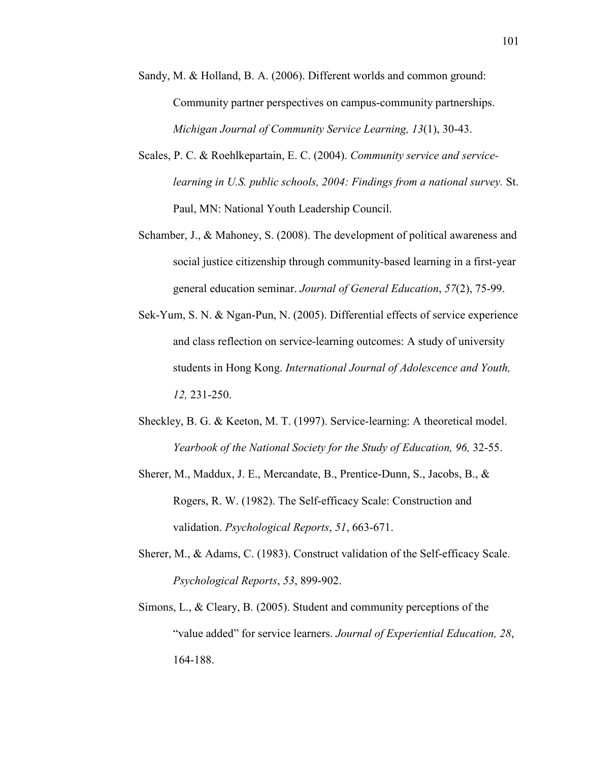- Sandy, M. & Holland, B. A. (2006). Different worlds and common ground: Community partner perspectives on campus-community partnerships. *Michigan Journal of Community Service Learning, 13*(1), 30-43.
- Scales, P. C. & Roehlkepartain, E. C. (2004). *Community service and servicelearning in U.S. public schools, 2004: Findings from a national survey.* St. Paul, MN: National Youth Leadership Council.
- Schamber, J., & Mahoney, S. (2008). The development of political awareness and social justice citizenship through community-based learning in a first-year general education seminar. *Journal of General Education*, *57*(2), 75-99.
- Sek-Yum, S. N. & Ngan-Pun, N. (2005). Differential effects of service experience and class reflection on service-learning outcomes: A study of university students in Hong Kong. *International Journal of Adolescence and Youth, 12,* 231-250.
- Sheckley, B. G. & Keeton, M. T. (1997). Service-learning: A theoretical model. *Yearbook of the National Society for the Study of Education, 96, 32-55.*
- Sherer, M., Maddux, J. E., Mercandate, B., Prentice-Dunn, S., Jacobs, B., & Rogers, R. W. (1982). The Self-efficacy Scale: Construction and validation. *Psychological Reports*, *51*, 663-671.
- Sherer, M., & Adams, C. (1983). Construct validation of the Self-efficacy Scale. *Psychological Reports*, *53*, 899-902.
- Simons, L., & Cleary, B. (2005). Student and community perceptions of the "value added" for service learners. *Journal of Experiential Education, 28*, 164-188.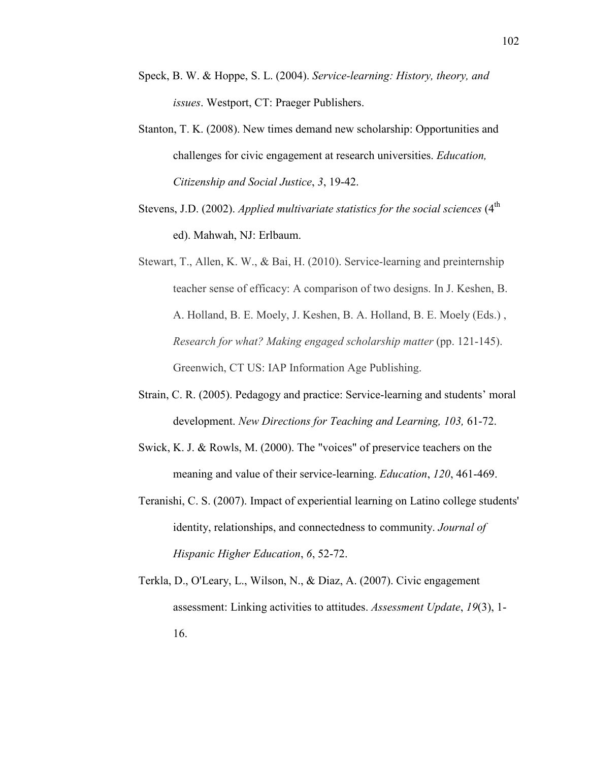- Speck, B. W. & Hoppe, S. L. (2004). *Service-learning: History, theory, and issues*. Westport, CT: Praeger Publishers.
- Stanton, T. K. (2008). New times demand new scholarship: Opportunities and challenges for civic engagement at research universities. *Education, Citizenship and Social Justice*, *3*, 19-42.
- Stevens, J.D. (2002). *Applied multivariate statistics for the social sciences* (4<sup>th</sup> ed). Mahwah, NJ: Erlbaum.

Stewart, T., Allen, K. W., & Bai, H. (2010). Service-learning and preinternship teacher sense of efficacy: A comparison of two designs. In J. Keshen, B. A. Holland, B. E. Moely, J. Keshen, B. A. Holland, B. E. Moely (Eds.) , *Research for what? Making engaged scholarship matter* (pp. 121-145). Greenwich, CT US: IAP Information Age Publishing.

- Strain, C. R. (2005). Pedagogy and practice: Service-learning and students' moral development. *%ew Directions for Teaching and Learning, 103,* 61-72.
- Swick, K. J. & Rowls, M. (2000). The "voices" of preservice teachers on the meaning and value of their service-learning. *Education*, *120*, 461-469.
- Teranishi, C. S. (2007). Impact of experiential learning on Latino college students' identity, relationships, and connectedness to community. *Journal of Hispanic Higher Education*, *6*, 52-72.
- Terkla, D., O'Leary, L., Wilson, N., & Diaz, A. (2007). Civic engagement assessment: Linking activities to attitudes. *Assessment Update*, *19*(3), 1- 16.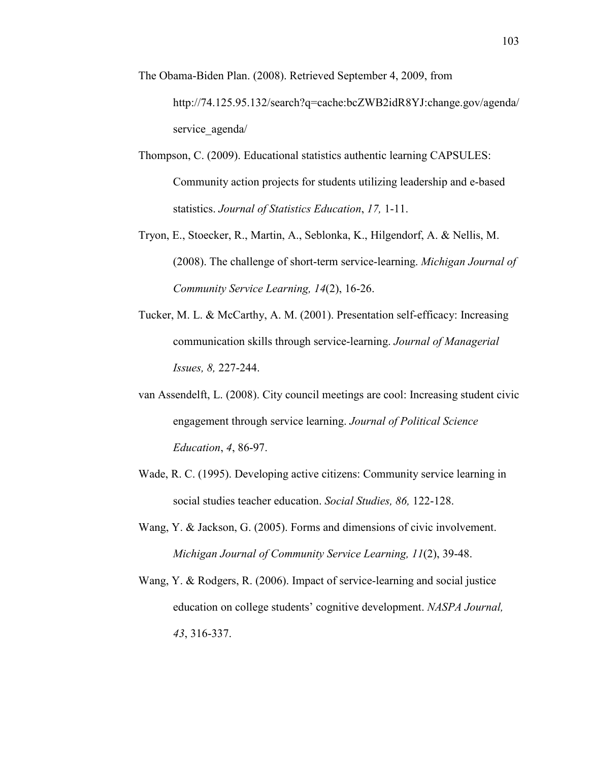- The Obama-Biden Plan. (2008). Retrieved September 4, 2009, from http://74.125.95.132/search?q=cache:bcZWB2idR8YJ:change.gov/agenda/ service agenda/
- Thompson, C. (2009). Educational statistics authentic learning CAPSULES: Community action projects for students utilizing leadership and e-based statistics. *Journal of Statistics Education*, *17,* 1-11.
- Tryon, E., Stoecker, R., Martin, A., Seblonka, K., Hilgendorf, A. & Nellis, M. (2008). The challenge of short-term service-learning. *Michigan Journal of Community Service Learning, 14*(2), 16-26.
- Tucker, M. L. & McCarthy, A. M. (2001). Presentation self-efficacy: Increasing communication skills through service-learning. *Journal of Managerial Issues, 8,* 227-244.
- van Assendelft, L. (2008). City council meetings are cool: Increasing student civic engagement through service learning. *Journal of Political Science Education*, *4*, 86-97.
- Wade, R. C. (1995). Developing active citizens: Community service learning in social studies teacher education. *Social Studies, 86,* 122-128.
- Wang, Y. & Jackson, G. (2005). Forms and dimensions of civic involvement. *Michigan Journal of Community Service Learning, 11*(2), 39-48.
- Wang, Y. & Rodgers, R. (2006). Impact of service-learning and social justice education on college students' cognitive development. *%ASPA Journal, 43*, 316-337.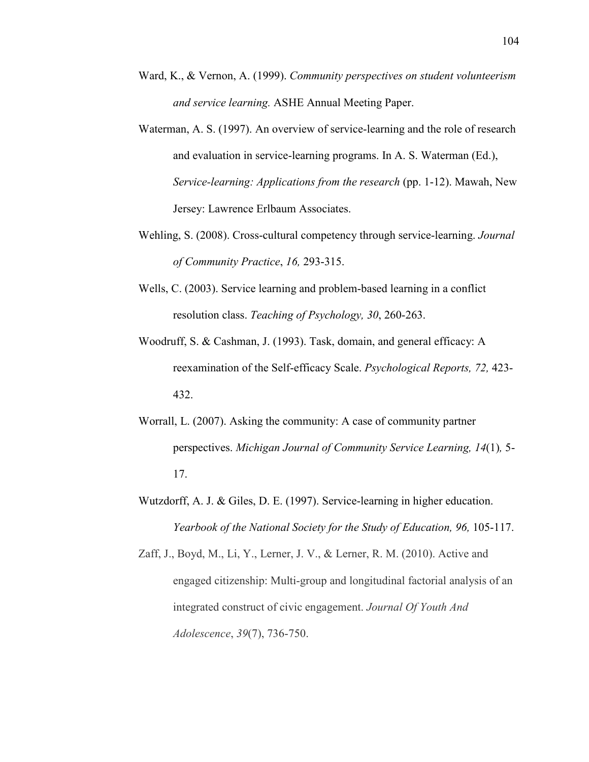- Ward, K., & Vernon, A. (1999). *Community perspectives on student volunteerism and service learning.* ASHE Annual Meeting Paper.
- Waterman, A. S. (1997). An overview of service-learning and the role of research and evaluation in service-learning programs. In A. S. Waterman (Ed.), *Service-learning: Applications from the research* (pp. 1-12). Mawah, New Jersey: Lawrence Erlbaum Associates.
- Wehling, S. (2008). Cross-cultural competency through service-learning. *Journal of Community Practice*, *16,* 293-315.
- Wells, C. (2003). Service learning and problem-based learning in a conflict resolution class. *Teaching of Psychology, 30*, 260-263.
- Woodruff, S. & Cashman, J. (1993). Task, domain, and general efficacy: A reexamination of the Self-efficacy Scale. *Psychological Reports, 72,* 423- 432.
- Worrall, L. (2007). Asking the community: A case of community partner perspectives. *Michigan Journal of Community Service Learning, 14*(1)*,* 5- 17.
- Wutzdorff, A. J. & Giles, D. E. (1997). Service-learning in higher education. *Yearbook of the National Society for the Study of Education, 96, 105-117.*

Zaff, J., Boyd, M., Li, Y., Lerner, J. V., & Lerner, R. M. (2010). Active and engaged citizenship: Multi-group and longitudinal factorial analysis of an integrated construct of civic engagement. *Journal Of Youth And Adolescence*, *39*(7), 736-750.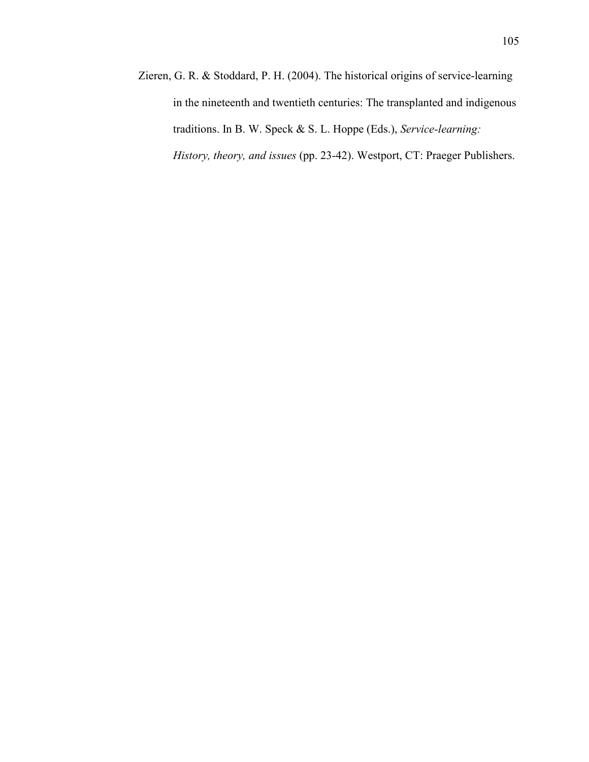Zieren, G. R. & Stoddard, P. H. (2004). The historical origins of service-learning in the nineteenth and twentieth centuries: The transplanted and indigenous traditions. In B. W. Speck & S. L. Hoppe (Eds.), *Service-learning: History, theory, and issues* (pp. 23-42). Westport, CT: Praeger Publishers.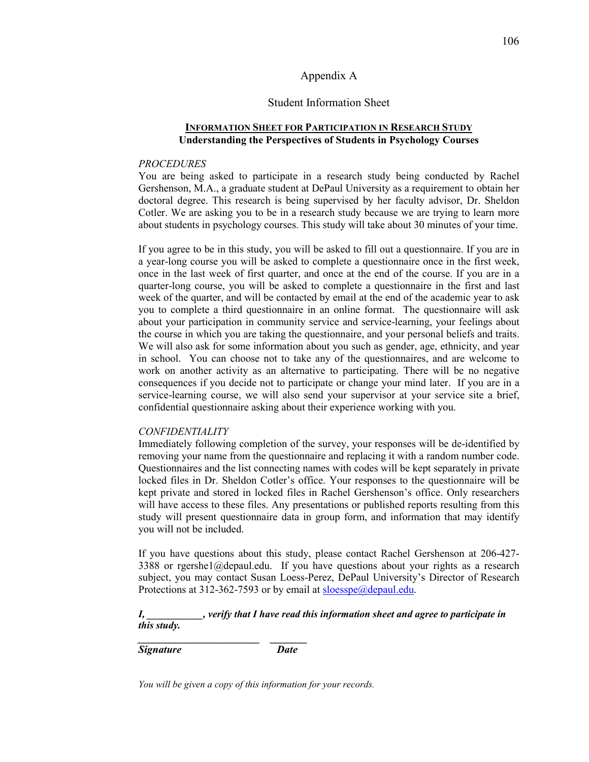## Appendix A

### Student Information Sheet

## **INFORMATION SHEET FOR PARTICIPATION IN RESEARCH STUDY Understanding the Perspectives of Students in Psychology Courses**

### *PROCEDURES*

You are being asked to participate in a research study being conducted by Rachel Gershenson, M.A., a graduate student at DePaul University as a requirement to obtain her doctoral degree. This research is being supervised by her faculty advisor, Dr. Sheldon Cotler. We are asking you to be in a research study because we are trying to learn more about students in psychology courses. This study will take about 30 minutes of your time.

If you agree to be in this study, you will be asked to fill out a questionnaire. If you are in a year-long course you will be asked to complete a questionnaire once in the first week, once in the last week of first quarter, and once at the end of the course. If you are in a quarter-long course, you will be asked to complete a questionnaire in the first and last week of the quarter, and will be contacted by email at the end of the academic year to ask you to complete a third questionnaire in an online format. The questionnaire will ask about your participation in community service and service-learning, your feelings about the course in which you are taking the questionnaire, and your personal beliefs and traits. We will also ask for some information about you such as gender, age, ethnicity, and year in school. You can choose not to take any of the questionnaires, and are welcome to work on another activity as an alternative to participating. There will be no negative consequences if you decide not to participate or change your mind later. If you are in a service-learning course, we will also send your supervisor at your service site a brief, confidential questionnaire asking about their experience working with you.

## *CO%FIDE%TIALITY*

Immediately following completion of the survey, your responses will be de-identified by removing your name from the questionnaire and replacing it with a random number code. Questionnaires and the list connecting names with codes will be kept separately in private locked files in Dr. Sheldon Cotler's office. Your responses to the questionnaire will be kept private and stored in locked files in Rachel Gershenson's office. Only researchers will have access to these files. Any presentations or published reports resulting from this study will present questionnaire data in group form, and information that may identify you will not be included.

If you have questions about this study, please contact Rachel Gershenson at 206-427- 3388 or rgershe1@depaul.edu. If you have questions about your rights as a research subject, you may contact Susan Loess-Perez, DePaul University's Director of Research Protections at 312-362-7593 or by email at sloesspe@depaul.edu.

## *I, \_\_\_\_\_\_\_\_\_\_\_, verify that I have read this information sheet and agree to participate in this study.*

*Signature Date* 

*You will be given a copy of this information for your records.* 

*\_\_\_\_\_\_\_\_\_\_\_\_\_\_\_\_\_\_\_\_\_\_\_ \_\_\_\_\_\_\_*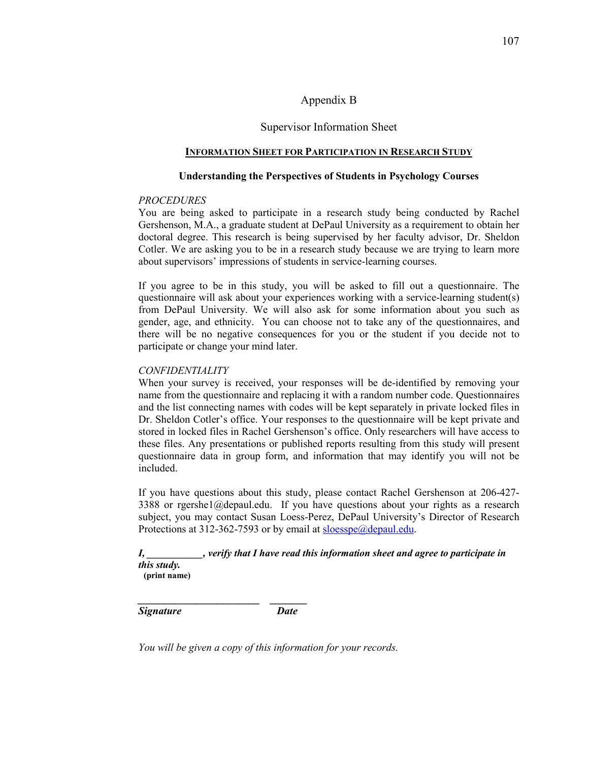## Appendix B

## Supervisor Information Sheet

### **INFORMATION SHEET FOR PARTICIPATION IN RESEARCH STUDY**

### **Understanding the Perspectives of Students in Psychology Courses**

### *PROCEDURES*

You are being asked to participate in a research study being conducted by Rachel Gershenson, M.A., a graduate student at DePaul University as a requirement to obtain her doctoral degree. This research is being supervised by her faculty advisor, Dr. Sheldon Cotler. We are asking you to be in a research study because we are trying to learn more about supervisors' impressions of students in service-learning courses.

If you agree to be in this study, you will be asked to fill out a questionnaire. The questionnaire will ask about your experiences working with a service-learning student(s) from DePaul University. We will also ask for some information about you such as gender, age, and ethnicity. You can choose not to take any of the questionnaires, and there will be no negative consequences for you or the student if you decide not to participate or change your mind later.

## *CO%FIDE%TIALITY*

When your survey is received, your responses will be de-identified by removing your name from the questionnaire and replacing it with a random number code. Questionnaires and the list connecting names with codes will be kept separately in private locked files in Dr. Sheldon Cotler's office. Your responses to the questionnaire will be kept private and stored in locked files in Rachel Gershenson's office. Only researchers will have access to these files. Any presentations or published reports resulting from this study will present questionnaire data in group form, and information that may identify you will not be included.

If you have questions about this study, please contact Rachel Gershenson at 206-427- 3388 or rgershe1@depaul.edu. If you have questions about your rights as a research subject, you may contact Susan Loess-Perez, DePaul University's Director of Research Protections at 312-362-7593 or by email at sloesspe@depaul.edu.

## *I, \_\_\_\_\_\_\_\_\_\_\_, verify that I have read this information sheet and agree to participate in this study.*

**(print name)** 

*Signature Date* 

*\_\_\_\_\_\_\_\_\_\_\_\_\_\_\_\_\_\_\_\_\_\_\_ \_\_\_\_\_\_\_* 

*You will be given a copy of this information for your records.*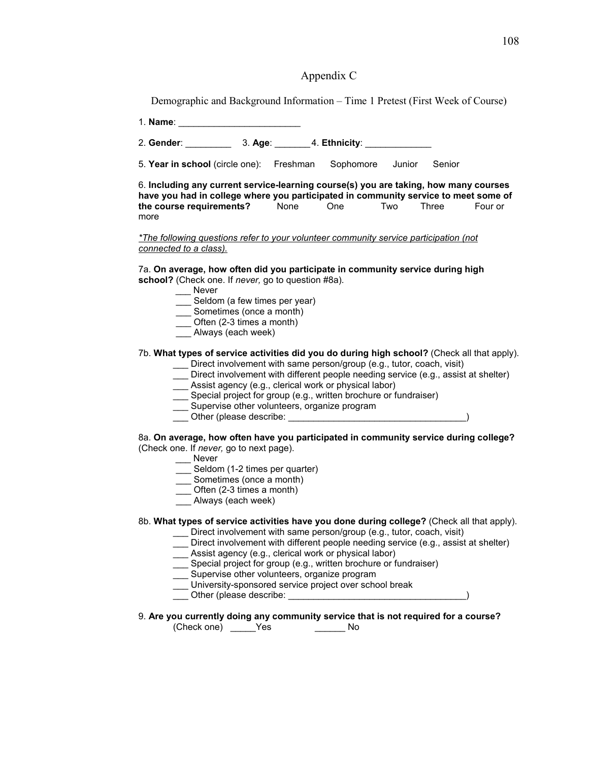## Appendix C

Demographic and Background Information – Time 1 Pretest (First Week of Course)

1. **Name**: \_\_\_\_\_\_\_\_\_\_\_\_\_\_\_\_\_\_\_\_\_\_\_\_

2. **Gender**: \_\_\_\_\_\_\_\_\_ 3. **Age**: \_\_\_\_\_\_\_ 4. **Ethnicity**: \_\_\_\_\_\_\_\_\_\_\_\_\_

5. **Year in school** (circle one): Freshman Sophomore Junior Senior

6. **Including any current service-learning course(s) you are taking, how many courses have you had in college where you participated in community service to meet some of the course requirements?** None One Two Three Four or **the course requirements?** None One Two Three Four or more

*\*The following questions refer to your volunteer community service participation (not connected to a class).*

7a. **On average, how often did you participate in community service during high school?** (Check one. If *never,* go to question #8a).

- \_\_\_ Never
- \_\_\_ Seldom (a few times per year)
- \_\_\_ Sometimes (once a month)
- \_\_\_ Often (2-3 times a month)
- \_\_\_ Always (each week)

#### 7b. **What types of service activities did you do during high school?** (Check all that apply).

- \_\_\_ Direct involvement with same person/group (e.g., tutor, coach, visit)
- Direct involvement with different people needing service (e.g., assist at shelter)
- Assist agency (e.g., clerical work or physical labor)
- Special project for group (e.g., written brochure or fundraiser)
- \_\_\_ Supervise other volunteers, organize program
- \_\_\_ Other (please describe: \_\_\_\_\_\_\_\_\_\_\_\_\_\_\_\_\_\_\_\_\_\_\_\_\_\_\_\_\_\_\_\_\_\_\_)
- 8a. **On average, how often have you participated in community service during college?**  (Check one. If *never,* go to next page).
	- \_\_\_ Never
	- Seldom (1-2 times per quarter)
	- Sometimes (once a month)
	- \_\_\_ Often (2-3 times a month)
	- \_\_\_ Always (each week)

#### 8b. **What types of service activities have you done during college?** (Check all that apply).

- \_\_\_ Direct involvement with same person/group (e.g., tutor, coach, visit)
- Direct involvement with different people needing service (e.g., assist at shelter)
- \_\_\_ Assist agency (e.g., clerical work or physical labor)
- \_\_\_ Special project for group (e.g., written brochure or fundraiser)
- \_\_\_ Supervise other volunteers, organize program
- \_\_\_ University-sponsored service project over school break
- Other (please describe:  $\Box$
- 9. **Are you currently doing any community service that is not required for a course?**

(Check one) \_\_\_\_\_Yes \_\_\_\_\_\_ No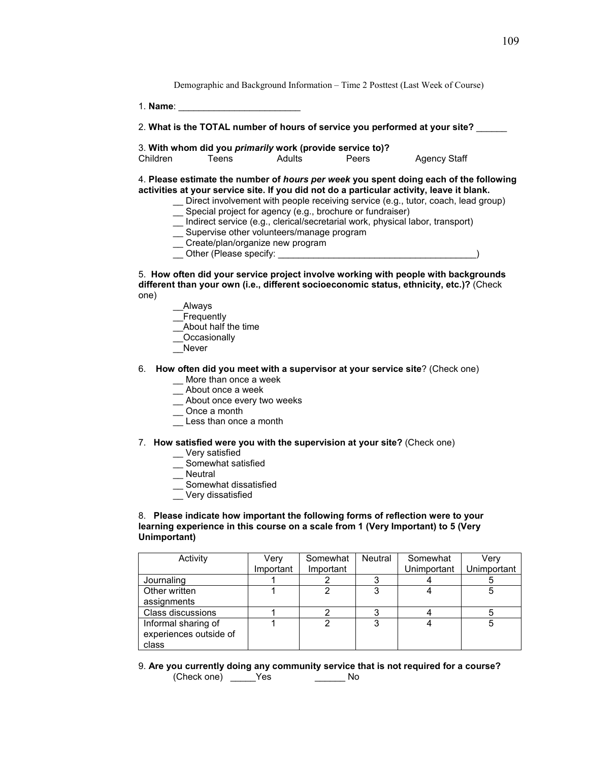Demographic and Background Information – Time 2 Posttest (Last Week of Course)

1. **Name**: \_\_\_\_\_\_\_\_\_\_\_\_\_\_\_\_\_\_\_\_\_\_\_\_

| 2. What is the TOTAL number of hours of service you performed at your site? |  |  |  |  |  |
|-----------------------------------------------------------------------------|--|--|--|--|--|
|-----------------------------------------------------------------------------|--|--|--|--|--|

3. **With whom did you** *primarily* **work (provide service to)?** 

Agency Staff

4. **Please estimate the number of** *hours per week* **you spent doing each of the following activities at your service site. If you did not do a particular activity, leave it blank.** 

- \_\_ Direct involvement with people receiving service (e.g., tutor, coach, lead group)
- \_\_ Special project for agency (e.g., brochure or fundraiser)
- \_\_ Indirect service (e.g., clerical/secretarial work, physical labor, transport)
- \_\_ Supervise other volunteers/manage program
- \_\_ Create/plan/organize new program
- \_\_ Other (Please specify: \_\_\_\_\_\_\_\_\_\_\_\_\_\_\_\_\_\_\_\_\_\_\_\_\_\_\_\_\_\_\_\_\_\_\_\_\_\_\_)

#### 5. **How often did your service project involve working with people with backgrounds different than your own (i.e., different socioeconomic status, ethnicity, etc.)?** (Check one)

- \_\_Always
- **Frequently**
- \_\_About half the time
- **Occasionally**
- \_\_Never
- 6. **How often did you meet with a supervisor at your service site**? (Check one)
	- \_\_ More than once a week
	- \_\_ About once a week
	- \_\_ About once every two weeks
	- \_\_ Once a month
	- Less than once a month

#### 7. **How satisfied were you with the supervision at your site?** (Check one)

- \_\_ Very satisfied
- \_\_ Somewhat satisfied
- \_\_ Neutral
- \_\_ Somewhat dissatisfied
- \_\_ Very dissatisfied

#### 8. **Please indicate how important the following forms of reflection were to your learning experience in this course on a scale from 1 (Very Important) to 5 (Very Unimportant)**

| Activity               | Verv      | Somewhat  | <b>Neutral</b> | Somewhat    | Verv        |
|------------------------|-----------|-----------|----------------|-------------|-------------|
|                        | Important | Important |                | Unimportant | Unimportant |
| Journaling             |           |           |                |             |             |
| Other written          |           |           |                |             | 5           |
| assignments            |           |           |                |             |             |
| Class discussions      |           |           |                |             |             |
| Informal sharing of    |           |           |                |             | 5           |
| experiences outside of |           |           |                |             |             |
| class                  |           |           |                |             |             |

9. **Are you currently doing any community service that is not required for a course?** (Check one) \_\_\_\_\_Yes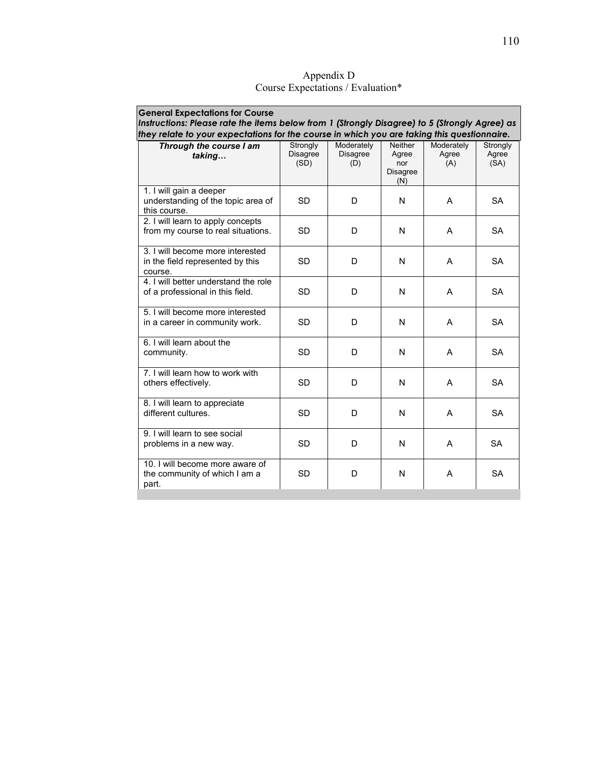| <b>General Expectations for Course</b><br>Instructions: Please rate the items below from 1 (Strongly Disagree) to 5 (Strongly Agree) as<br>they relate to your expectations for the course in which you are taking this questionnaire. |                              |                                      |                                                          |                            |                           |
|----------------------------------------------------------------------------------------------------------------------------------------------------------------------------------------------------------------------------------------|------------------------------|--------------------------------------|----------------------------------------------------------|----------------------------|---------------------------|
| Through the course I am<br>taking                                                                                                                                                                                                      | Strongly<br>Disagree<br>(SD) | Moderately<br><b>Disagree</b><br>(D) | <b>Neither</b><br>Agree<br>nor<br><b>Disagree</b><br>(N) | Moderately<br>Agree<br>(A) | Strongly<br>Agree<br>(SA) |
| 1. I will gain a deeper<br>understanding of the topic area of<br>this course.                                                                                                                                                          | SD                           | D                                    | N                                                        | A                          | <b>SA</b>                 |
| 2. I will learn to apply concepts<br>from my course to real situations.                                                                                                                                                                | <b>SD</b>                    | D                                    | N                                                        | A                          | <b>SA</b>                 |
| 3. I will become more interested<br>in the field represented by this<br>course.                                                                                                                                                        | <b>SD</b>                    | D                                    | N                                                        | A                          | <b>SA</b>                 |
| 4. I will better understand the role<br>of a professional in this field.                                                                                                                                                               | <b>SD</b>                    | D                                    | N                                                        | A                          | <b>SA</b>                 |
| 5. I will become more interested<br>in a career in community work.                                                                                                                                                                     | <b>SD</b>                    | D                                    | N                                                        | A                          | <b>SA</b>                 |
| 6. I will learn about the<br>community.                                                                                                                                                                                                | <b>SD</b>                    | D                                    | N                                                        | A                          | <b>SA</b>                 |
| 7. I will learn how to work with<br>others effectively.                                                                                                                                                                                | <b>SD</b>                    | D                                    | N                                                        | A                          | <b>SA</b>                 |
| 8. I will learn to appreciate<br>different cultures.                                                                                                                                                                                   | <b>SD</b>                    | D                                    | N                                                        | A                          | <b>SA</b>                 |
| 9. I will learn to see social<br>problems in a new way.                                                                                                                                                                                | <b>SD</b>                    | D                                    | N                                                        | A                          | <b>SA</b>                 |
| 10. I will become more aware of<br>the community of which I am a<br>part.                                                                                                                                                              | <b>SD</b>                    | D                                    | N                                                        | A                          | <b>SA</b>                 |

Appendix D Course Expectations / Evaluation\*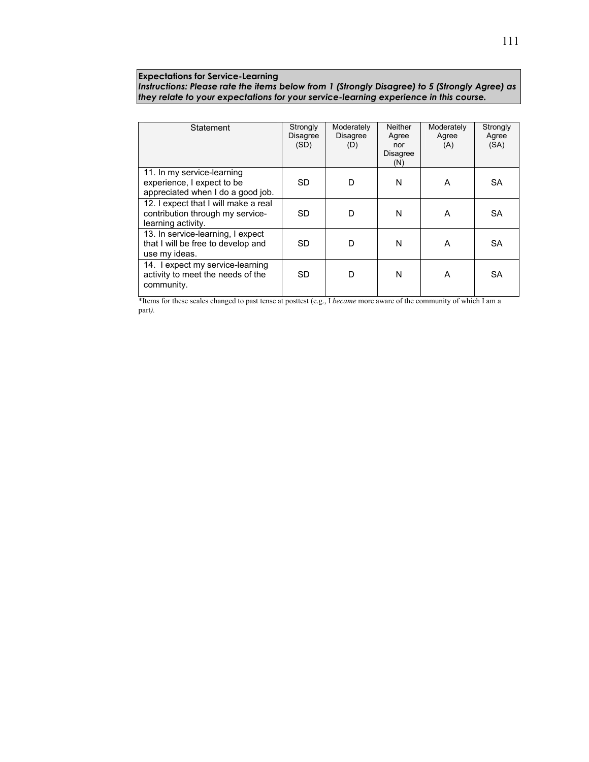#### **Expectations for Service-Learning**

*Instructions: Please rate the items below from 1 (Strongly Disagree) to 5 (Strongly Agree) as they relate to your expectations for your service-learning experience in this course.*

| Statement                            | Strongly  | Moderately      | <b>Neither</b>  | Moderately | Strongly  |
|--------------------------------------|-----------|-----------------|-----------------|------------|-----------|
|                                      | Disagree  | <b>Disagree</b> | Agree           | Agree      | Agree     |
|                                      | (SD)      | (D)             | nor             | (A)        | (SA)      |
|                                      |           |                 | <b>Disagree</b> |            |           |
|                                      |           |                 | (N)             |            |           |
| 11. In my service-learning           |           |                 |                 |            |           |
| experience, I expect to be           | <b>SD</b> | D               | N               | A          | <b>SA</b> |
| appreciated when I do a good job.    |           |                 |                 |            |           |
| 12. I expect that I will make a real |           |                 |                 |            |           |
| contribution through my service-     | <b>SD</b> | D               | N               | A          | <b>SA</b> |
| learning activity.                   |           |                 |                 |            |           |
| 13. In service-learning, I expect    |           |                 |                 |            |           |
| that I will be free to develop and   | <b>SD</b> | D               | N               | A          | <b>SA</b> |
| use my ideas.                        |           |                 |                 |            |           |
| 14. Lexpect my service-learning      |           |                 |                 |            |           |
| activity to meet the needs of the    | <b>SD</b> | D               | N               | A          | <b>SA</b> |
|                                      |           |                 |                 |            |           |
| community.                           |           |                 |                 |            |           |
|                                      |           |                 |                 |            |           |

\*Items for these scales changed to past tense at posttest (e.g., I *became* more aware of the community of which I am a part*).*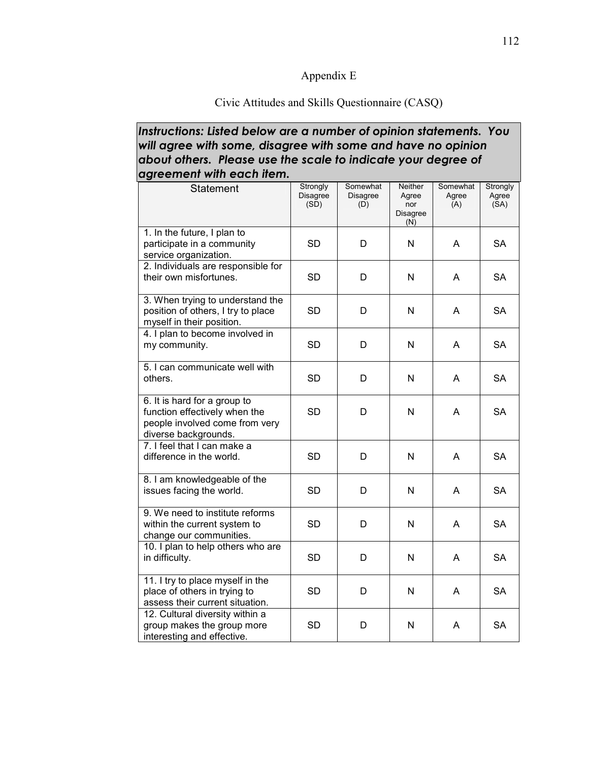## Appendix E

## Civic Attitudes and Skills Questionnaire (CASQ)

## *Instructions: Listed below are a number of opinion statements. You will agree with some, disagree with some and have no opinion about others. Please use the scale to indicate your degree of agreement with each item.*

| Statement                                                                                                               | Strongly<br>Disagree<br>(SD) | Somewhat<br><b>Disagree</b><br>(D) | <b>Neither</b><br>Agree<br>nor<br>Disagree<br>(N) | Somewhat<br>Agree<br>(A) | Strongly<br>Agree<br>(SA) |
|-------------------------------------------------------------------------------------------------------------------------|------------------------------|------------------------------------|---------------------------------------------------|--------------------------|---------------------------|
| 1. In the future, I plan to<br>participate in a community<br>service organization.                                      | <b>SD</b>                    | D                                  | N                                                 | A                        | <b>SA</b>                 |
| 2. Individuals are responsible for<br>their own misfortunes.                                                            | <b>SD</b>                    | D                                  | N                                                 | A                        | <b>SA</b>                 |
| 3. When trying to understand the<br>position of others, I try to place<br>myself in their position.                     | <b>SD</b>                    | D                                  | N                                                 | A                        | <b>SA</b>                 |
| 4. I plan to become involved in<br>my community.                                                                        | <b>SD</b>                    | D                                  | N                                                 | A                        | <b>SA</b>                 |
| 5. I can communicate well with<br>others.                                                                               | <b>SD</b>                    | D                                  | N                                                 | A                        | <b>SA</b>                 |
| 6. It is hard for a group to<br>function effectively when the<br>people involved come from very<br>diverse backgrounds. | <b>SD</b>                    | D                                  | N                                                 | A                        | <b>SA</b>                 |
| 7. I feel that I can make a<br>difference in the world.                                                                 | <b>SD</b>                    | D                                  | N                                                 | A                        | <b>SA</b>                 |
| 8. I am knowledgeable of the<br>issues facing the world.                                                                | <b>SD</b>                    | D                                  | N                                                 | A                        | <b>SA</b>                 |
| 9. We need to institute reforms<br>within the current system to<br>change our communities.                              | <b>SD</b>                    | D                                  | N                                                 | A                        | <b>SA</b>                 |
| 10. I plan to help others who are<br>in difficulty.                                                                     | <b>SD</b>                    | D                                  | N                                                 | A                        | <b>SA</b>                 |
| 11. I try to place myself in the<br>place of others in trying to<br>assess their current situation.                     | <b>SD</b>                    | D                                  | N                                                 | A                        | <b>SA</b>                 |
| 12. Cultural diversity within a<br>group makes the group more<br>interesting and effective.                             | <b>SD</b>                    | D                                  | N                                                 | A                        | <b>SA</b>                 |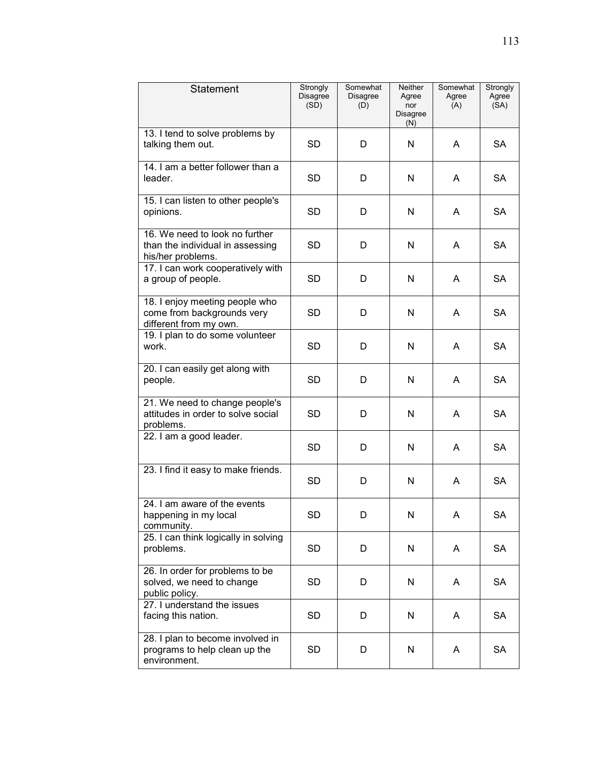| Statement                                                                               | Strongly<br>Disagree<br>(SD) | Somewhat<br>Disagree<br>(D) | Neither<br>Agree<br>nor<br>Disagree<br>(N) | Somewhat<br>Agree<br>(A) | Strongly<br>Agree<br>(SA) |
|-----------------------------------------------------------------------------------------|------------------------------|-----------------------------|--------------------------------------------|--------------------------|---------------------------|
| 13. I tend to solve problems by<br>talking them out.                                    | SD                           | D                           | N                                          | A                        | <b>SA</b>                 |
| 14. I am a better follower than a<br>leader.                                            | <b>SD</b>                    | D                           | N                                          | A                        | <b>SA</b>                 |
| 15. I can listen to other people's<br>opinions.                                         | <b>SD</b>                    | D                           | N                                          | A                        | <b>SA</b>                 |
| 16. We need to look no further<br>than the individual in assessing<br>his/her problems. | <b>SD</b>                    | D                           | N                                          | A                        | <b>SA</b>                 |
| 17. I can work cooperatively with<br>a group of people.                                 | <b>SD</b>                    | D                           | N                                          | A                        | <b>SA</b>                 |
| 18. I enjoy meeting people who<br>come from backgrounds very<br>different from my own.  | SD                           | D                           | N                                          | A                        | <b>SA</b>                 |
| 19. I plan to do some volunteer<br>work.                                                | <b>SD</b>                    | D                           | N                                          | A                        | <b>SA</b>                 |
| 20. I can easily get along with<br>people.                                              | <b>SD</b>                    | D                           | N                                          | A                        | <b>SA</b>                 |
| 21. We need to change people's<br>attitudes in order to solve social<br>problems.       | <b>SD</b>                    | D                           | N                                          | A                        | <b>SA</b>                 |
| 22. I am a good leader.                                                                 | <b>SD</b>                    | D                           | N                                          | A                        | <b>SA</b>                 |
| 23. I find it easy to make friends.                                                     | <b>SD</b>                    | D                           | N                                          | A                        | SA                        |
| 24. I am aware of the events<br>happening in my local<br>community.                     | SD                           | D                           | N                                          | A                        | SА                        |
| 25. I can think logically in solving<br>problems.                                       | <b>SD</b>                    | D                           | N                                          | A                        | <b>SA</b>                 |
| 26. In order for problems to be<br>solved, we need to change<br>public policy.          | <b>SD</b>                    | D                           | N                                          | A                        | <b>SA</b>                 |
| 27. I understand the issues<br>facing this nation.                                      | <b>SD</b>                    | D                           | N                                          | A                        | <b>SA</b>                 |
| 28. I plan to become involved in<br>programs to help clean up the<br>environment.       | <b>SD</b>                    | D                           | N                                          | A                        | <b>SA</b>                 |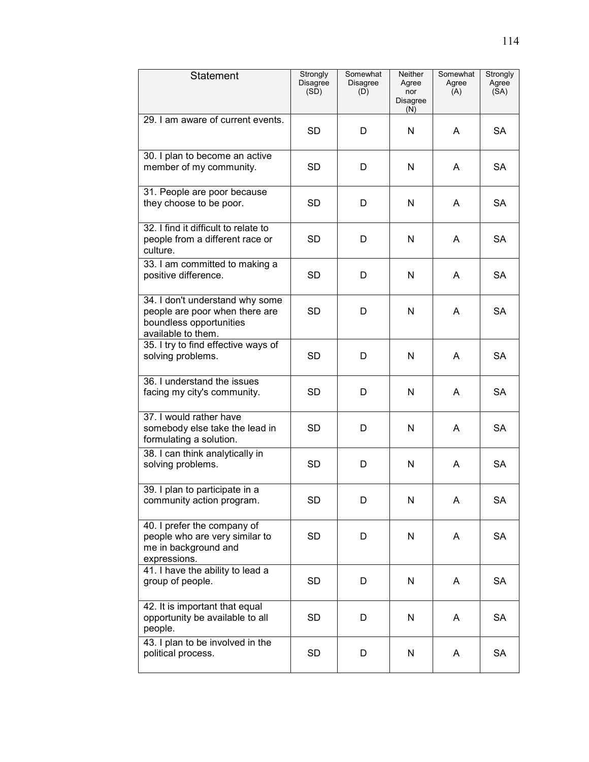| Statement                                                                                                          | Strongly<br><b>Disagree</b><br>(SD) | Somewhat<br><b>Disagree</b><br>(D) | Neither<br>Agree<br>nor<br><b>Disagree</b><br>(N) | Somewhat<br>Agree<br>(A) | Strongly<br>Agree<br>(SA) |
|--------------------------------------------------------------------------------------------------------------------|-------------------------------------|------------------------------------|---------------------------------------------------|--------------------------|---------------------------|
| 29. I am aware of current events.                                                                                  | <b>SD</b>                           | D                                  | N                                                 | A                        | <b>SA</b>                 |
| 30. I plan to become an active<br>member of my community.                                                          | SD                                  | D                                  | N                                                 | A                        | <b>SA</b>                 |
| 31. People are poor because<br>they choose to be poor.                                                             | SD                                  | D                                  | N                                                 | A                        | <b>SA</b>                 |
| 32. I find it difficult to relate to<br>people from a different race or<br>culture.                                | SD                                  | D                                  | N                                                 | A                        | SA                        |
| 33. I am committed to making a<br>positive difference.                                                             | <b>SD</b>                           | D                                  | N                                                 | A                        | <b>SA</b>                 |
| 34. I don't understand why some<br>people are poor when there are<br>boundless opportunities<br>available to them. | <b>SD</b>                           | D                                  | N                                                 | A                        | <b>SA</b>                 |
| 35. I try to find effective ways of<br>solving problems.                                                           | <b>SD</b>                           | D                                  | N                                                 | A                        | <b>SA</b>                 |
| 36. I understand the issues<br>facing my city's community.                                                         | SD                                  | D                                  | N                                                 | A                        | <b>SA</b>                 |
| 37. I would rather have<br>somebody else take the lead in<br>formulating a solution.                               | SD                                  | D                                  | N                                                 | A                        | <b>SA</b>                 |
| 38. I can think analytically in<br>solving problems.                                                               | <b>SD</b>                           | D                                  | N                                                 | A                        | <b>SA</b>                 |
| 39. I plan to participate in a<br>community action program.                                                        | <b>SD</b>                           | D                                  | N                                                 | A                        | SA                        |
| 40. I prefer the company of<br>people who are very similar to<br>me in background and<br>expressions.              | <b>SD</b>                           | D                                  | N                                                 | A                        | <b>SA</b>                 |
| 41. I have the ability to lead a<br>group of people.                                                               | <b>SD</b>                           | D                                  | N                                                 | A                        | <b>SA</b>                 |
| 42. It is important that equal<br>opportunity be available to all<br>people.                                       | <b>SD</b>                           | D                                  | N                                                 | A                        | <b>SA</b>                 |
| 43. I plan to be involved in the<br>political process.                                                             | <b>SD</b>                           | D                                  | N                                                 | A                        | <b>SA</b>                 |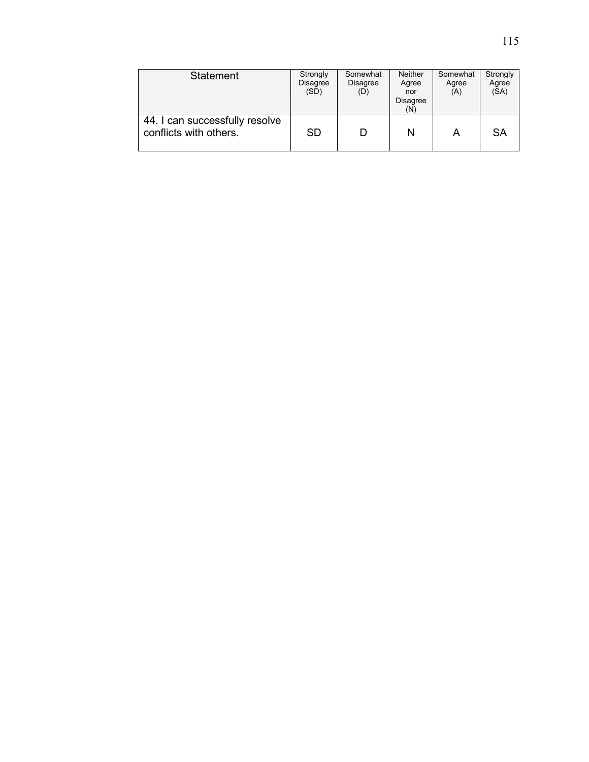| <b>Statement</b>                                         | Strongly<br><b>Disagree</b><br>(SD) | Somewhat<br>Disagree<br>(D) | <b>Neither</b><br>Agree<br>nor<br>Disagree<br>(N) | Somewhat<br>Agree<br>(A) | Strongly<br>Agree<br>(SA) |
|----------------------------------------------------------|-------------------------------------|-----------------------------|---------------------------------------------------|--------------------------|---------------------------|
| 44. I can successfully resolve<br>conflicts with others. | <b>SD</b>                           | D                           | N                                                 |                          | <b>SA</b>                 |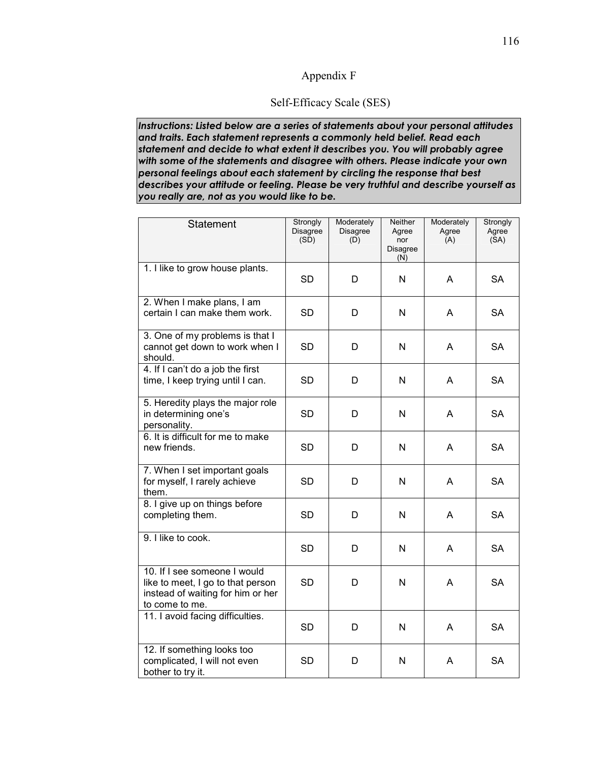## Appendix F

## Self-Efficacy Scale (SES)

*Instructions: Listed below are a series of statements about your personal attitudes and traits. Each statement represents a commonly held belief. Read each statement and decide to what extent it describes you. You will probably agree with some of the statements and disagree with others. Please indicate your own personal feelings about each statement by circling the response that best describes your attitude or feeling. Please be very truthful and describe yourself as you really are, not as you would like to be.* 

| Statement                                                                                                                | Strongly<br>Disagree<br>(SD) | Moderately<br>Disagree<br>(D) | <b>Neither</b><br>Agree<br>nor<br>Disagree<br>(N) | Moderately<br>Agree<br>(A) | Strongly<br>Agree<br>(SA) |
|--------------------------------------------------------------------------------------------------------------------------|------------------------------|-------------------------------|---------------------------------------------------|----------------------------|---------------------------|
| 1. I like to grow house plants.                                                                                          | <b>SD</b>                    | D                             | N                                                 | Α                          | <b>SA</b>                 |
| 2. When I make plans, I am<br>certain I can make them work.                                                              | <b>SD</b>                    | D                             | N                                                 | A                          | <b>SA</b>                 |
| 3. One of my problems is that I<br>cannot get down to work when I<br>should.                                             | <b>SD</b>                    | D                             | N                                                 | A                          | <b>SA</b>                 |
| 4. If I can't do a job the first<br>time, I keep trying until I can.                                                     | <b>SD</b>                    | D                             | N                                                 | A                          | <b>SA</b>                 |
| 5. Heredity plays the major role<br>in determining one's<br>personality.                                                 | <b>SD</b>                    | D                             | N                                                 | A                          | <b>SA</b>                 |
| 6. It is difficult for me to make<br>new friends.                                                                        | <b>SD</b>                    | D                             | N                                                 | A                          | <b>SA</b>                 |
| 7. When I set important goals<br>for myself, I rarely achieve<br>them.                                                   | <b>SD</b>                    | D                             | N                                                 | A                          | <b>SA</b>                 |
| 8. I give up on things before<br>completing them.                                                                        | <b>SD</b>                    | D                             | N                                                 | Α                          | <b>SA</b>                 |
| 9. I like to cook.                                                                                                       | <b>SD</b>                    | D                             | N                                                 | A                          | <b>SA</b>                 |
| 10. If I see someone I would<br>like to meet, I go to that person<br>instead of waiting for him or her<br>to come to me. | <b>SD</b>                    | D                             | N                                                 | A                          | <b>SA</b>                 |
| 11. I avoid facing difficulties.                                                                                         | <b>SD</b>                    | D                             | N                                                 | A                          | <b>SA</b>                 |
| 12. If something looks too<br>complicated, I will not even<br>bother to try it.                                          | SD                           | D                             | N                                                 | A                          | <b>SA</b>                 |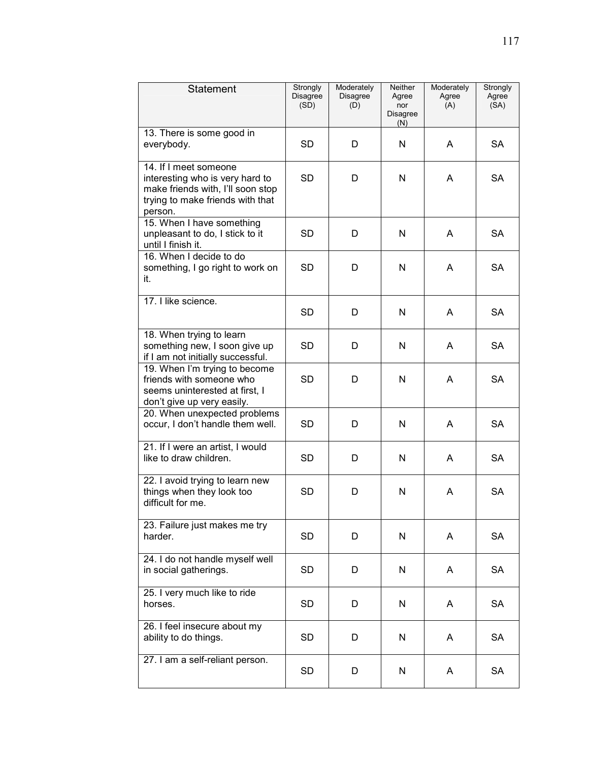| Statement                                                                                                                                    | Strongly<br>Disagree<br>(SD) | Moderately<br><b>Disagree</b><br>(D) | Neither<br>Agree<br>nor<br><b>Disagree</b><br>(N) | Moderately<br>Agree<br>(A) | Strongly<br>Agree<br>(SA) |
|----------------------------------------------------------------------------------------------------------------------------------------------|------------------------------|--------------------------------------|---------------------------------------------------|----------------------------|---------------------------|
| 13. There is some good in<br>everybody.                                                                                                      | <b>SD</b>                    | D                                    | N                                                 | A                          | <b>SA</b>                 |
| 14. If I meet someone<br>interesting who is very hard to<br>make friends with, I'll soon stop<br>trying to make friends with that<br>person. | <b>SD</b>                    | D                                    | N                                                 | Α                          | <b>SA</b>                 |
| 15. When I have something<br>unpleasant to do, I stick to it<br>until I finish it.                                                           | <b>SD</b>                    | D                                    | N                                                 | A                          | <b>SA</b>                 |
| 16. When I decide to do<br>something, I go right to work on<br>it.                                                                           | SD                           | D                                    | N                                                 | A                          | <b>SA</b>                 |
| 17. I like science.                                                                                                                          | SD                           | D                                    | N                                                 | A                          | <b>SA</b>                 |
| 18. When trying to learn<br>something new, I soon give up<br>if I am not initially successful.                                               | <b>SD</b>                    | D                                    | N                                                 | A                          | <b>SA</b>                 |
| 19. When I'm trying to become<br>friends with someone who<br>seems uninterested at first, I<br>don't give up very easily.                    | <b>SD</b>                    | D                                    | N                                                 | A                          | <b>SA</b>                 |
| 20. When unexpected problems<br>occur, I don't handle them well.                                                                             | <b>SD</b>                    | D                                    | N                                                 | A                          | <b>SA</b>                 |
| 21. If I were an artist, I would<br>like to draw children.                                                                                   | SD                           | D                                    | N                                                 | A                          | SA                        |
| 22. I avoid trying to learn new<br>things when they look too<br>difficult for me.                                                            | <b>SD</b>                    | D                                    | N                                                 | A                          | SA                        |
| 23. Failure just makes me try<br>harder.                                                                                                     | <b>SD</b>                    | D                                    | N                                                 | A                          | <b>SA</b>                 |
| 24. I do not handle myself well<br>in social gatherings.                                                                                     | SD                           | D                                    | N                                                 | A                          | <b>SA</b>                 |
| 25. I very much like to ride<br>horses.                                                                                                      | <b>SD</b>                    | D                                    | N                                                 | A                          | <b>SA</b>                 |
| 26. I feel insecure about my<br>ability to do things.                                                                                        | <b>SD</b>                    | D                                    | N                                                 | A                          | SA                        |
| 27. I am a self-reliant person.                                                                                                              | SD                           | D                                    | N                                                 | A                          | SA                        |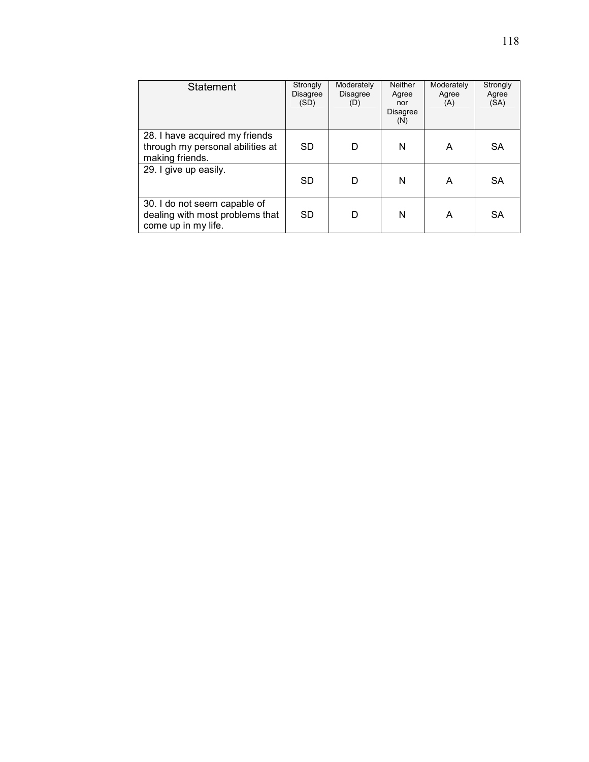| <b>Statement</b>                                                                       | Strongly<br><b>Disagree</b><br>(SD) | Moderately<br><b>Disagree</b><br>(D) | <b>Neither</b><br>Agree<br>nor<br>Disagree<br>(N) | Moderately<br>Agree<br>(A) | Strongly<br>Agree<br>(SA) |
|----------------------------------------------------------------------------------------|-------------------------------------|--------------------------------------|---------------------------------------------------|----------------------------|---------------------------|
| 28. I have acquired my friends<br>through my personal abilities at<br>making friends.  | SD                                  | D                                    | N                                                 | A                          | SA                        |
| 29. I give up easily.                                                                  | <b>SD</b>                           | D                                    | N                                                 | A                          | <b>SA</b>                 |
| 30. I do not seem capable of<br>dealing with most problems that<br>come up in my life. | <b>SD</b>                           | D                                    | N                                                 | A                          | SA                        |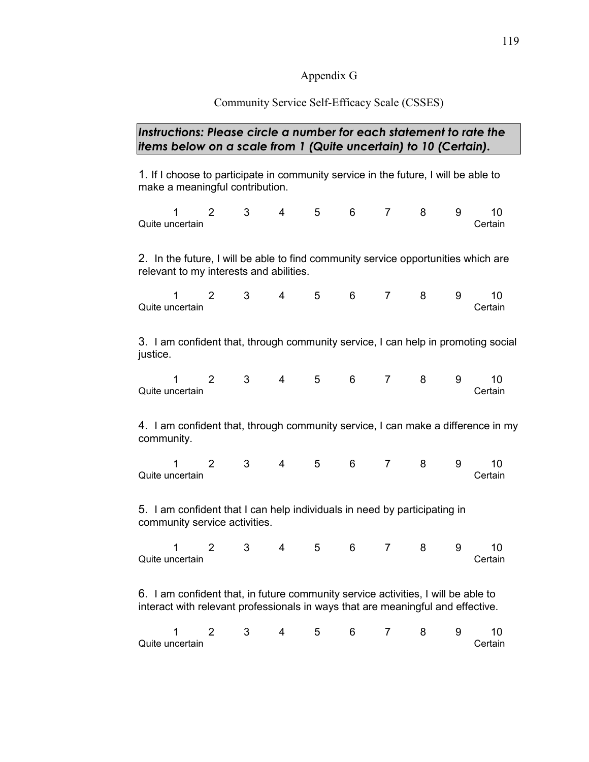## Appendix G

## Community Service Self-Efficacy Scale (CSSES)

## *Instructions: Please circle a number for each statement to rate the items below on a scale from 1 (Quite uncertain) to 10 (Certain).*

1. If I choose to participate in community service in the future, I will be able to make a meaningful contribution.

|                 |  |  | 1 2 3 4 5 6 7 8 9 10 |  |         |
|-----------------|--|--|----------------------|--|---------|
| Quite uncertain |  |  |                      |  | Certain |

2. In the future, I will be able to find community service opportunities which are relevant to my interests and abilities.

|                 | 2 3 4 5 6 7 8 9 10 |  |  |  |         |
|-----------------|--------------------|--|--|--|---------|
| Quite uncertain |                    |  |  |  | Certain |

3. I am confident that, through community service, I can help in promoting social justice.

|                 |  |  | 1 2 3 4 5 6 7 8 9 10 |  |         |
|-----------------|--|--|----------------------|--|---------|
| Quite uncertain |  |  |                      |  | Certain |

4. I am confident that, through community service, I can make a difference in my community.

|                 |  | 4 5 6 |  | , 789 |  |         |
|-----------------|--|-------|--|-------|--|---------|
| Quite uncertain |  |       |  |       |  | Certain |

5. I am confident that I can help individuals in need by participating in community service activities.

|                 |  |  | 2 3 4 5 6 7 8 9 10 |  |         |
|-----------------|--|--|--------------------|--|---------|
| Quite uncertain |  |  |                    |  | Certain |

6. I am confident that, in future community service activities, I will be able to interact with relevant professionals in ways that are meaningful and effective.

| Quite uncertain |  |  |  |  | Certain |
|-----------------|--|--|--|--|---------|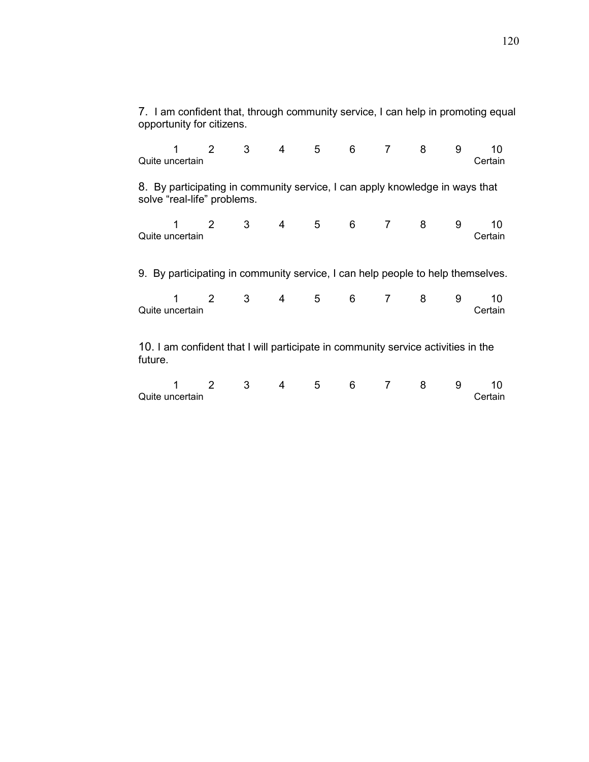|         | opportunity for citizens.                                                                                   |         |  |                   |       |  |   |               |
|---------|-------------------------------------------------------------------------------------------------------------|---------|--|-------------------|-------|--|---|---------------|
|         | Quite uncertain                                                                                             |         |  | 1 2 3 4 5 6 7 8 9 |       |  |   | 10<br>Certain |
|         | 8. By participating in community service, I can apply knowledge in ways that<br>solve "real-life" problems. |         |  |                   |       |  |   |               |
|         | Quite uncertain                                                                                             |         |  | 1 2 3 4 5 6 7 8 9 |       |  |   | 10<br>Certain |
|         | 9. By participating in community service, I can help people to help themselves.                             |         |  |                   |       |  |   |               |
|         | 1.<br>Quite uncertain                                                                                       |         |  | 2 3 4 5 6 7 8 9   |       |  |   | 10<br>Certain |
| future. | 10. I am confident that I will participate in community service activities in the                           |         |  |                   |       |  |   |               |
|         | Quite uncertain                                                                                             | $2 \t3$ |  | 4 5               | 6 7 8 |  | 9 | 10<br>Certain |

7. I am confident that, through community service, I can help in promoting equal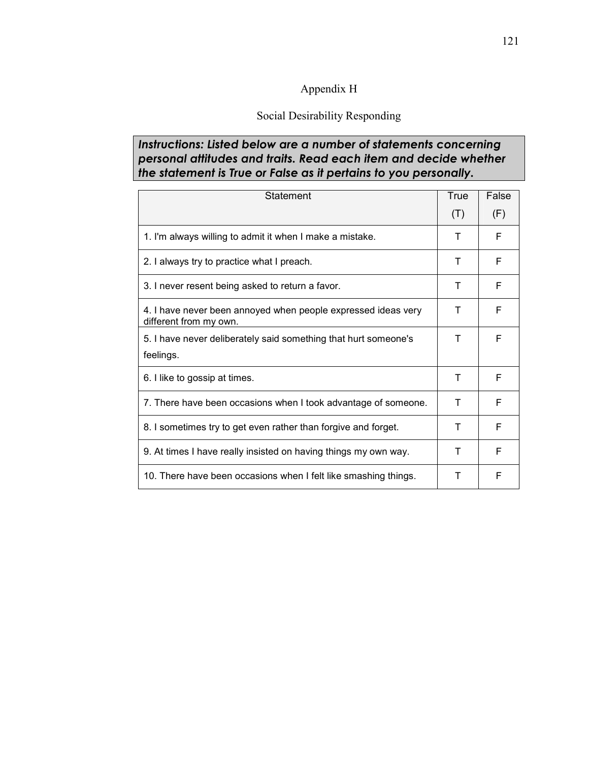## Appendix H

## Social Desirability Responding

## *Instructions: Listed below are a number of statements concerning personal attitudes and traits. Read each item and decide whether the statement is True or False as it pertains to you personally.*

| Statement                                                                               | True | False |
|-----------------------------------------------------------------------------------------|------|-------|
|                                                                                         | (T)  | (F)   |
| 1. I'm always willing to admit it when I make a mistake.                                | Т    | F     |
| 2. I always try to practice what I preach.                                              | Τ    | F     |
| 3. I never resent being asked to return a favor.                                        | Т    | F     |
| 4. I have never been annoyed when people expressed ideas very<br>different from my own. | Т    | F     |
| 5. I have never deliberately said something that hurt someone's                         | Т    | F     |
| feelings.                                                                               |      |       |
| 6. I like to gossip at times.                                                           | т    | F     |
| 7. There have been occasions when I took advantage of someone.                          | т    | F     |
| 8. I sometimes try to get even rather than forgive and forget.                          | т    | F     |
| 9. At times I have really insisted on having things my own way.                         | т    | F     |
| 10. There have been occasions when I felt like smashing things.                         | т    | F     |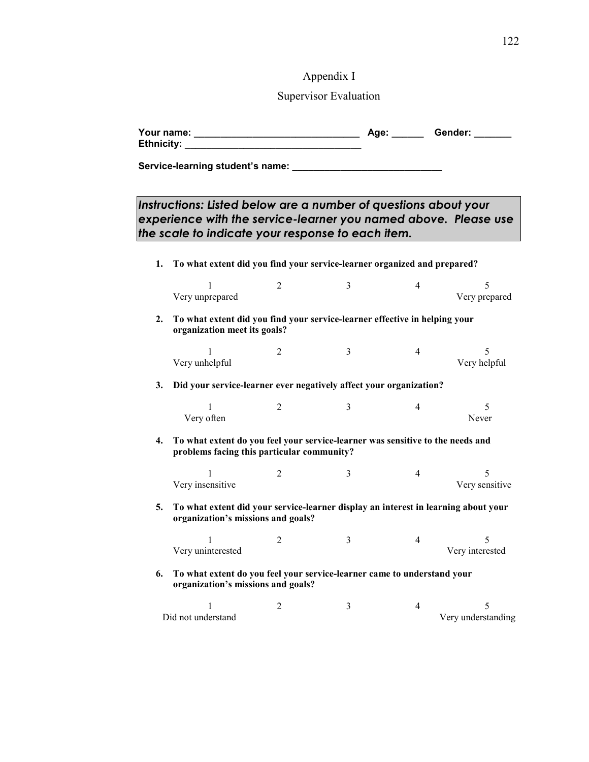# Appendix I

## Supervisor Evaluation

|    | Ethnicity: ___________                                                                                                                                                                  |                |   |                | Age: _______ Gender: ____ |
|----|-----------------------------------------------------------------------------------------------------------------------------------------------------------------------------------------|----------------|---|----------------|---------------------------|
|    |                                                                                                                                                                                         |                |   |                |                           |
|    | Instructions: Listed below are a number of questions about your<br>experience with the service-learner you named above. Please use<br>the scale to indicate your response to each item. |                |   |                |                           |
| 1. | To what extent did you find your service-learner organized and prepared?                                                                                                                |                |   |                |                           |
|    | 1<br>Very unprepared                                                                                                                                                                    | 2              | 3 | 4              | 5<br>Very prepared        |
| 2. | To what extent did you find your service-learner effective in helping your<br>organization meet its goals?                                                                              |                |   |                |                           |
|    | 1<br>Very unhelpful                                                                                                                                                                     | 2              | 3 | 4              | 5<br>Very helpful         |
| 3. | Did your service-learner ever negatively affect your organization?                                                                                                                      |                |   |                |                           |
|    | 1<br>Very often                                                                                                                                                                         | 2              | 3 | 4              | 5<br>Never                |
| 4. | To what extent do you feel your service-learner was sensitive to the needs and<br>problems facing this particular community?                                                            |                |   |                |                           |
|    | Very insensitive                                                                                                                                                                        | $\overline{2}$ | 3 | 4              | 5<br>Very sensitive       |
| 5. | To what extent did your service-learner display an interest in learning about your<br>organization's missions and goals?                                                                |                |   |                |                           |
|    | $\perp$<br>Very uninterested                                                                                                                                                            | $\overline{2}$ | 3 | 4              | 5<br>Very interested      |
| 6. | To what extent do you feel your service-learner came to understand your<br>organization's missions and goals?                                                                           |                |   |                |                           |
|    | 1<br>Did not understand                                                                                                                                                                 | 2              | 3 | $\overline{4}$ | 5<br>Very understanding   |